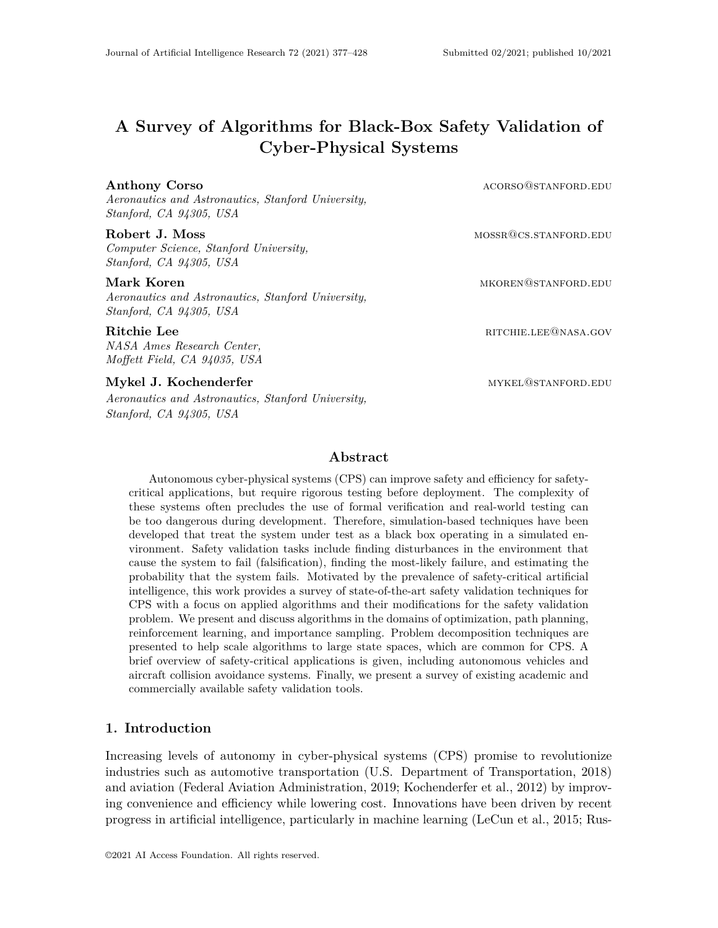# **A Survey of Algorithms for Black-Box Safety Validation of Cyber-Physical Systems**

#### **Anthony Corso acorso@stanford.edu acorso@stanford.edu acorso**

*Aeronautics and Astronautics, Stanford University, Stanford, CA 94305, USA*

#### **Robert J. Moss** mossrcore mossrcore mossrcore mossrcore mossrcore mossrcore mossrcore mossrcore mossrcore mossrcore mossrcore mossrcore mossrcore mossrcore mossrcore mossrcore mossrcore mossrcore mossrcore mossrcore mossr

*Computer Science, Stanford University, Stanford, CA 94305, USA*

*Aeronautics and Astronautics, Stanford University, Stanford, CA 94305, USA*

*NASA Ames Research Center, Moffett Field, CA 94035, USA*

#### **Mykel J. Kochenderfer** mythestanding the mykel@stanford.edu

*Aeronautics and Astronautics, Stanford University, Stanford, CA 94305, USA*

## **Abstract**

Autonomous cyber-physical systems (CPS) can improve safety and efficiency for safetycritical applications, but require rigorous testing before deployment. The complexity of these systems often precludes the use of formal verification and real-world testing can be too dangerous during development. Therefore, simulation-based techniques have been developed that treat the system under test as a black box operating in a simulated environment. Safety validation tasks include finding disturbances in the environment that cause the system to fail (falsification), finding the most-likely failure, and estimating the probability that the system fails. Motivated by the prevalence of safety-critical artificial intelligence, this work provides a survey of state-of-the-art safety validation techniques for CPS with a focus on applied algorithms and their modifications for the safety validation problem. We present and discuss algorithms in the domains of optimization, path planning, reinforcement learning, and importance sampling. Problem decomposition techniques are presented to help scale algorithms to large state spaces, which are common for CPS. A brief overview of safety-critical applications is given, including autonomous vehicles and aircraft collision avoidance systems. Finally, we present a survey of existing academic and commercially available safety validation tools.

## **1. Introduction**

Increasing levels of autonomy in cyber-physical systems (CPS) promise to revolutionize industries such as automotive transportation (U.S. Department of Transportation, 2018) and aviation (Federal Aviation Administration, 2019; Kochenderfer et al., 2012) by improving convenience and efficiency while lowering cost. Innovations have been driven by recent progress in artificial intelligence, particularly in machine learning (LeCun et al., 2015; Rus-

**Mark Koren** mkoren@stanFord.edu

**Ritchie Lee** RITCHIE.LEE@NASA.GOV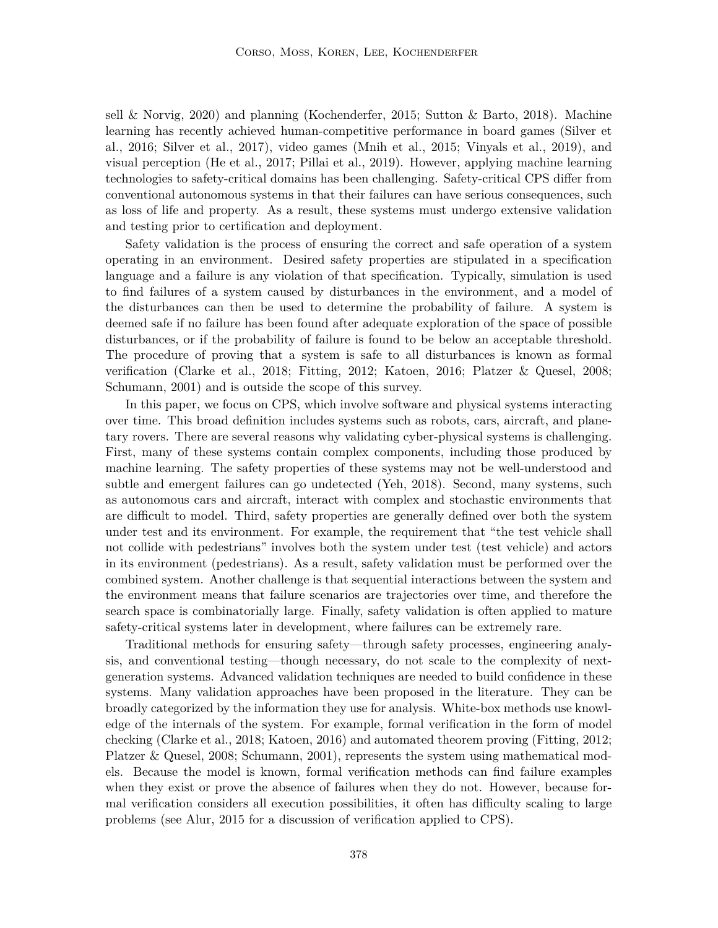sell & Norvig, 2020) and planning (Kochenderfer, 2015; Sutton & Barto, 2018). Machine learning has recently achieved human-competitive performance in board games (Silver et al., 2016; Silver et al., 2017), video games (Mnih et al., 2015; Vinyals et al., 2019), and visual perception (He et al., 2017; Pillai et al., 2019). However, applying machine learning technologies to safety-critical domains has been challenging. Safety-critical CPS differ from conventional autonomous systems in that their failures can have serious consequences, such as loss of life and property. As a result, these systems must undergo extensive validation and testing prior to certification and deployment.

Safety validation is the process of ensuring the correct and safe operation of a system operating in an environment. Desired safety properties are stipulated in a specification language and a failure is any violation of that specification. Typically, simulation is used to find failures of a system caused by disturbances in the environment, and a model of the disturbances can then be used to determine the probability of failure. A system is deemed safe if no failure has been found after adequate exploration of the space of possible disturbances, or if the probability of failure is found to be below an acceptable threshold. The procedure of proving that a system is safe to all disturbances is known as formal verification (Clarke et al., 2018; Fitting, 2012; Katoen, 2016; Platzer & Quesel, 2008; Schumann, 2001) and is outside the scope of this survey.

In this paper, we focus on CPS, which involve software and physical systems interacting over time. This broad definition includes systems such as robots, cars, aircraft, and planetary rovers. There are several reasons why validating cyber-physical systems is challenging. First, many of these systems contain complex components, including those produced by machine learning. The safety properties of these systems may not be well-understood and subtle and emergent failures can go undetected (Yeh, 2018). Second, many systems, such as autonomous cars and aircraft, interact with complex and stochastic environments that are difficult to model. Third, safety properties are generally defined over both the system under test and its environment. For example, the requirement that "the test vehicle shall not collide with pedestrians" involves both the system under test (test vehicle) and actors in its environment (pedestrians). As a result, safety validation must be performed over the combined system. Another challenge is that sequential interactions between the system and the environment means that failure scenarios are trajectories over time, and therefore the search space is combinatorially large. Finally, safety validation is often applied to mature safety-critical systems later in development, where failures can be extremely rare.

Traditional methods for ensuring safety—through safety processes, engineering analysis, and conventional testing—though necessary, do not scale to the complexity of nextgeneration systems. Advanced validation techniques are needed to build confidence in these systems. Many validation approaches have been proposed in the literature. They can be broadly categorized by the information they use for analysis. White-box methods use knowledge of the internals of the system. For example, formal verification in the form of model checking (Clarke et al., 2018; Katoen, 2016) and automated theorem proving (Fitting, 2012; Platzer & Quesel, 2008; Schumann, 2001), represents the system using mathematical models. Because the model is known, formal verification methods can find failure examples when they exist or prove the absence of failures when they do not. However, because formal verification considers all execution possibilities, it often has difficulty scaling to large problems (see Alur, 2015 for a discussion of verification applied to CPS).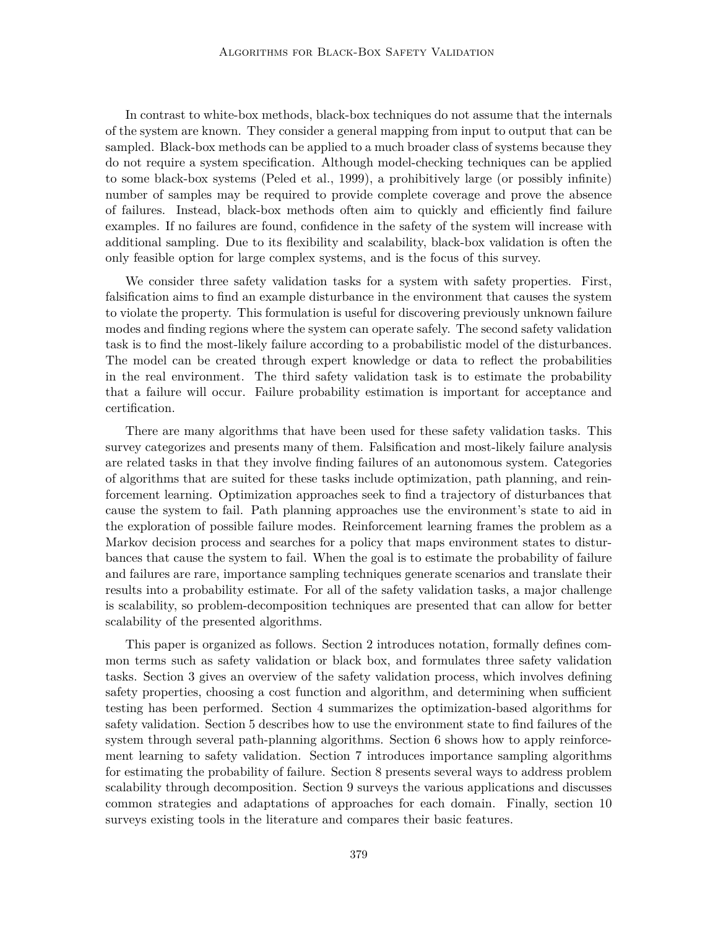In contrast to white-box methods, black-box techniques do not assume that the internals of the system are known. They consider a general mapping from input to output that can be sampled. Black-box methods can be applied to a much broader class of systems because they do not require a system specification. Although model-checking techniques can be applied to some black-box systems (Peled et al., 1999), a prohibitively large (or possibly infinite) number of samples may be required to provide complete coverage and prove the absence of failures. Instead, black-box methods often aim to quickly and efficiently find failure examples. If no failures are found, confidence in the safety of the system will increase with additional sampling. Due to its flexibility and scalability, black-box validation is often the only feasible option for large complex systems, and is the focus of this survey.

We consider three safety validation tasks for a system with safety properties. First, falsification aims to find an example disturbance in the environment that causes the system to violate the property. This formulation is useful for discovering previously unknown failure modes and finding regions where the system can operate safely. The second safety validation task is to find the most-likely failure according to a probabilistic model of the disturbances. The model can be created through expert knowledge or data to reflect the probabilities in the real environment. The third safety validation task is to estimate the probability that a failure will occur. Failure probability estimation is important for acceptance and certification.

There are many algorithms that have been used for these safety validation tasks. This survey categorizes and presents many of them. Falsification and most-likely failure analysis are related tasks in that they involve finding failures of an autonomous system. Categories of algorithms that are suited for these tasks include optimization, path planning, and reinforcement learning. Optimization approaches seek to find a trajectory of disturbances that cause the system to fail. Path planning approaches use the environment's state to aid in the exploration of possible failure modes. Reinforcement learning frames the problem as a Markov decision process and searches for a policy that maps environment states to disturbances that cause the system to fail. When the goal is to estimate the probability of failure and failures are rare, importance sampling techniques generate scenarios and translate their results into a probability estimate. For all of the safety validation tasks, a major challenge is scalability, so problem-decomposition techniques are presented that can allow for better scalability of the presented algorithms.

This paper is organized as follows. Section 2 introduces notation, formally defines common terms such as safety validation or black box, and formulates three safety validation tasks. Section 3 gives an overview of the safety validation process, which involves defining safety properties, choosing a cost function and algorithm, and determining when sufficient testing has been performed. Section 4 summarizes the optimization-based algorithms for safety validation. Section 5 describes how to use the environment state to find failures of the system through several path-planning algorithms. Section 6 shows how to apply reinforcement learning to safety validation. Section 7 introduces importance sampling algorithms for estimating the probability of failure. Section 8 presents several ways to address problem scalability through decomposition. Section 9 surveys the various applications and discusses common strategies and adaptations of approaches for each domain. Finally, section 10 surveys existing tools in the literature and compares their basic features.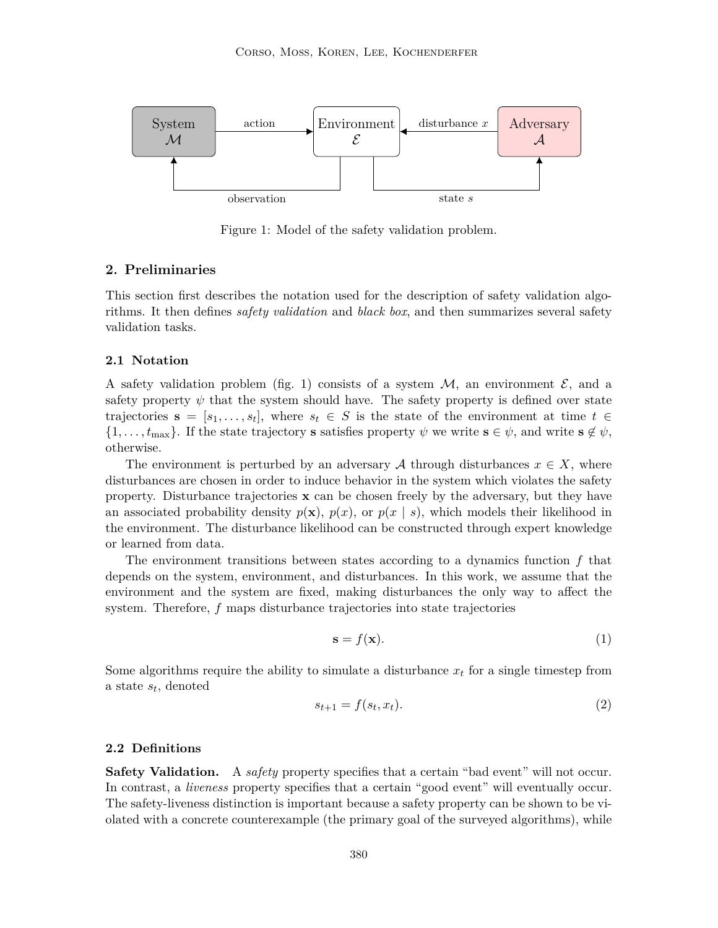

Figure 1: Model of the safety validation problem.

## **2. Preliminaries**

This section first describes the notation used for the description of safety validation algorithms. It then defines *safety validation* and *black box*, and then summarizes several safety validation tasks.

#### **2.1 Notation**

A safety validation problem (fig. 1) consists of a system  $\mathcal{M}$ , an environment  $\mathcal{E}$ , and a safety property  $\psi$  that the system should have. The safety property is defined over state trajectories  $\mathbf{s} = [s_1, \ldots, s_t],$  where  $s_t \in S$  is the state of the environment at time  $t \in$  $\{1,\ldots,t_{\text{max}}\}.$  If the state trajectory s satisfies property  $\psi$  we write  $s \in \psi$ , and write  $s \notin \psi$ , otherwise.

The environment is perturbed by an adversary A through disturbances  $x \in X$ , where disturbances are chosen in order to induce behavior in the system which violates the safety property. Disturbance trajectories  $x$  can be chosen freely by the adversary, but they have an associated probability density  $p(x)$ ,  $p(x)$ , or  $p(x | s)$ , which models their likelihood in the environment. The disturbance likelihood can be constructed through expert knowledge or learned from data.

The environment transitions between states according to a dynamics function  $f$  that depends on the system, environment, and disturbances. In this work, we assume that the environment and the system are fixed, making disturbances the only way to affect the system. Therefore, f maps disturbance trajectories into state trajectories

$$
\mathbf{s} = f(\mathbf{x}).\tag{1}
$$

Some algorithms require the ability to simulate a disturbance  $x_t$  for a single timestep from a state  $s_t$ , denoted

$$
s_{t+1} = f(s_t, x_t). \tag{2}
$$

#### **2.2 Definitions**

**Safety Validation.** A *safety* property specifies that a certain "bad event" will not occur. In contrast, a *liveness* property specifies that a certain "good event" will eventually occur. The safety-liveness distinction is important because a safety property can be shown to be violated with a concrete counterexample (the primary goal of the surveyed algorithms), while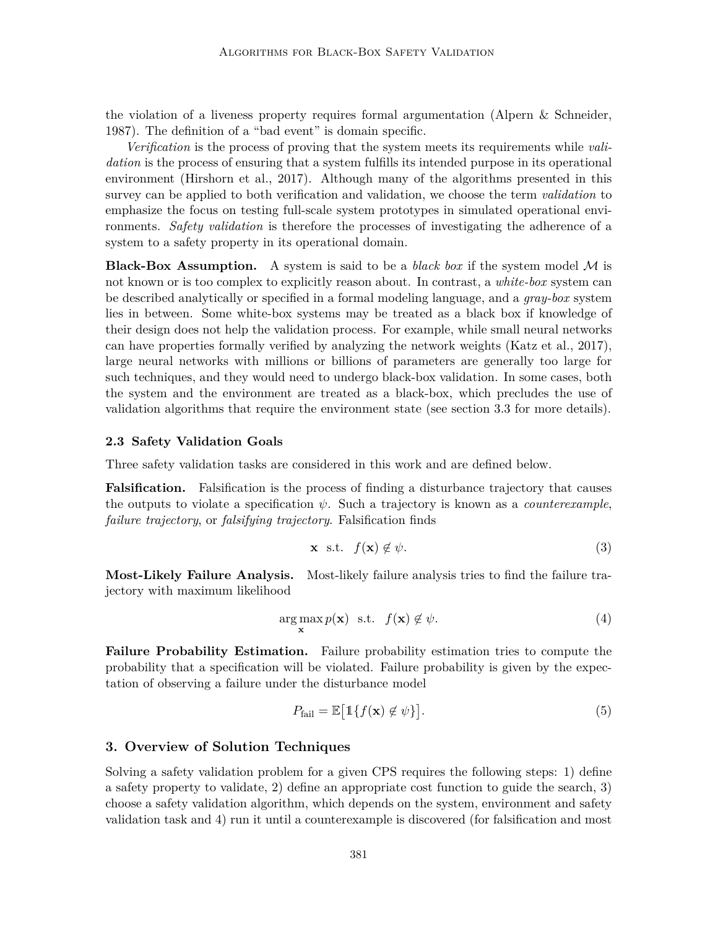the violation of a liveness property requires formal argumentation (Alpern & Schneider, 1987). The definition of a "bad event" is domain specific.

*Verification* is the process of proving that the system meets its requirements while *validation* is the process of ensuring that a system fulfills its intended purpose in its operational environment (Hirshorn et al., 2017). Although many of the algorithms presented in this survey can be applied to both verification and validation, we choose the term *validation* to emphasize the focus on testing full-scale system prototypes in simulated operational environments. *Safety validation* is therefore the processes of investigating the adherence of a system to a safety property in its operational domain.

**Black-Box Assumption.** A system is said to be a *black box* if the system model  $M$  is not known or is too complex to explicitly reason about. In contrast, a *white-box* system can be described analytically or specified in a formal modeling language, and a *gray-box* system lies in between. Some white-box systems may be treated as a black box if knowledge of their design does not help the validation process. For example, while small neural networks can have properties formally verified by analyzing the network weights (Katz et al., 2017), large neural networks with millions or billions of parameters are generally too large for such techniques, and they would need to undergo black-box validation. In some cases, both the system and the environment are treated as a black-box, which precludes the use of validation algorithms that require the environment state (see section 3.3 for more details).

#### **2.3 Safety Validation Goals**

Three safety validation tasks are considered in this work and are defined below.

**Falsification.** Falsification is the process of finding a disturbance trajectory that causes the outputs to violate a specification  $\psi$ . Such a trajectory is known as a *counterexample*, *failure trajectory*, or *falsifying trajectory*. Falsification finds

$$
\mathbf{x} \quad \text{s.t.} \quad f(\mathbf{x}) \notin \psi. \tag{3}
$$

**Most-Likely Failure Analysis.** Most-likely failure analysis tries to find the failure trajectory with maximum likelihood

$$
\arg\max_{\mathbf{x}} p(\mathbf{x}) \quad \text{s.t.} \quad f(\mathbf{x}) \notin \psi. \tag{4}
$$

**Failure Probability Estimation.** Failure probability estimation tries to compute the probability that a specification will be violated. Failure probability is given by the expectation of observing a failure under the disturbance model

$$
P_{\text{fail}} = \mathbb{E}\big[\mathbb{1}\{f(\mathbf{x}) \notin \psi\}\big].\tag{5}
$$

## **3. Overview of Solution Techniques**

Solving a safety validation problem for a given CPS requires the following steps: 1) define a safety property to validate, 2) define an appropriate cost function to guide the search, 3) choose a safety validation algorithm, which depends on the system, environment and safety validation task and 4) run it until a counterexample is discovered (for falsification and most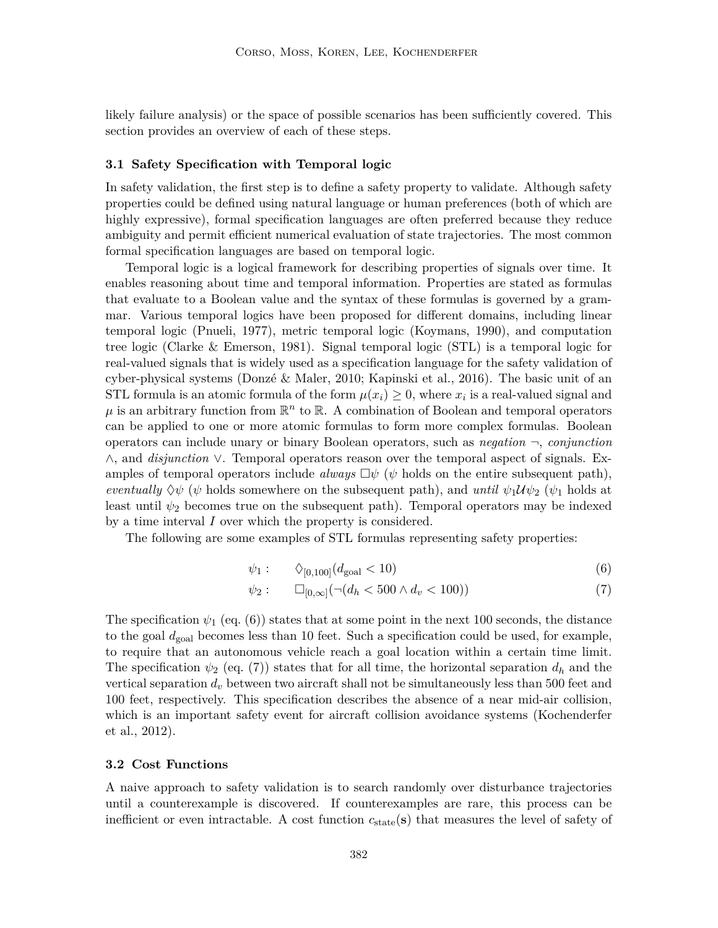likely failure analysis) or the space of possible scenarios has been sufficiently covered. This section provides an overview of each of these steps.

#### **3.1 Safety Specification with Temporal logic**

In safety validation, the first step is to define a safety property to validate. Although safety properties could be defined using natural language or human preferences (both of which are highly expressive), formal specification languages are often preferred because they reduce ambiguity and permit efficient numerical evaluation of state trajectories. The most common formal specification languages are based on temporal logic.

Temporal logic is a logical framework for describing properties of signals over time. It enables reasoning about time and temporal information. Properties are stated as formulas that evaluate to a Boolean value and the syntax of these formulas is governed by a grammar. Various temporal logics have been proposed for different domains, including linear temporal logic (Pnueli, 1977), metric temporal logic (Koymans, 1990), and computation tree logic (Clarke & Emerson, 1981). Signal temporal logic (STL) is a temporal logic for real-valued signals that is widely used as a specification language for the safety validation of cyber-physical systems (Donzé & Maler, 2010; Kapinski et al., 2016). The basic unit of an STL formula is an atomic formula of the form  $\mu(x_i) \geq 0$ , where  $x_i$  is a real-valued signal and  $\mu$  is an arbitrary function from  $\mathbb{R}^n$  to  $\mathbb{R}$ . A combination of Boolean and temporal operators can be applied to one or more atomic formulas to form more complex formulas. Boolean operators can include unary or binary Boolean operators, such as *negation* ¬, *conjunction* ∧, and *disjunction* ∨. Temporal operators reason over the temporal aspect of signals. Examples of temporal operators include *always*  $\Box \psi$  ( $\psi$  holds on the entire subsequent path), *eventually*  $\Diamond \psi$  ( $\psi$  holds somewhere on the subsequent path), and *until*  $\psi_1 \mathcal{U} \psi_2$  ( $\psi_1$  holds at least until  $\psi_2$  becomes true on the subsequent path). Temporal operators may be indexed by a time interval I over which the property is considered.

The following are some examples of STL formulas representing safety properties:

$$
\psi_1: \qquad \Diamond_{[0,100]}(d_{\text{goal}} < 10) \tag{6}
$$

$$
\psi_2: \qquad \Box_{[0,\infty]}(\neg(d_h < 500 \land d_v < 100))\tag{7}
$$

The specification  $\psi_1$  (eq. (6)) states that at some point in the next 100 seconds, the distance to the goal  $d_{\text{goal}}$  becomes less than 10 feet. Such a specification could be used, for example, to require that an autonomous vehicle reach a goal location within a certain time limit. The specification  $\psi_2$  (eq. (7)) states that for all time, the horizontal separation  $d_h$  and the vertical separation  $d_v$  between two aircraft shall not be simultaneously less than 500 feet and 100 feet, respectively. This specification describes the absence of a near mid-air collision, which is an important safety event for aircraft collision avoidance systems (Kochenderfer et al., 2012).

#### **3.2 Cost Functions**

A naive approach to safety validation is to search randomly over disturbance trajectories until a counterexample is discovered. If counterexamples are rare, this process can be inefficient or even intractable. A cost function  $c_{state}(s)$  that measures the level of safety of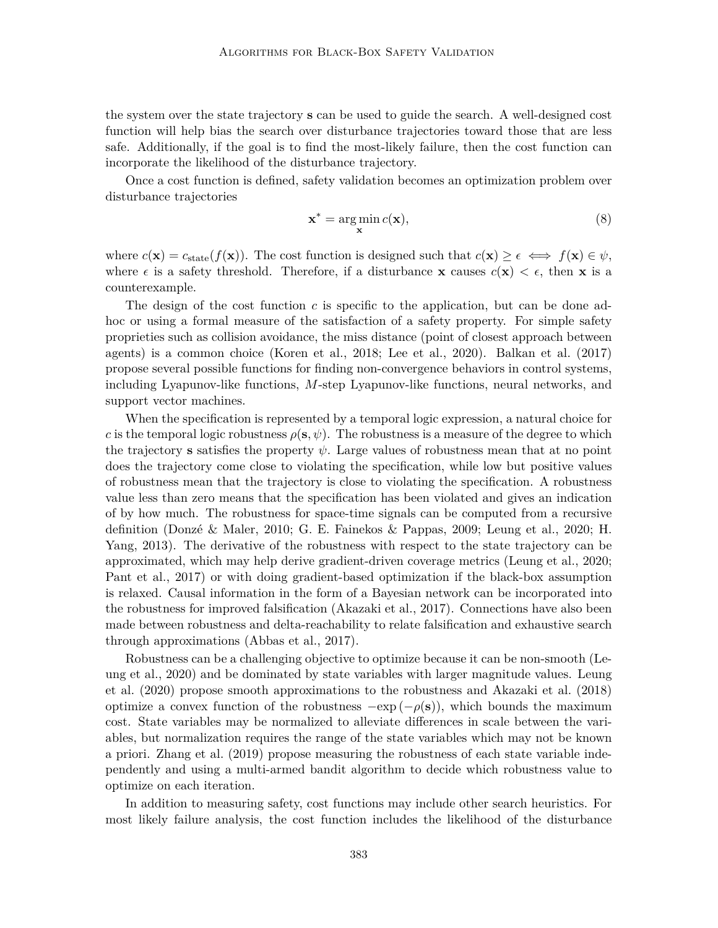the system over the state trajectory s can be used to guide the search. A well-designed cost function will help bias the search over disturbance trajectories toward those that are less safe. Additionally, if the goal is to find the most-likely failure, then the cost function can incorporate the likelihood of the disturbance trajectory.

Once a cost function is defined, safety validation becomes an optimization problem over disturbance trajectories

$$
\mathbf{x}^* = \underset{\mathbf{x}}{\arg\min} \, c(\mathbf{x}),\tag{8}
$$

where  $c(\mathbf{x}) = c_{\text{state}}(f(\mathbf{x}))$ . The cost function is designed such that  $c(\mathbf{x}) \geq \epsilon \iff f(\mathbf{x}) \in \psi$ , where  $\epsilon$  is a safety threshold. Therefore, if a disturbance **x** causes  $c(\mathbf{x}) < \epsilon$ , then **x** is a counterexample.

The design of the cost function  $c$  is specific to the application, but can be done adhoc or using a formal measure of the satisfaction of a safety property. For simple safety proprieties such as collision avoidance, the miss distance (point of closest approach between agents) is a common choice (Koren et al., 2018; Lee et al., 2020). Balkan et al. (2017) propose several possible functions for finding non-convergence behaviors in control systems, including Lyapunov-like functions, M-step Lyapunov-like functions, neural networks, and support vector machines.

When the specification is represented by a temporal logic expression, a natural choice for c is the temporal logic robustness  $\rho(s, \psi)$ . The robustness is a measure of the degree to which the trajectory s satisfies the property  $\psi$ . Large values of robustness mean that at no point does the trajectory come close to violating the specification, while low but positive values of robustness mean that the trajectory is close to violating the specification. A robustness value less than zero means that the specification has been violated and gives an indication of by how much. The robustness for space-time signals can be computed from a recursive definition (Donzé & Maler, 2010; G. E. Fainekos & Pappas, 2009; Leung et al., 2020; H. Yang, 2013). The derivative of the robustness with respect to the state trajectory can be approximated, which may help derive gradient-driven coverage metrics (Leung et al., 2020; Pant et al., 2017) or with doing gradient-based optimization if the black-box assumption is relaxed. Causal information in the form of a Bayesian network can be incorporated into the robustness for improved falsification (Akazaki et al., 2017). Connections have also been made between robustness and delta-reachability to relate falsification and exhaustive search through approximations (Abbas et al., 2017).

Robustness can be a challenging objective to optimize because it can be non-smooth (Leung et al., 2020) and be dominated by state variables with larger magnitude values. Leung et al. (2020) propose smooth approximations to the robustness and Akazaki et al. (2018) optimize a convex function of the robustness  $-\exp(-\rho(s))$ , which bounds the maximum cost. State variables may be normalized to alleviate differences in scale between the variables, but normalization requires the range of the state variables which may not be known a priori. Zhang et al. (2019) propose measuring the robustness of each state variable independently and using a multi-armed bandit algorithm to decide which robustness value to optimize on each iteration.

In addition to measuring safety, cost functions may include other search heuristics. For most likely failure analysis, the cost function includes the likelihood of the disturbance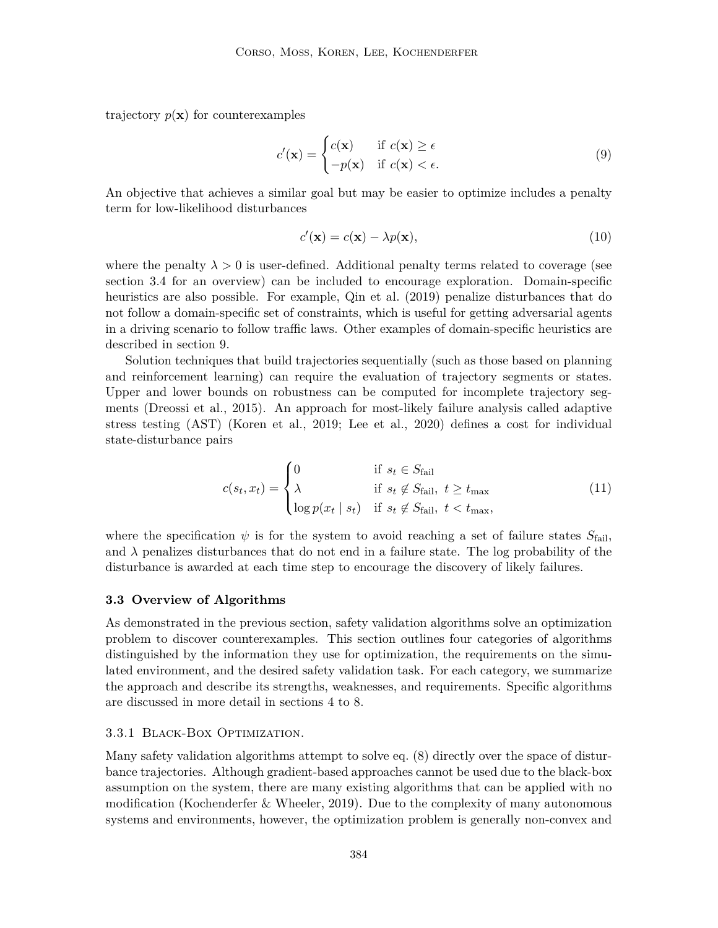trajectory  $p(\mathbf{x})$  for counterexamples

$$
c'(\mathbf{x}) = \begin{cases} c(\mathbf{x}) & \text{if } c(\mathbf{x}) \ge \epsilon \\ -p(\mathbf{x}) & \text{if } c(\mathbf{x}) < \epsilon. \end{cases}
$$
(9)

An objective that achieves a similar goal but may be easier to optimize includes a penalty term for low-likelihood disturbances

$$
c'(\mathbf{x}) = c(\mathbf{x}) - \lambda p(\mathbf{x}),\tag{10}
$$

where the penalty  $\lambda > 0$  is user-defined. Additional penalty terms related to coverage (see section 3.4 for an overview) can be included to encourage exploration. Domain-specific heuristics are also possible. For example, Qin et al. (2019) penalize disturbances that do not follow a domain-specific set of constraints, which is useful for getting adversarial agents in a driving scenario to follow traffic laws. Other examples of domain-specific heuristics are described in section 9.

Solution techniques that build trajectories sequentially (such as those based on planning and reinforcement learning) can require the evaluation of trajectory segments or states. Upper and lower bounds on robustness can be computed for incomplete trajectory segments (Dreossi et al., 2015). An approach for most-likely failure analysis called adaptive stress testing (AST) (Koren et al., 2019; Lee et al., 2020) defines a cost for individual state-disturbance pairs

$$
c(s_t, x_t) = \begin{cases} 0 & \text{if } s_t \in S_{\text{fail}} \\ \lambda & \text{if } s_t \notin S_{\text{fail}}, \ t \ge t_{\text{max}} \\ \log p(x_t \mid s_t) & \text{if } s_t \notin S_{\text{fail}}, \ t < t_{\text{max}}, \end{cases}
$$
(11)

where the specification  $\psi$  is for the system to avoid reaching a set of failure states  $S_{\text{fail}}$ , and  $\lambda$  penalizes disturbances that do not end in a failure state. The log probability of the disturbance is awarded at each time step to encourage the discovery of likely failures.

## **3.3 Overview of Algorithms**

As demonstrated in the previous section, safety validation algorithms solve an optimization problem to discover counterexamples. This section outlines four categories of algorithms distinguished by the information they use for optimization, the requirements on the simulated environment, and the desired safety validation task. For each category, we summarize the approach and describe its strengths, weaknesses, and requirements. Specific algorithms are discussed in more detail in sections 4 to 8.

## 3.3.1 Black-Box Optimization.

Many safety validation algorithms attempt to solve eq. (8) directly over the space of disturbance trajectories. Although gradient-based approaches cannot be used due to the black-box assumption on the system, there are many existing algorithms that can be applied with no modification (Kochenderfer & Wheeler, 2019). Due to the complexity of many autonomous systems and environments, however, the optimization problem is generally non-convex and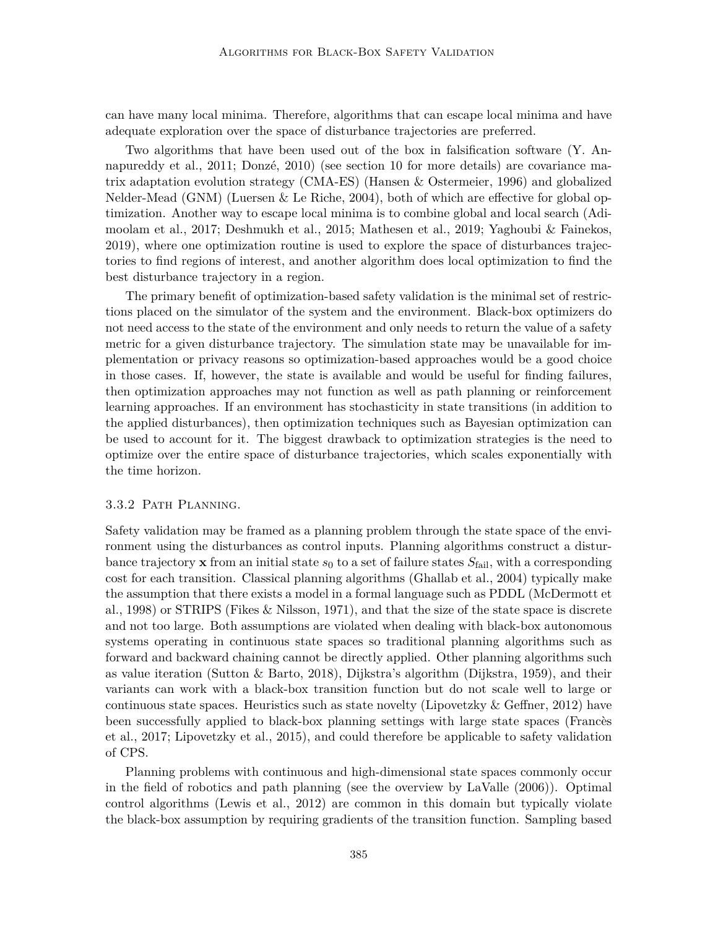can have many local minima. Therefore, algorithms that can escape local minima and have adequate exploration over the space of disturbance trajectories are preferred.

Two algorithms that have been used out of the box in falsification software (Y. Annapureddy et al., 2011; Donzé, 2010) (see section 10 for more details) are covariance matrix adaptation evolution strategy (CMA-ES) (Hansen & Ostermeier, 1996) and globalized Nelder-Mead (GNM) (Luersen & Le Riche, 2004), both of which are effective for global optimization. Another way to escape local minima is to combine global and local search (Adimoolam et al., 2017; Deshmukh et al., 2015; Mathesen et al., 2019; Yaghoubi & Fainekos, 2019), where one optimization routine is used to explore the space of disturbances trajectories to find regions of interest, and another algorithm does local optimization to find the best disturbance trajectory in a region.

The primary benefit of optimization-based safety validation is the minimal set of restrictions placed on the simulator of the system and the environment. Black-box optimizers do not need access to the state of the environment and only needs to return the value of a safety metric for a given disturbance trajectory. The simulation state may be unavailable for implementation or privacy reasons so optimization-based approaches would be a good choice in those cases. If, however, the state is available and would be useful for finding failures, then optimization approaches may not function as well as path planning or reinforcement learning approaches. If an environment has stochasticity in state transitions (in addition to the applied disturbances), then optimization techniques such as Bayesian optimization can be used to account for it. The biggest drawback to optimization strategies is the need to optimize over the entire space of disturbance trajectories, which scales exponentially with the time horizon.

## 3.3.2 Path Planning.

Safety validation may be framed as a planning problem through the state space of the environment using the disturbances as control inputs. Planning algorithms construct a disturbance trajectory **x** from an initial state  $s_0$  to a set of failure states  $S_{\text{fail}}$ , with a corresponding cost for each transition. Classical planning algorithms (Ghallab et al., 2004) typically make the assumption that there exists a model in a formal language such as PDDL (McDermott et al., 1998) or STRIPS (Fikes & Nilsson, 1971), and that the size of the state space is discrete and not too large. Both assumptions are violated when dealing with black-box autonomous systems operating in continuous state spaces so traditional planning algorithms such as forward and backward chaining cannot be directly applied. Other planning algorithms such as value iteration (Sutton & Barto, 2018), Dijkstra's algorithm (Dijkstra, 1959), and their variants can work with a black-box transition function but do not scale well to large or continuous state spaces. Heuristics such as state novelty (Lipovetzky  $& G$ effner, 2012) have been successfully applied to black-box planning settings with large state spaces (Francès et al., 2017; Lipovetzky et al., 2015), and could therefore be applicable to safety validation of CPS.

Planning problems with continuous and high-dimensional state spaces commonly occur in the field of robotics and path planning (see the overview by LaValle (2006)). Optimal control algorithms (Lewis et al., 2012) are common in this domain but typically violate the black-box assumption by requiring gradients of the transition function. Sampling based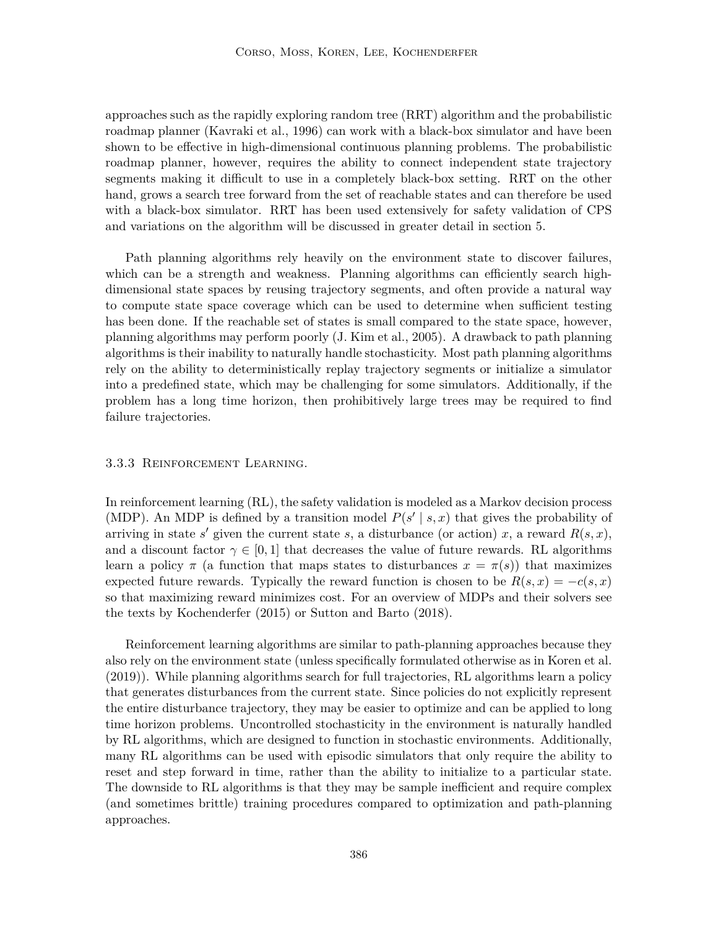approaches such as the rapidly exploring random tree (RRT) algorithm and the probabilistic roadmap planner (Kavraki et al., 1996) can work with a black-box simulator and have been shown to be effective in high-dimensional continuous planning problems. The probabilistic roadmap planner, however, requires the ability to connect independent state trajectory segments making it difficult to use in a completely black-box setting. RRT on the other hand, grows a search tree forward from the set of reachable states and can therefore be used with a black-box simulator. RRT has been used extensively for safety validation of CPS and variations on the algorithm will be discussed in greater detail in section 5.

Path planning algorithms rely heavily on the environment state to discover failures, which can be a strength and weakness. Planning algorithms can efficiently search highdimensional state spaces by reusing trajectory segments, and often provide a natural way to compute state space coverage which can be used to determine when sufficient testing has been done. If the reachable set of states is small compared to the state space, however, planning algorithms may perform poorly (J. Kim et al., 2005). A drawback to path planning algorithms is their inability to naturally handle stochasticity. Most path planning algorithms rely on the ability to deterministically replay trajectory segments or initialize a simulator into a predefined state, which may be challenging for some simulators. Additionally, if the problem has a long time horizon, then prohibitively large trees may be required to find failure trajectories.

#### 3.3.3 Reinforcement Learning.

In reinforcement learning (RL), the safety validation is modeled as a Markov decision process (MDP). An MDP is defined by a transition model  $P(s' | s, x)$  that gives the probability of arriving in state s' given the current state s, a disturbance (or action) x, a reward  $R(s, x)$ , and a discount factor  $\gamma \in [0, 1]$  that decreases the value of future rewards. RL algorithms learn a policy  $\pi$  (a function that maps states to disturbances  $x = \pi(s)$ ) that maximizes expected future rewards. Typically the reward function is chosen to be  $R(s, x) = -c(s, x)$ so that maximizing reward minimizes cost. For an overview of MDPs and their solvers see the texts by Kochenderfer (2015) or Sutton and Barto (2018).

Reinforcement learning algorithms are similar to path-planning approaches because they also rely on the environment state (unless specifically formulated otherwise as in Koren et al. (2019)). While planning algorithms search for full trajectories, RL algorithms learn a policy that generates disturbances from the current state. Since policies do not explicitly represent the entire disturbance trajectory, they may be easier to optimize and can be applied to long time horizon problems. Uncontrolled stochasticity in the environment is naturally handled by RL algorithms, which are designed to function in stochastic environments. Additionally, many RL algorithms can be used with episodic simulators that only require the ability to reset and step forward in time, rather than the ability to initialize to a particular state. The downside to RL algorithms is that they may be sample inefficient and require complex (and sometimes brittle) training procedures compared to optimization and path-planning approaches.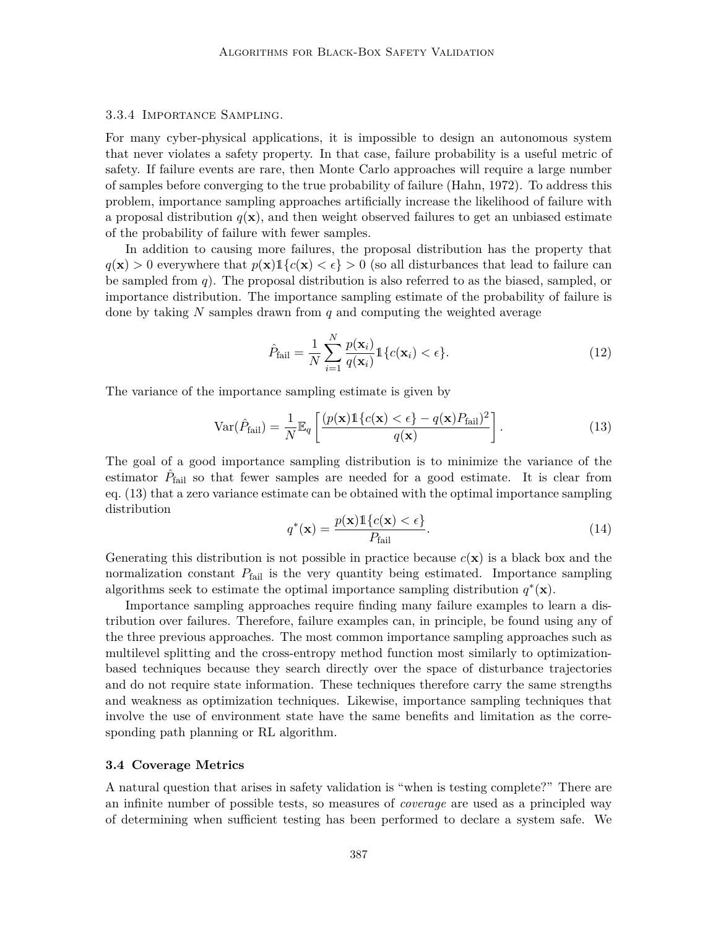## 3.3.4 Importance Sampling.

For many cyber-physical applications, it is impossible to design an autonomous system that never violates a safety property. In that case, failure probability is a useful metric of safety. If failure events are rare, then Monte Carlo approaches will require a large number of samples before converging to the true probability of failure (Hahn, 1972). To address this problem, importance sampling approaches artificially increase the likelihood of failure with a proposal distribution  $q(\mathbf{x})$ , and then weight observed failures to get an unbiased estimate of the probability of failure with fewer samples.

In addition to causing more failures, the proposal distribution has the property that  $q(\mathbf{x}) > 0$  everywhere that  $p(\mathbf{x}) \leq {\epsilon} > 0$  (so all disturbances that lead to failure can be sampled from q). The proposal distribution is also referred to as the biased, sampled, or importance distribution. The importance sampling estimate of the probability of failure is done by taking  $N$  samples drawn from  $q$  and computing the weighted average

$$
\hat{P}_{\text{fail}} = \frac{1}{N} \sum_{i=1}^{N} \frac{p(\mathbf{x}_i)}{q(\mathbf{x}_i)} \mathbb{1}\{c(\mathbf{x}_i) < \epsilon\}.\tag{12}
$$

The variance of the importance sampling estimate is given by

$$
\text{Var}(\hat{P}_{\text{fail}}) = \frac{1}{N} \mathbb{E}_q \left[ \frac{(p(\mathbf{x}) \mathbb{1}\{c(\mathbf{x}) < \epsilon\} - q(\mathbf{x}) P_{\text{fail}})^2}{q(\mathbf{x})} \right].
$$
 (13)

The goal of a good importance sampling distribution is to minimize the variance of the estimator  $\hat{P}_{\text{fail}}$  so that fewer samples are needed for a good estimate. It is clear from eq. (13) that a zero variance estimate can be obtained with the optimal importance sampling distribution

$$
q^*(\mathbf{x}) = \frac{p(\mathbf{x}) \mathbb{1}\{c(\mathbf{x}) < \epsilon\}}{P_{\text{fail}}}.\tag{14}
$$

Generating this distribution is not possible in practice because  $c(\mathbf{x})$  is a black box and the normalization constant  $P_{\text{fail}}$  is the very quantity being estimated. Importance sampling algorithms seek to estimate the optimal importance sampling distribution  $q^*(\mathbf{x})$ .

Importance sampling approaches require finding many failure examples to learn a distribution over failures. Therefore, failure examples can, in principle, be found using any of the three previous approaches. The most common importance sampling approaches such as multilevel splitting and the cross-entropy method function most similarly to optimizationbased techniques because they search directly over the space of disturbance trajectories and do not require state information. These techniques therefore carry the same strengths and weakness as optimization techniques. Likewise, importance sampling techniques that involve the use of environment state have the same benefits and limitation as the corresponding path planning or RL algorithm.

#### **3.4 Coverage Metrics**

A natural question that arises in safety validation is "when is testing complete?" There are an infinite number of possible tests, so measures of *coverage* are used as a principled way of determining when sufficient testing has been performed to declare a system safe. We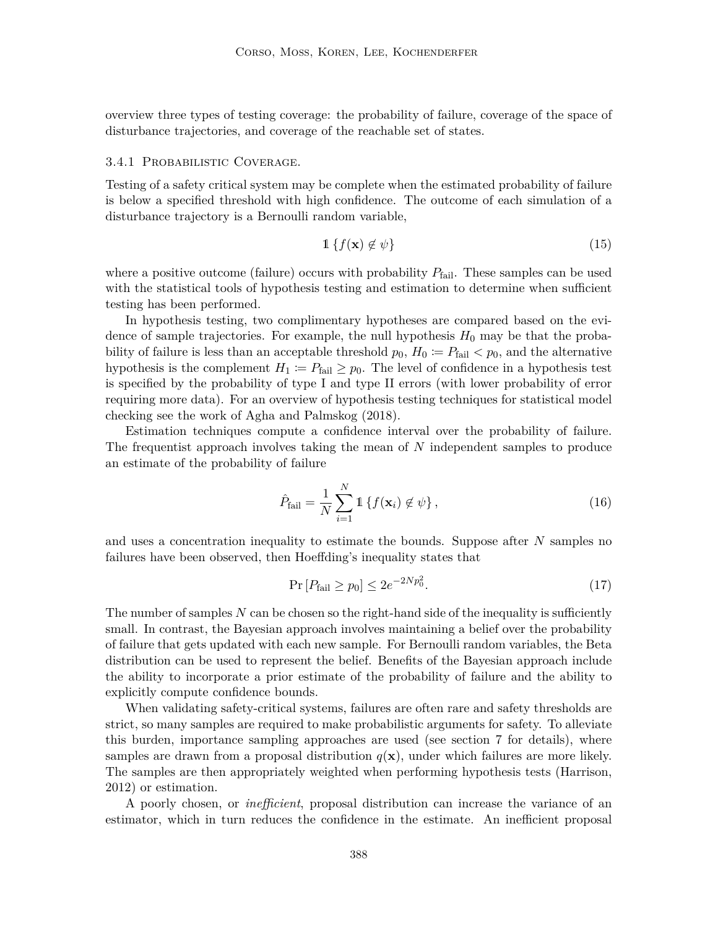overview three types of testing coverage: the probability of failure, coverage of the space of disturbance trajectories, and coverage of the reachable set of states.

## 3.4.1 Probabilistic Coverage.

Testing of a safety critical system may be complete when the estimated probability of failure is below a specified threshold with high confidence. The outcome of each simulation of a disturbance trajectory is a Bernoulli random variable,

$$
\mathbb{1}\left\{f(\mathbf{x})\notin\psi\right\}\tag{15}
$$

where a positive outcome (failure) occurs with probability  $P_{\text{fail}}$ . These samples can be used with the statistical tools of hypothesis testing and estimation to determine when sufficient testing has been performed.

In hypothesis testing, two complimentary hypotheses are compared based on the evidence of sample trajectories. For example, the null hypothesis  $H_0$  may be that the probability of failure is less than an acceptable threshold  $p_0$ ,  $H_0 \coloneqq P_{\text{fail}} < p_0$ , and the alternative hypothesis is the complement  $H_1 := P_{\text{fail}} \geq p_0$ . The level of confidence in a hypothesis test is specified by the probability of type I and type II errors (with lower probability of error requiring more data). For an overview of hypothesis testing techniques for statistical model checking see the work of Agha and Palmskog (2018).

Estimation techniques compute a confidence interval over the probability of failure. The frequentist approach involves taking the mean of N independent samples to produce an estimate of the probability of failure

$$
\hat{P}_{\text{fail}} = \frac{1}{N} \sum_{i=1}^{N} \mathbb{1} \left\{ f(\mathbf{x}_i) \notin \psi \right\},\tag{16}
$$

and uses a concentration inequality to estimate the bounds. Suppose after  $N$  samples no failures have been observed, then Hoeffding's inequality states that

$$
\Pr\left[P_{\text{fail}} \ge p_0\right] \le 2e^{-2Np_0^2}.\tag{17}
$$

The number of samples  $N$  can be chosen so the right-hand side of the inequality is sufficiently small. In contrast, the Bayesian approach involves maintaining a belief over the probability of failure that gets updated with each new sample. For Bernoulli random variables, the Beta distribution can be used to represent the belief. Benefits of the Bayesian approach include the ability to incorporate a prior estimate of the probability of failure and the ability to explicitly compute confidence bounds.

When validating safety-critical systems, failures are often rare and safety thresholds are strict, so many samples are required to make probabilistic arguments for safety. To alleviate this burden, importance sampling approaches are used (see section 7 for details), where samples are drawn from a proposal distribution  $q(x)$ , under which failures are more likely. The samples are then appropriately weighted when performing hypothesis tests (Harrison, 2012) or estimation.

A poorly chosen, or *inefficient*, proposal distribution can increase the variance of an estimator, which in turn reduces the confidence in the estimate. An inefficient proposal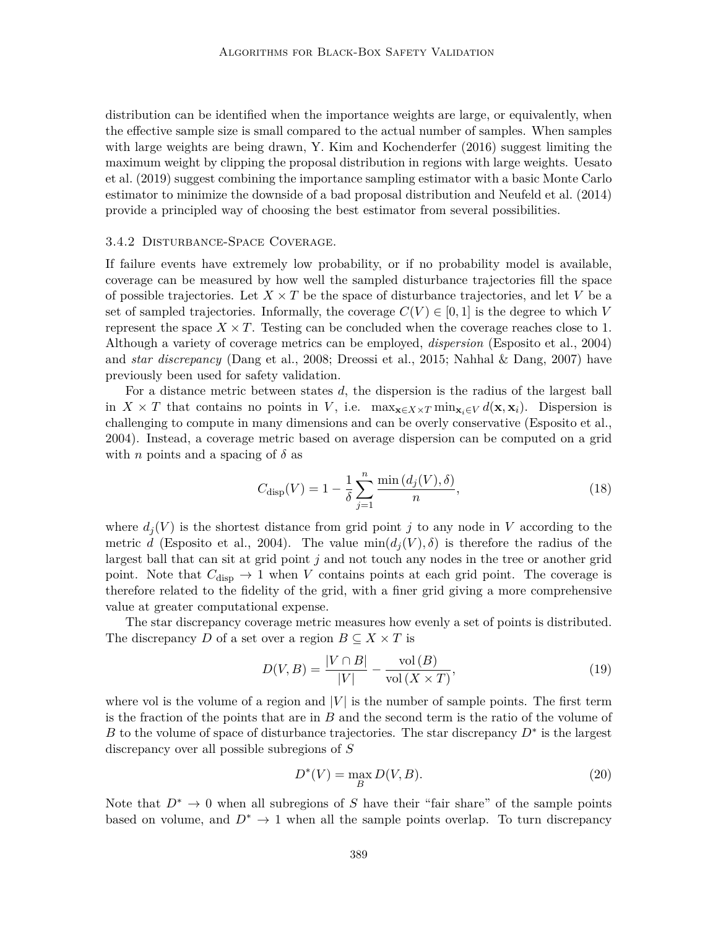distribution can be identified when the importance weights are large, or equivalently, when the effective sample size is small compared to the actual number of samples. When samples with large weights are being drawn, Y. Kim and Kochenderfer (2016) suggest limiting the maximum weight by clipping the proposal distribution in regions with large weights. Uesato et al. (2019) suggest combining the importance sampling estimator with a basic Monte Carlo estimator to minimize the downside of a bad proposal distribution and Neufeld et al. (2014) provide a principled way of choosing the best estimator from several possibilities.

#### 3.4.2 Disturbance-Space Coverage.

If failure events have extremely low probability, or if no probability model is available, coverage can be measured by how well the sampled disturbance trajectories fill the space of possible trajectories. Let  $X \times T$  be the space of disturbance trajectories, and let V be a set of sampled trajectories. Informally, the coverage  $C(V) \in [0, 1]$  is the degree to which V represent the space  $X \times T$ . Testing can be concluded when the coverage reaches close to 1. Although a variety of coverage metrics can be employed, *dispersion* (Esposito et al., 2004) and *star discrepancy* (Dang et al., 2008; Dreossi et al., 2015; Nahhal & Dang, 2007) have previously been used for safety validation.

For a distance metric between states  $d$ , the dispersion is the radius of the largest ball in  $X \times T$  that contains no points in V, i.e.  $\max_{\mathbf{x} \in X \times T} \min_{\mathbf{x}_i \in V} d(\mathbf{x}, \mathbf{x}_i)$ . Dispersion is challenging to compute in many dimensions and can be overly conservative (Esposito et al., 2004). Instead, a coverage metric based on average dispersion can be computed on a grid with *n* points and a spacing of  $\delta$  as

$$
C_{\text{disp}}(V) = 1 - \frac{1}{\delta} \sum_{j=1}^{n} \frac{\min\left(d_j(V), \delta\right)}{n},\tag{18}
$$

where  $d_i(V)$  is the shortest distance from grid point j to any node in V according to the metric d (Esposito et al., 2004). The value  $min(d_i(V), \delta)$  is therefore the radius of the largest ball that can sit at grid point j and not touch any nodes in the tree or another grid point. Note that  $C_{\text{disp}} \to 1$  when V contains points at each grid point. The coverage is therefore related to the fidelity of the grid, with a finer grid giving a more comprehensive value at greater computational expense.

The star discrepancy coverage metric measures how evenly a set of points is distributed. The discrepancy D of a set over a region  $B \subseteq X \times T$  is

$$
D(V, B) = \frac{|V \cap B|}{|V|} - \frac{\text{vol}(B)}{\text{vol}(X \times T)},\tag{19}
$$

where vol is the volume of a region and  $|V|$  is the number of sample points. The first term is the fraction of the points that are in  $B$  and the second term is the ratio of the volume of B to the volume of space of disturbance trajectories. The star discrepancy  $D^*$  is the largest discrepancy over all possible subregions of S

$$
D^*(V) = \max_B D(V, B). \tag{20}
$$

Note that  $D^* \to 0$  when all subregions of S have their "fair share" of the sample points based on volume, and  $D^* \to 1$  when all the sample points overlap. To turn discrepancy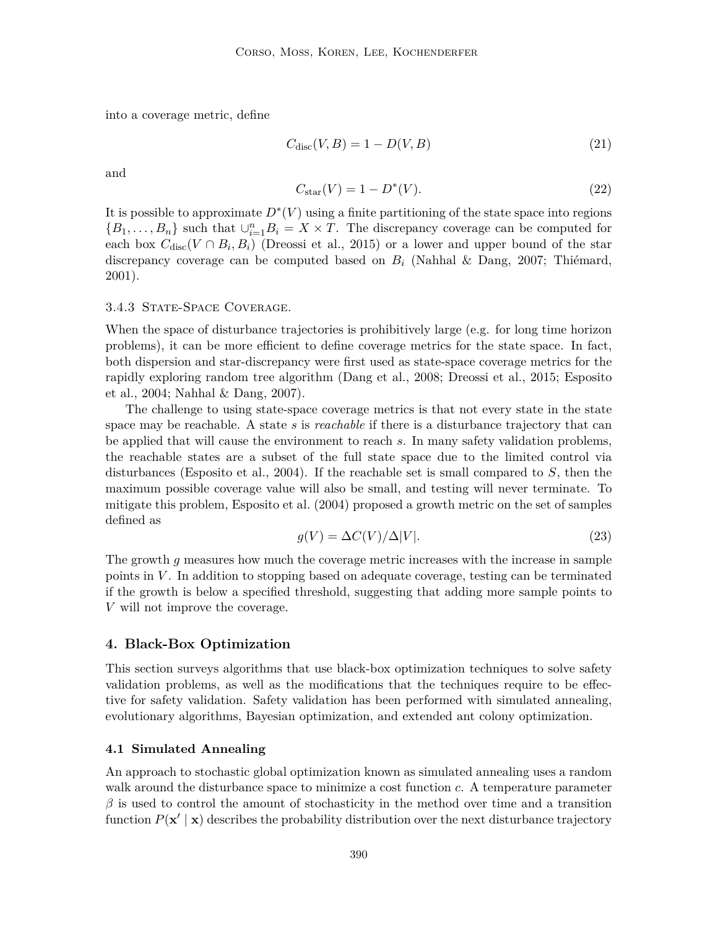into a coverage metric, define

$$
C_{\text{disc}}(V, B) = 1 - D(V, B) \tag{21}
$$

and

$$
C_{\text{star}}(V) = 1 - D^*(V). \tag{22}
$$

It is possible to approximate  $D^*(V)$  using a finite partitioning of the state space into regions  ${B_1, \ldots, B_n}$  such that  $\bigcup_{i=1}^n B_i = X \times T$ . The discrepancy coverage can be computed for each box  $C_{\text{disc}}(V \cap B_i, B_i)$  (Dreossi et al., 2015) or a lower and upper bound of the star discrepancy coverage can be computed based on  $B_i$  (Nahhal & Dang, 2007; Thiémard, 2001).

#### 3.4.3 STATE-SPACE COVERAGE.

When the space of disturbance trajectories is prohibitively large (e.g. for long time horizon problems), it can be more efficient to define coverage metrics for the state space. In fact, both dispersion and star-discrepancy were first used as state-space coverage metrics for the rapidly exploring random tree algorithm (Dang et al., 2008; Dreossi et al., 2015; Esposito et al., 2004; Nahhal & Dang, 2007).

The challenge to using state-space coverage metrics is that not every state in the state space may be reachable. A state s is *reachable* if there is a disturbance trajectory that can be applied that will cause the environment to reach s. In many safety validation problems, the reachable states are a subset of the full state space due to the limited control via disturbances (Esposito et al., 2004). If the reachable set is small compared to S, then the maximum possible coverage value will also be small, and testing will never terminate. To mitigate this problem, Esposito et al. (2004) proposed a growth metric on the set of samples defined as

$$
g(V) = \Delta C(V)/\Delta|V|.
$$
\n(23)

The growth g measures how much the coverage metric increases with the increase in sample points in  $V$ . In addition to stopping based on adequate coverage, testing can be terminated if the growth is below a specified threshold, suggesting that adding more sample points to V will not improve the coverage.

## **4. Black-Box Optimization**

This section surveys algorithms that use black-box optimization techniques to solve safety validation problems, as well as the modifications that the techniques require to be effective for safety validation. Safety validation has been performed with simulated annealing, evolutionary algorithms, Bayesian optimization, and extended ant colony optimization.

#### **4.1 Simulated Annealing**

An approach to stochastic global optimization known as simulated annealing uses a random walk around the disturbance space to minimize a cost function c. A temperature parameter  $\beta$  is used to control the amount of stochasticity in the method over time and a transition function  $P(\mathbf{x}' | \mathbf{x})$  describes the probability distribution over the next disturbance trajectory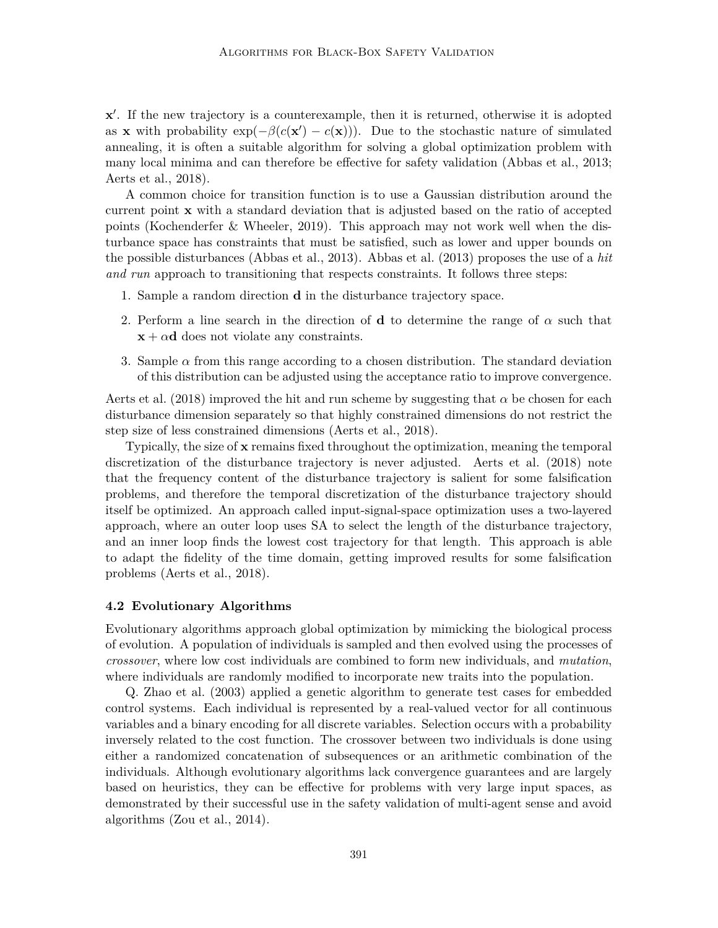x'. If the new trajectory is a counterexample, then it is returned, otherwise it is adopted as x with probability  $\exp(-\beta(c(\mathbf{x}') - c(\mathbf{x})))$ . Due to the stochastic nature of simulated annealing, it is often a suitable algorithm for solving a global optimization problem with many local minima and can therefore be effective for safety validation (Abbas et al., 2013; Aerts et al., 2018).

A common choice for transition function is to use a Gaussian distribution around the current point x with a standard deviation that is adjusted based on the ratio of accepted points (Kochenderfer & Wheeler, 2019). This approach may not work well when the disturbance space has constraints that must be satisfied, such as lower and upper bounds on the possible disturbances (Abbas et al., 2013). Abbas et al. (2013) proposes the use of a *hit and run* approach to transitioning that respects constraints. It follows three steps:

- 1. Sample a random direction d in the disturbance trajectory space.
- 2. Perform a line search in the direction of **d** to determine the range of  $\alpha$  such that  $x + \alpha d$  does not violate any constraints.
- 3. Sample  $\alpha$  from this range according to a chosen distribution. The standard deviation of this distribution can be adjusted using the acceptance ratio to improve convergence.

Aerts et al. (2018) improved the hit and run scheme by suggesting that  $\alpha$  be chosen for each disturbance dimension separately so that highly constrained dimensions do not restrict the step size of less constrained dimensions (Aerts et al., 2018).

Typically, the size of x remains fixed throughout the optimization, meaning the temporal discretization of the disturbance trajectory is never adjusted. Aerts et al. (2018) note that the frequency content of the disturbance trajectory is salient for some falsification problems, and therefore the temporal discretization of the disturbance trajectory should itself be optimized. An approach called input-signal-space optimization uses a two-layered approach, where an outer loop uses SA to select the length of the disturbance trajectory, and an inner loop finds the lowest cost trajectory for that length. This approach is able to adapt the fidelity of the time domain, getting improved results for some falsification problems (Aerts et al., 2018).

#### **4.2 Evolutionary Algorithms**

Evolutionary algorithms approach global optimization by mimicking the biological process of evolution. A population of individuals is sampled and then evolved using the processes of *crossover*, where low cost individuals are combined to form new individuals, and *mutation*, where individuals are randomly modified to incorporate new traits into the population.

Q. Zhao et al. (2003) applied a genetic algorithm to generate test cases for embedded control systems. Each individual is represented by a real-valued vector for all continuous variables and a binary encoding for all discrete variables. Selection occurs with a probability inversely related to the cost function. The crossover between two individuals is done using either a randomized concatenation of subsequences or an arithmetic combination of the individuals. Although evolutionary algorithms lack convergence guarantees and are largely based on heuristics, they can be effective for problems with very large input spaces, as demonstrated by their successful use in the safety validation of multi-agent sense and avoid algorithms (Zou et al., 2014).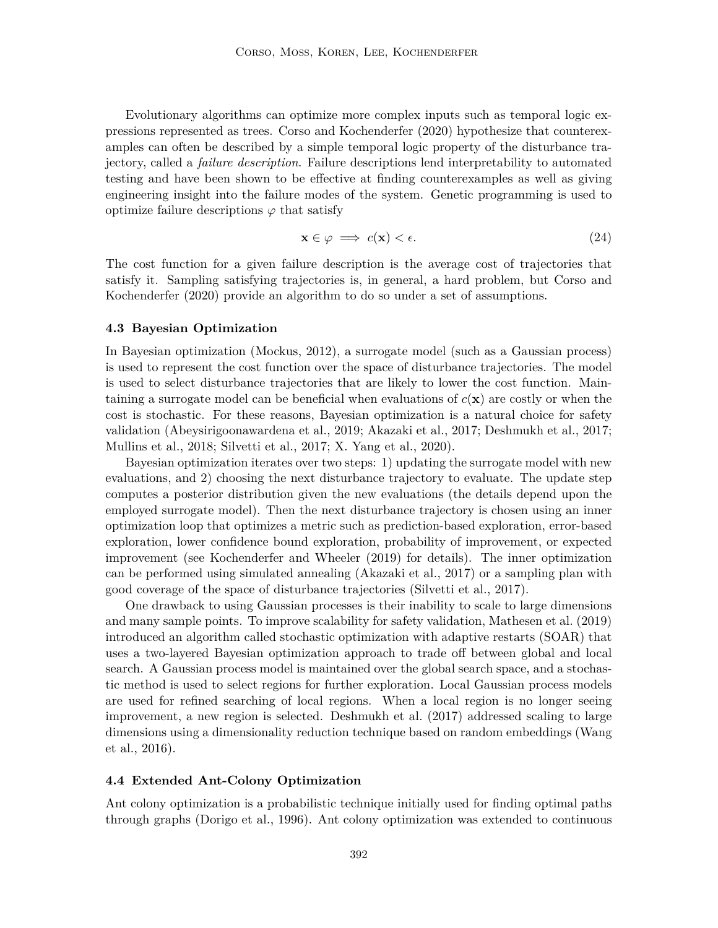Evolutionary algorithms can optimize more complex inputs such as temporal logic expressions represented as trees. Corso and Kochenderfer (2020) hypothesize that counterexamples can often be described by a simple temporal logic property of the disturbance trajectory, called a *failure description*. Failure descriptions lend interpretability to automated testing and have been shown to be effective at finding counterexamples as well as giving engineering insight into the failure modes of the system. Genetic programming is used to optimize failure descriptions  $\varphi$  that satisfy

$$
\mathbf{x} \in \varphi \implies c(\mathbf{x}) < \epsilon. \tag{24}
$$

The cost function for a given failure description is the average cost of trajectories that satisfy it. Sampling satisfying trajectories is, in general, a hard problem, but Corso and Kochenderfer (2020) provide an algorithm to do so under a set of assumptions.

#### **4.3 Bayesian Optimization**

In Bayesian optimization (Mockus, 2012), a surrogate model (such as a Gaussian process) is used to represent the cost function over the space of disturbance trajectories. The model is used to select disturbance trajectories that are likely to lower the cost function. Maintaining a surrogate model can be beneficial when evaluations of  $c(\mathbf{x})$  are costly or when the cost is stochastic. For these reasons, Bayesian optimization is a natural choice for safety validation (Abeysirigoonawardena et al., 2019; Akazaki et al., 2017; Deshmukh et al., 2017; Mullins et al., 2018; Silvetti et al., 2017; X. Yang et al., 2020).

Bayesian optimization iterates over two steps: 1) updating the surrogate model with new evaluations, and 2) choosing the next disturbance trajectory to evaluate. The update step computes a posterior distribution given the new evaluations (the details depend upon the employed surrogate model). Then the next disturbance trajectory is chosen using an inner optimization loop that optimizes a metric such as prediction-based exploration, error-based exploration, lower confidence bound exploration, probability of improvement, or expected improvement (see Kochenderfer and Wheeler (2019) for details). The inner optimization can be performed using simulated annealing (Akazaki et al., 2017) or a sampling plan with good coverage of the space of disturbance trajectories (Silvetti et al., 2017).

One drawback to using Gaussian processes is their inability to scale to large dimensions and many sample points. To improve scalability for safety validation, Mathesen et al. (2019) introduced an algorithm called stochastic optimization with adaptive restarts (SOAR) that uses a two-layered Bayesian optimization approach to trade off between global and local search. A Gaussian process model is maintained over the global search space, and a stochastic method is used to select regions for further exploration. Local Gaussian process models are used for refined searching of local regions. When a local region is no longer seeing improvement, a new region is selected. Deshmukh et al. (2017) addressed scaling to large dimensions using a dimensionality reduction technique based on random embeddings (Wang et al., 2016).

## **4.4 Extended Ant-Colony Optimization**

Ant colony optimization is a probabilistic technique initially used for finding optimal paths through graphs (Dorigo et al., 1996). Ant colony optimization was extended to continuous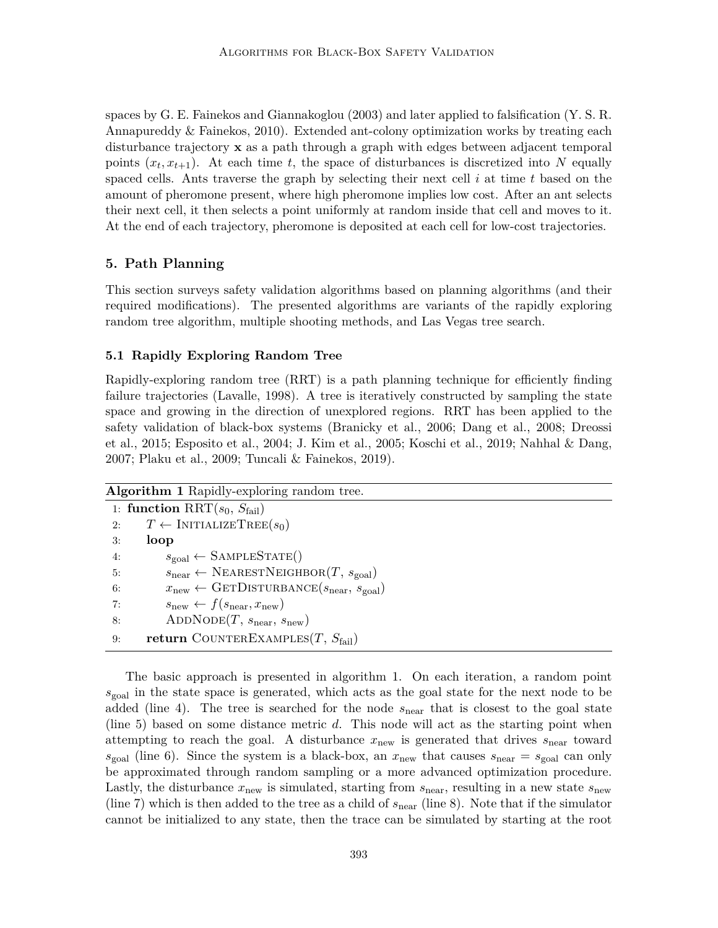spaces by G. E. Fainekos and Giannakoglou (2003) and later applied to falsification (Y. S. R. Annapureddy & Fainekos, 2010). Extended ant-colony optimization works by treating each disturbance trajectory x as a path through a graph with edges between adjacent temporal points  $(x_t, x_{t+1})$ . At each time t, the space of disturbances is discretized into N equally spaced cells. Ants traverse the graph by selecting their next cell  $i$  at time  $t$  based on the amount of pheromone present, where high pheromone implies low cost. After an ant selects their next cell, it then selects a point uniformly at random inside that cell and moves to it. At the end of each trajectory, pheromone is deposited at each cell for low-cost trajectories.

## **5. Path Planning**

This section surveys safety validation algorithms based on planning algorithms (and their required modifications). The presented algorithms are variants of the rapidly exploring random tree algorithm, multiple shooting methods, and Las Vegas tree search.

## **5.1 Rapidly Exploring Random Tree**

Rapidly-exploring random tree (RRT) is a path planning technique for efficiently finding failure trajectories (Lavalle, 1998). A tree is iteratively constructed by sampling the state space and growing in the direction of unexplored regions. RRT has been applied to the safety validation of black-box systems (Branicky et al., 2006; Dang et al., 2008; Dreossi et al., 2015; Esposito et al., 2004; J. Kim et al., 2005; Koschi et al., 2019; Nahhal & Dang, 2007; Plaku et al., 2009; Tuncali & Fainekos, 2019).

## **Algorithm 1** Rapidly-exploring random tree.

|    | 1: function RRT $(s_0, S_{\text{fail}})$                                            |
|----|-------------------------------------------------------------------------------------|
| 2: | $T \leftarrow \text{INITIALIZETREE}(s_0)$                                           |
| 3: | loop                                                                                |
| 4: | $s_{\text{goal}} \leftarrow$ SAMPLESTATE()                                          |
| 5: | $s_{\text{near}} \leftarrow \text{NEARESTNEIGHBOR}(T, s_{\text{goal}})$             |
| 6: | $x_{\text{new}} \leftarrow \text{GETDISTURBANCE}(s_{\text{near}}, s_{\text{goal}})$ |
| 7: | $s_{\text{new}} \leftarrow f(s_{\text{near}}, x_{\text{new}})$                      |
| 8: | $ADDNODE(T, s_{near}, s_{new})$                                                     |
| 9: | <b>return</b> COUNTEREXAMPLES $(T, S_{\text{fail}})$                                |

The basic approach is presented in algorithm 1. On each iteration, a random point  $s_{\text{goal}}$  in the state space is generated, which acts as the goal state for the next node to be added (line 4). The tree is searched for the node  $s_{\text{near}}$  that is closest to the goal state (line 5) based on some distance metric d. This node will act as the starting point when attempting to reach the goal. A disturbance  $x_{\text{new}}$  is generated that drives  $s_{\text{near}}$  toward  $s_{\text{goal}}$  (line 6). Since the system is a black-box, an  $x_{\text{new}}$  that causes  $s_{\text{near}} = s_{\text{goal}}$  can only be approximated through random sampling or a more advanced optimization procedure. Lastly, the disturbance  $x_{\text{new}}$  is simulated, starting from  $s_{\text{near}}$ , resulting in a new state  $s_{\text{new}}$ (line 7) which is then added to the tree as a child of  $s_{\text{near}}$  (line 8). Note that if the simulator cannot be initialized to any state, then the trace can be simulated by starting at the root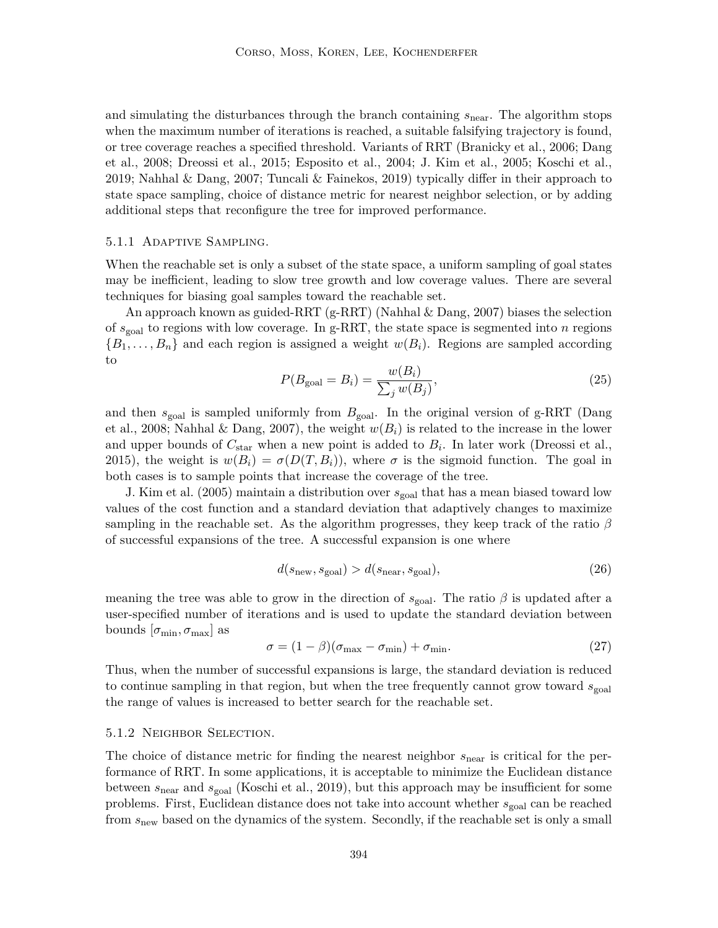and simulating the disturbances through the branch containing  $s_{\text{near}}$ . The algorithm stops when the maximum number of iterations is reached, a suitable falsifying trajectory is found, or tree coverage reaches a specified threshold. Variants of RRT (Branicky et al., 2006; Dang et al., 2008; Dreossi et al., 2015; Esposito et al., 2004; J. Kim et al., 2005; Koschi et al., 2019; Nahhal & Dang, 2007; Tuncali & Fainekos, 2019) typically differ in their approach to state space sampling, choice of distance metric for nearest neighbor selection, or by adding additional steps that reconfigure the tree for improved performance.

#### 5.1.1 Adaptive Sampling.

When the reachable set is only a subset of the state space, a uniform sampling of goal states may be inefficient, leading to slow tree growth and low coverage values. There are several techniques for biasing goal samples toward the reachable set.

An approach known as guided-RRT (g-RRT) (Nahhal & Dang, 2007) biases the selection of  $s_{\text{goal}}$  to regions with low coverage. In g-RRT, the state space is segmented into n regions  ${B_1, \ldots, B_n}$  and each region is assigned a weight  $w(B_i)$ . Regions are sampled according to

$$
P(B_{\text{goal}} = B_i) = \frac{w(B_i)}{\sum_j w(B_j)},
$$
\n<sup>(25)</sup>

and then  $s_{\text{goal}}$  is sampled uniformly from  $B_{\text{goal}}$ . In the original version of g-RRT (Dang et al., 2008; Nahhal & Dang, 2007), the weight  $w(B_i)$  is related to the increase in the lower and upper bounds of  $C_{\text{star}}$  when a new point is added to  $B_i$ . In later work (Dreossi et al., 2015), the weight is  $w(B_i) = \sigma(D(T, B_i))$ , where  $\sigma$  is the sigmoid function. The goal in both cases is to sample points that increase the coverage of the tree.

J. Kim et al. (2005) maintain a distribution over  $s_{\text{goal}}$  that has a mean biased toward low values of the cost function and a standard deviation that adaptively changes to maximize sampling in the reachable set. As the algorithm progresses, they keep track of the ratio  $\beta$ of successful expansions of the tree. A successful expansion is one where

$$
d(s_{\text{new}}, s_{\text{goal}}) > d(s_{\text{near}}, s_{\text{goal}}),
$$
\n(26)

meaning the tree was able to grow in the direction of  $s_{\text{goal}}$ . The ratio  $\beta$  is updated after a user-specified number of iterations and is used to update the standard deviation between bounds  $[\sigma_{\min}, \sigma_{\max}]$  as

$$
\sigma = (1 - \beta)(\sigma_{\text{max}} - \sigma_{\text{min}}) + \sigma_{\text{min}}.\tag{27}
$$

Thus, when the number of successful expansions is large, the standard deviation is reduced to continue sampling in that region, but when the tree frequently cannot grow toward  $s_{\text{goal}}$ the range of values is increased to better search for the reachable set.

#### 5.1.2 Neighbor Selection.

The choice of distance metric for finding the nearest neighbor  $s_{\text{near}}$  is critical for the performance of RRT. In some applications, it is acceptable to minimize the Euclidean distance between  $s_{\text{near}}$  and  $s_{\text{goal}}$  (Koschi et al., 2019), but this approach may be insufficient for some problems. First, Euclidean distance does not take into account whether  $s_{\text{goal}}$  can be reached from  $s_{\text{new}}$  based on the dynamics of the system. Secondly, if the reachable set is only a small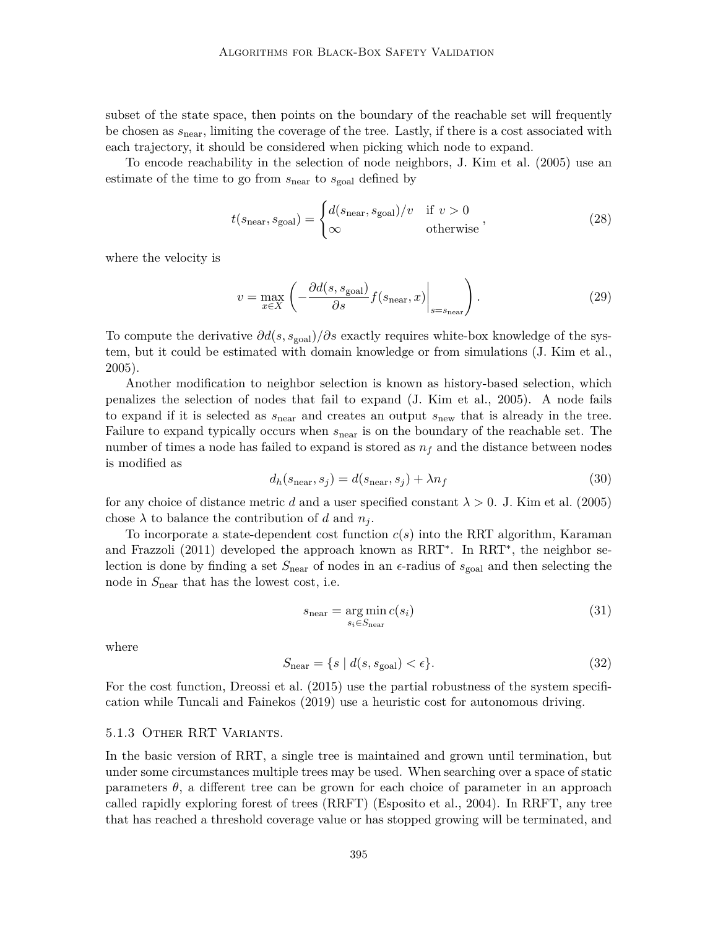subset of the state space, then points on the boundary of the reachable set will frequently be chosen as  $s_{\text{near}}$ , limiting the coverage of the tree. Lastly, if there is a cost associated with each trajectory, it should be considered when picking which node to expand.

To encode reachability in the selection of node neighbors, J. Kim et al. (2005) use an estimate of the time to go from  $s_{\text{near}}$  to  $s_{\text{goal}}$  defined by

$$
t(s_{\text{near}}, s_{\text{goal}}) = \begin{cases} d(s_{\text{near}}, s_{\text{goal}})/v & \text{if } v > 0\\ \infty & \text{otherwise} \end{cases}
$$
 (28)

where the velocity is

$$
v = \max_{x \in X} \left( -\frac{\partial d(s, s_{\text{goal}})}{\partial s} f(s_{\text{near}}, x) \Big|_{s = s_{\text{near}}} \right). \tag{29}
$$

To compute the derivative  $\partial d(s, s_{\text{goal}})/\partial s$  exactly requires white-box knowledge of the system, but it could be estimated with domain knowledge or from simulations (J. Kim et al., 2005).

Another modification to neighbor selection is known as history-based selection, which penalizes the selection of nodes that fail to expand (J. Kim et al., 2005). A node fails to expand if it is selected as  $s_{\text{near}}$  and creates an output  $s_{\text{new}}$  that is already in the tree. Failure to expand typically occurs when  $s_{\text{near}}$  is on the boundary of the reachable set. The number of times a node has failed to expand is stored as  $n_f$  and the distance between nodes is modified as

$$
d_h(s_{\text{near}}, s_j) = d(s_{\text{near}}, s_j) + \lambda n_f \tag{30}
$$

for any choice of distance metric d and a user specified constant  $\lambda > 0$ . J. Kim et al. (2005) chose  $\lambda$  to balance the contribution of d and  $n_i$ .

To incorporate a state-dependent cost function  $c(s)$  into the RRT algorithm, Karaman and Frazzoli (2011) developed the approach known as RRT<sup>\*</sup>. In RRT<sup>\*</sup>, the neighbor selection is done by finding a set  $S_{\text{near}}$  of nodes in an  $\epsilon$ -radius of  $s_{\text{goal}}$  and then selecting the node in  $S_{\text{near}}$  that has the lowest cost, i.e.

$$
s_{\text{near}} = \underset{s_i \in S_{\text{near}}}{\text{arg min}} c(s_i) \tag{31}
$$

where

$$
S_{\text{near}} = \{ s \mid d(s, s_{\text{goal}}) < \epsilon \}. \tag{32}
$$

For the cost function, Dreossi et al. (2015) use the partial robustness of the system specification while Tuncali and Fainekos (2019) use a heuristic cost for autonomous driving.

#### 5.1.3 Other RRT Variants.

In the basic version of RRT, a single tree is maintained and grown until termination, but under some circumstances multiple trees may be used. When searching over a space of static parameters  $\theta$ , a different tree can be grown for each choice of parameter in an approach called rapidly exploring forest of trees (RRFT) (Esposito et al., 2004). In RRFT, any tree that has reached a threshold coverage value or has stopped growing will be terminated, and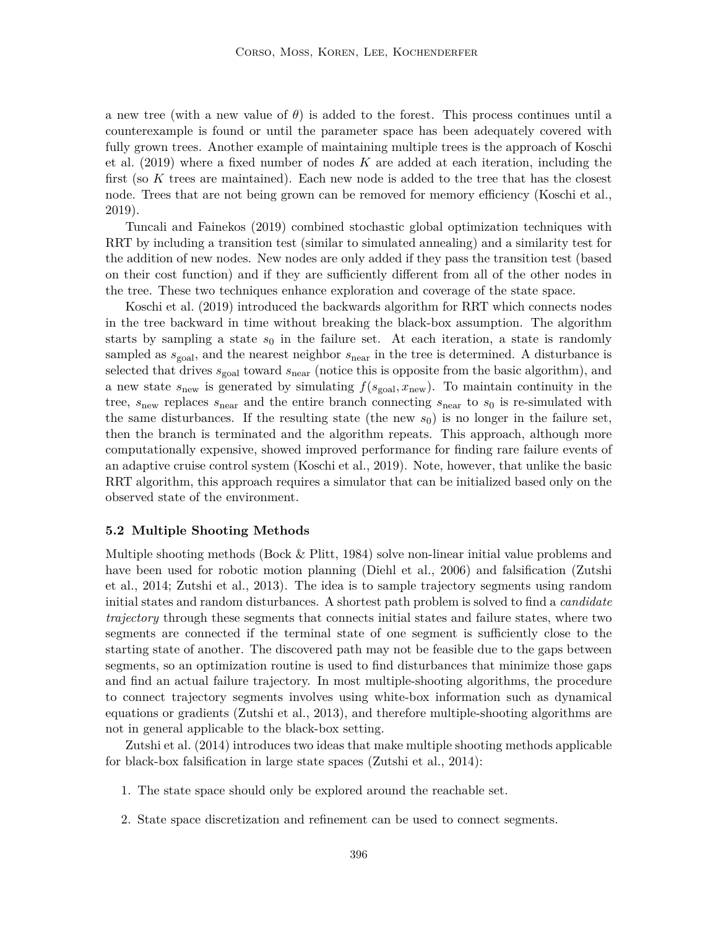a new tree (with a new value of  $\theta$ ) is added to the forest. This process continues until a counterexample is found or until the parameter space has been adequately covered with fully grown trees. Another example of maintaining multiple trees is the approach of Koschi et al.  $(2019)$  where a fixed number of nodes K are added at each iteration, including the first (so K trees are maintained). Each new node is added to the tree that has the closest node. Trees that are not being grown can be removed for memory efficiency (Koschi et al., 2019).

Tuncali and Fainekos (2019) combined stochastic global optimization techniques with RRT by including a transition test (similar to simulated annealing) and a similarity test for the addition of new nodes. New nodes are only added if they pass the transition test (based on their cost function) and if they are sufficiently different from all of the other nodes in the tree. These two techniques enhance exploration and coverage of the state space.

Koschi et al. (2019) introduced the backwards algorithm for RRT which connects nodes in the tree backward in time without breaking the black-box assumption. The algorithm starts by sampling a state  $s_0$  in the failure set. At each iteration, a state is randomly sampled as  $s_{\text{goal}}$ , and the nearest neighbor  $s_{\text{near}}$  in the tree is determined. A disturbance is selected that drives  $s_{\text{goal}}$  toward  $s_{\text{near}}$  (notice this is opposite from the basic algorithm), and a new state  $s_{\text{new}}$  is generated by simulating  $f(s_{\text{goal}}, x_{\text{new}})$ . To maintain continuity in the tree,  $s_{\text{new}}$  replaces  $s_{\text{near}}$  and the entire branch connecting  $s_{\text{near}}$  to  $s_0$  is re-simulated with the same disturbances. If the resulting state (the new  $s_0$ ) is no longer in the failure set, then the branch is terminated and the algorithm repeats. This approach, although more computationally expensive, showed improved performance for finding rare failure events of an adaptive cruise control system (Koschi et al., 2019). Note, however, that unlike the basic RRT algorithm, this approach requires a simulator that can be initialized based only on the observed state of the environment.

#### **5.2 Multiple Shooting Methods**

Multiple shooting methods (Bock & Plitt, 1984) solve non-linear initial value problems and have been used for robotic motion planning (Diehl et al., 2006) and falsification (Zutshi et al., 2014; Zutshi et al., 2013). The idea is to sample trajectory segments using random initial states and random disturbances. A shortest path problem is solved to find a *candidate trajectory* through these segments that connects initial states and failure states, where two segments are connected if the terminal state of one segment is sufficiently close to the starting state of another. The discovered path may not be feasible due to the gaps between segments, so an optimization routine is used to find disturbances that minimize those gaps and find an actual failure trajectory. In most multiple-shooting algorithms, the procedure to connect trajectory segments involves using white-box information such as dynamical equations or gradients (Zutshi et al., 2013), and therefore multiple-shooting algorithms are not in general applicable to the black-box setting.

Zutshi et al. (2014) introduces two ideas that make multiple shooting methods applicable for black-box falsification in large state spaces (Zutshi et al., 2014):

- 1. The state space should only be explored around the reachable set.
- 2. State space discretization and refinement can be used to connect segments.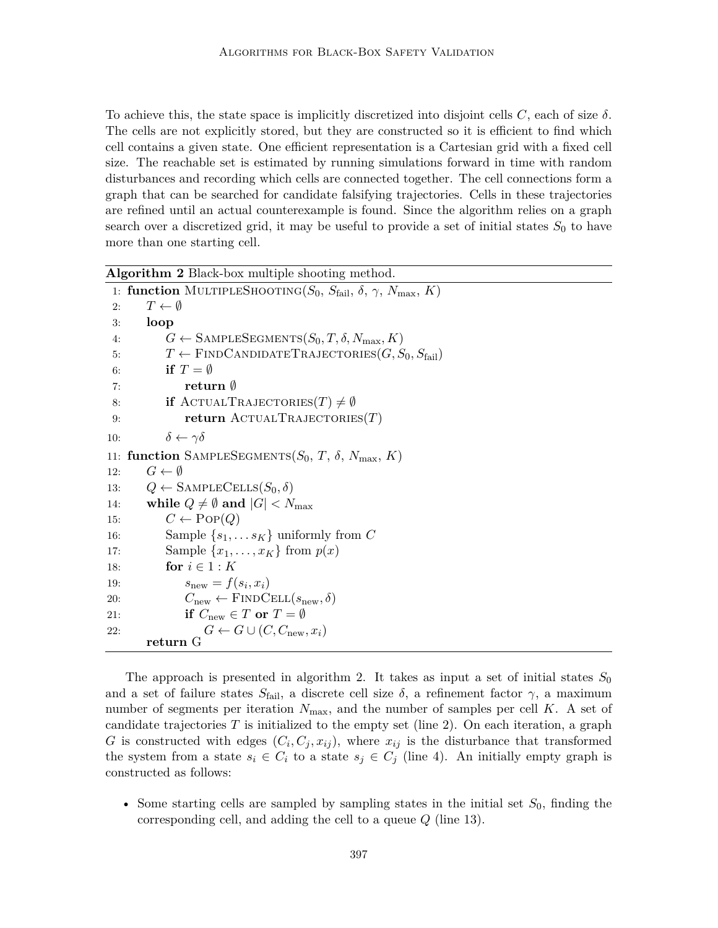To achieve this, the state space is implicitly discretized into disjoint cells C, each of size  $\delta$ . The cells are not explicitly stored, but they are constructed so it is efficient to find which cell contains a given state. One efficient representation is a Cartesian grid with a fixed cell size. The reachable set is estimated by running simulations forward in time with random disturbances and recording which cells are connected together. The cell connections form a graph that can be searched for candidate falsifying trajectories. Cells in these trajectories are refined until an actual counterexample is found. Since the algorithm relies on a graph search over a discretized grid, it may be useful to provide a set of initial states  $S_0$  to have more than one starting cell.

| Algorithm 2 Black-box multiple shooting method. |                                                                                                          |  |  |  |
|-------------------------------------------------|----------------------------------------------------------------------------------------------------------|--|--|--|
|                                                 | 1: function MULTIPLESHOOTING( $S_0$ , $S_{\text{fail}}$ , $\delta$ , $\gamma$ , $N_{\text{max}}$ , $K$ ) |  |  |  |
| 2:                                              | $T \leftarrow \emptyset$                                                                                 |  |  |  |
| 3:                                              | loop                                                                                                     |  |  |  |
| 4:                                              | $G \leftarrow$ SAMPLESEGMENTS $(S_0, T, \delta, N_{\text{max}}, K)$                                      |  |  |  |
| 5:                                              | $T \leftarrow$ FINDCANDIDATETRAJECTORIES $(G, S_0, S_{\text{fail}})$                                     |  |  |  |
| 6:                                              | if $T = \emptyset$                                                                                       |  |  |  |
| 7:                                              | return $\emptyset$                                                                                       |  |  |  |
| 8:                                              | <b>if</b> ACTUALTRAJECTORIES $(T) \neq \emptyset$                                                        |  |  |  |
| 9:                                              | return $\text{ACTUALTRAJECTORIES}(T)$                                                                    |  |  |  |
| 10:                                             | $\delta \leftarrow \gamma \delta$                                                                        |  |  |  |
|                                                 | 11: function SAMPLESEGMENTS( $S_0$ , T, $\delta$ , $N_{\text{max}}$ , K)                                 |  |  |  |
| 12:                                             | $G \leftarrow \emptyset$                                                                                 |  |  |  |
| 13:                                             | $Q \leftarrow$ SAMPLECELLS $(S_0, \delta)$                                                               |  |  |  |
| 14:                                             | while $Q \neq \emptyset$ and $ G  < N_{\text{max}}$                                                      |  |  |  |
| 15:                                             | $C \leftarrow \text{Pop}(Q)$                                                                             |  |  |  |
| 16:                                             | Sample $\{s_1, \ldots s_K\}$ uniformly from C                                                            |  |  |  |
| 17:                                             | Sample $\{x_1, \ldots, x_K\}$ from $p(x)$                                                                |  |  |  |
| 18:                                             | for $i \in 1: K$                                                                                         |  |  |  |
| 19:                                             | $s_{\text{new}} = f(s_i, x_i)$                                                                           |  |  |  |
| 20:                                             | $C_{\text{new}} \leftarrow \text{FINDCELL}(s_{\text{new}}, \delta)$                                      |  |  |  |
| 21:                                             | if $C_{\text{new}} \in T$ or $T = \emptyset$                                                             |  |  |  |
| 22:                                             | $G \leftarrow G \cup (C, C_{\text{new}}, x_i)$                                                           |  |  |  |
|                                                 | return G                                                                                                 |  |  |  |

The approach is presented in algorithm 2. It takes as input a set of initial states  $S_0$ and a set of failure states  $S_{\text{fail}}$ , a discrete cell size  $\delta$ , a refinement factor  $\gamma$ , a maximum number of segments per iteration  $N_{\text{max}}$ , and the number of samples per cell K. A set of candidate trajectories  $T$  is initialized to the empty set (line 2). On each iteration, a graph G is constructed with edges  $(C_i, C_j, x_{ij})$ , where  $x_{ij}$  is the disturbance that transformed the system from a state  $s_i \in C_i$  to a state  $s_j \in C_j$  (line 4). An initially empty graph is constructed as follows:

• Some starting cells are sampled by sampling states in the initial set  $S_0$ , finding the corresponding cell, and adding the cell to a queue  $Q$  (line 13).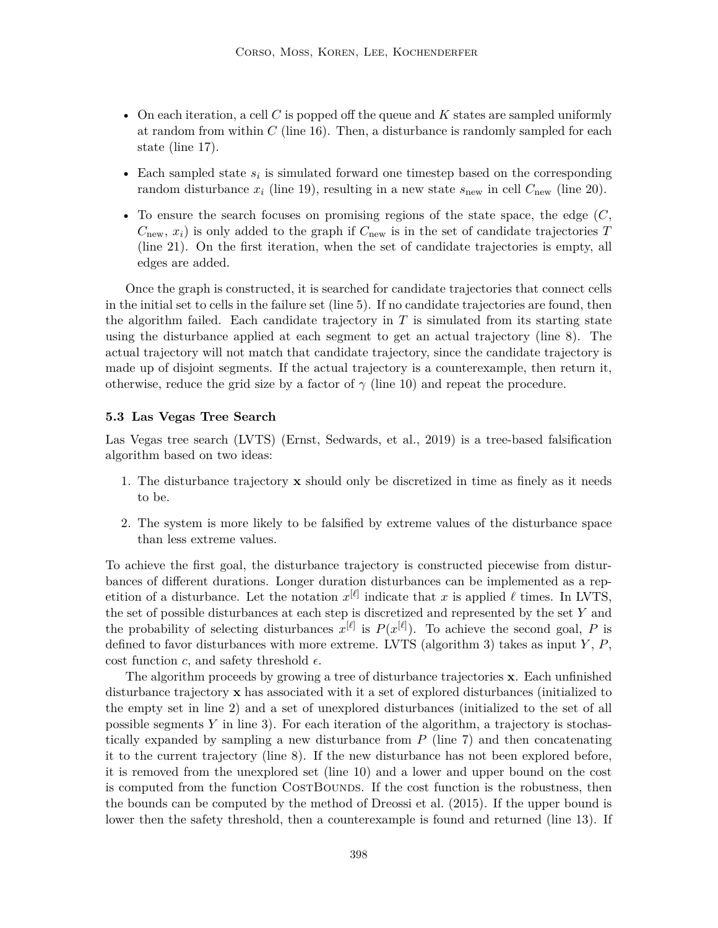- On each iteration, a cell C is popped off the queue and  $K$  states are sampled uniformly at random from within  $C$  (line 16). Then, a disturbance is randomly sampled for each state (line 17).
- Each sampled state  $s_i$  is simulated forward one timestep based on the corresponding random disturbance  $x_i$  (line 19), resulting in a new state  $s_{\text{new}}$  in cell  $C_{\text{new}}$  (line 20).
- To ensure the search focuses on promising regions of the state space, the edge  $(C,$  $C_{\text{new}}$ ,  $x_i$ ) is only added to the graph if  $C_{\text{new}}$  is in the set of candidate trajectories T (line 21). On the first iteration, when the set of candidate trajectories is empty, all edges are added.

Once the graph is constructed, it is searched for candidate trajectories that connect cells in the initial set to cells in the failure set (line 5). If no candidate trajectories are found, then the algorithm failed. Each candidate trajectory in  $T$  is simulated from its starting state using the disturbance applied at each segment to get an actual trajectory (line 8). The actual trajectory will not match that candidate trajectory, since the candidate trajectory is made up of disjoint segments. If the actual trajectory is a counterexample, then return it, otherwise, reduce the grid size by a factor of  $\gamma$  (line 10) and repeat the procedure.

#### **5.3 Las Vegas Tree Search**

Las Vegas tree search (LVTS) (Ernst, Sedwards, et al., 2019) is a tree-based falsification algorithm based on two ideas:

- 1. The disturbance trajectory  $x$  should only be discretized in time as finely as it needs to be.
- 2. The system is more likely to be falsified by extreme values of the disturbance space than less extreme values.

To achieve the first goal, the disturbance trajectory is constructed piecewise from disturbances of different durations. Longer duration disturbances can be implemented as a repetition of a disturbance. Let the notation  $x^{[\ell]}$  indicate that x is applied  $\ell$  times. In LVTS, the set of possible disturbances at each step is discretized and represented by the set  $Y$  and the probability of selecting disturbances  $x^{[\ell]}$  is  $P(x^{[\ell]})$ . To achieve the second goal, P is defined to favor disturbances with more extreme. LVTS (algorithm 3) takes as input  $Y, P$ , cost function c, and safety threshold  $\epsilon$ .

The algorithm proceeds by growing a tree of disturbance trajectories x. Each unfinished disturbance trajectory x has associated with it a set of explored disturbances (initialized to the empty set in line 2) and a set of unexplored disturbances (initialized to the set of all possible segments Y in line 3). For each iteration of the algorithm, a trajectory is stochastically expanded by sampling a new disturbance from  $P$  (line 7) and then concatenating it to the current trajectory (line 8). If the new disturbance has not been explored before, it is removed from the unexplored set (line 10) and a lower and upper bound on the cost is computed from the function COSTBOUNDS. If the cost function is the robustness, then the bounds can be computed by the method of Dreossi et al. (2015). If the upper bound is lower then the safety threshold, then a counterexample is found and returned (line 13). If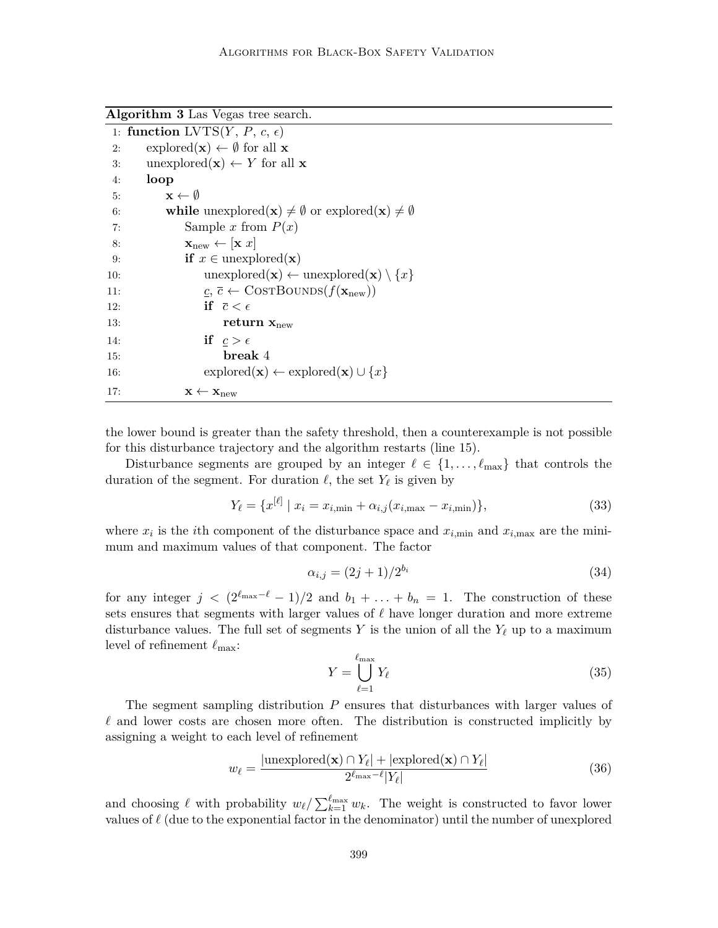**Algorithm 3** Las Vegas tree search.

|     | 1: function LVTS $(Y, P, c, \epsilon)$                                                 |
|-----|----------------------------------------------------------------------------------------|
| 2:  | $\exp{\rm bred}({\bf x}) \leftarrow \emptyset$ for all <b>x</b>                        |
| 3:  | unexplored( <b>x</b> ) $\leftarrow$ <i>Y</i> for all <b>x</b>                          |
| 4:  | loop                                                                                   |
| 5:  | $\mathbf{x} \leftarrow \emptyset$                                                      |
| 6:  | while unexplored(x) $\neq \emptyset$ or explored(x) $\neq \emptyset$                   |
| 7:  | Sample x from $P(x)$                                                                   |
| 8:  | $\mathbf{x}_{\text{new}} \leftarrow [\mathbf{x} \ x]$                                  |
| 9:  | <b>if</b> $x \in$ unexplored( <b>x</b> )                                               |
| 10: | $unexplored(x) \leftarrow unexplored(x) \setminus \{x\}$                               |
| 11: | $\underline{c}, \overline{c} \leftarrow \text{CosrBounDS}(f(\mathbf{x}_{\text{new}}))$ |
| 12: | if $\bar{c} < \epsilon$                                                                |
| 13: | return $x_{new}$                                                                       |
| 14: | if $c > \epsilon$                                                                      |
| 15: | break 4                                                                                |
| 16: | $\mathrm{explored}(\mathbf{x}) \leftarrow \mathrm{explored}(\mathbf{x}) \cup \{x\}$    |
| 17: | $\mathbf{x} \leftarrow \mathbf{x}_{\text{new}}$                                        |

the lower bound is greater than the safety threshold, then a counterexample is not possible for this disturbance trajectory and the algorithm restarts (line 15).

Disturbance segments are grouped by an integer  $\ell \in \{1, \ldots, \ell_{\max}\}\$  that controls the duration of the segment. For duration  $\ell$ , the set  $Y_{\ell}$  is given by

$$
Y_{\ell} = \{ x^{[\ell]} \mid x_i = x_{i,\min} + \alpha_{i,j} (x_{i,\max} - x_{i,\min}) \},
$$
\n(33)

where  $x_i$  is the *i*th component of the disturbance space and  $x_{i,\text{min}}$  and  $x_{i,\text{max}}$  are the minimum and maximum values of that component. The factor

$$
\alpha_{i,j} = (2j+1)/2^{b_i} \tag{34}
$$

for any integer  $j < (2^{\ell_{\max}-\ell} - 1)/2$  and  $b_1 + \ldots + b_n = 1$ . The construction of these sets ensures that segments with larger values of  $\ell$  have longer duration and more extreme disturbance values. The full set of segments Y is the union of all the  $Y_{\ell}$  up to a maximum level of refinement  $\ell_{\text{max}}$ :

$$
Y = \bigcup_{\ell=1}^{\ell_{\text{max}}} Y_{\ell} \tag{35}
$$

The segment sampling distribution P ensures that disturbances with larger values of  $\ell$  and lower costs are chosen more often. The distribution is constructed implicitly by assigning a weight to each level of refinement

$$
w_{\ell} = \frac{|\text{unexplored}(\mathbf{x}) \cap Y_{\ell}| + |\text{explored}(\mathbf{x}) \cap Y_{\ell}|}{2^{\ell_{\text{max}} - \ell} |Y_{\ell}|}
$$
(36)

and choosing  $\ell$  with probability  $w_{\ell}/\sum_{k=1}^{\ell_{\max}} w_k$ . The weight is constructed to favor lower values of  $\ell$  (due to the exponential factor in the denominator) until the number of unexplored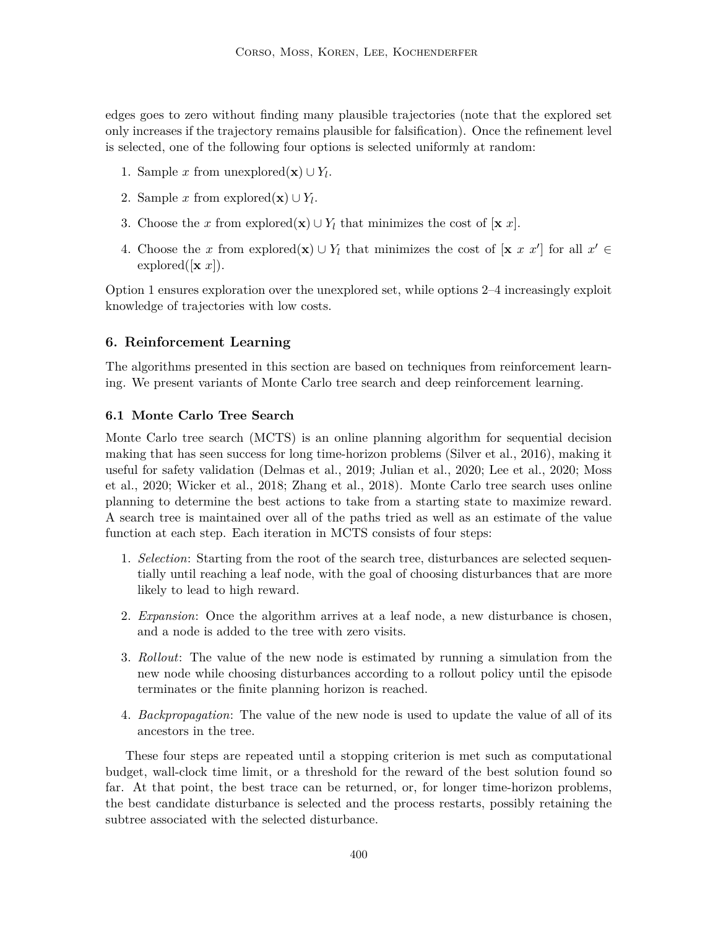edges goes to zero without finding many plausible trajectories (note that the explored set only increases if the trajectory remains plausible for falsification). Once the refinement level is selected, one of the following four options is selected uniformly at random:

- 1. Sample x from unexplored( $\mathbf{x}$ ) ∪  $Y_l$ .
- 2. Sample x from explored( $\mathbf{x}$ ) ∪  $Y_l$ .
- 3. Choose the x from explored(x)  $\cup Y_l$  that minimizes the cost of [x x].
- 4. Choose the x from explored(x)  $\cup Y_l$  that minimizes the cost of [x x x'] for all  $x' \in$ explored( $[\mathbf{x} \ x]$ ).

Option 1 ensures exploration over the unexplored set, while options 2–4 increasingly exploit knowledge of trajectories with low costs.

# **6. Reinforcement Learning**

The algorithms presented in this section are based on techniques from reinforcement learning. We present variants of Monte Carlo tree search and deep reinforcement learning.

## **6.1 Monte Carlo Tree Search**

Monte Carlo tree search (MCTS) is an online planning algorithm for sequential decision making that has seen success for long time-horizon problems (Silver et al., 2016), making it useful for safety validation (Delmas et al., 2019; Julian et al., 2020; Lee et al., 2020; Moss et al., 2020; Wicker et al., 2018; Zhang et al., 2018). Monte Carlo tree search uses online planning to determine the best actions to take from a starting state to maximize reward. A search tree is maintained over all of the paths tried as well as an estimate of the value function at each step. Each iteration in MCTS consists of four steps:

- 1. *Selection*: Starting from the root of the search tree, disturbances are selected sequentially until reaching a leaf node, with the goal of choosing disturbances that are more likely to lead to high reward.
- 2. *Expansion*: Once the algorithm arrives at a leaf node, a new disturbance is chosen, and a node is added to the tree with zero visits.
- 3. *Rollout*: The value of the new node is estimated by running a simulation from the new node while choosing disturbances according to a rollout policy until the episode terminates or the finite planning horizon is reached.
- 4. *Backpropagation*: The value of the new node is used to update the value of all of its ancestors in the tree.

These four steps are repeated until a stopping criterion is met such as computational budget, wall-clock time limit, or a threshold for the reward of the best solution found so far. At that point, the best trace can be returned, or, for longer time-horizon problems, the best candidate disturbance is selected and the process restarts, possibly retaining the subtree associated with the selected disturbance.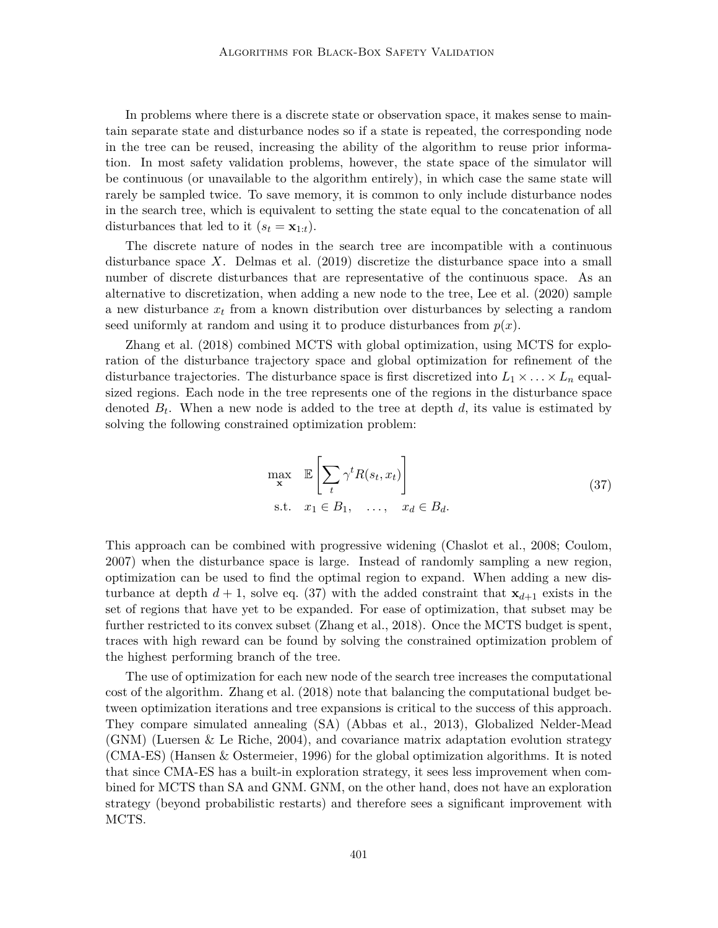In problems where there is a discrete state or observation space, it makes sense to maintain separate state and disturbance nodes so if a state is repeated, the corresponding node in the tree can be reused, increasing the ability of the algorithm to reuse prior information. In most safety validation problems, however, the state space of the simulator will be continuous (or unavailable to the algorithm entirely), in which case the same state will rarely be sampled twice. To save memory, it is common to only include disturbance nodes in the search tree, which is equivalent to setting the state equal to the concatenation of all disturbances that led to it  $(s_t = \mathbf{x}_{1:t}).$ 

The discrete nature of nodes in the search tree are incompatible with a continuous disturbance space X. Delmas et al. (2019) discretize the disturbance space into a small number of discrete disturbances that are representative of the continuous space. As an alternative to discretization, when adding a new node to the tree, Lee et al. (2020) sample a new disturbance  $x_t$  from a known distribution over disturbances by selecting a random seed uniformly at random and using it to produce disturbances from  $p(x)$ .

Zhang et al. (2018) combined MCTS with global optimization, using MCTS for exploration of the disturbance trajectory space and global optimization for refinement of the disturbance trajectories. The disturbance space is first discretized into  $L_1 \times \ldots \times L_n$  equalsized regions. Each node in the tree represents one of the regions in the disturbance space denoted  $B_t$ . When a new node is added to the tree at depth  $d$ , its value is estimated by solving the following constrained optimization problem:

$$
\max_{\mathbf{x}} \mathbb{E}\left[\sum_{t} \gamma^{t} R(s_t, x_t)\right]
$$
  
s.t.  $x_1 \in B_1, \dots, x_d \in B_d.$  (37)

This approach can be combined with progressive widening (Chaslot et al., 2008; Coulom, 2007) when the disturbance space is large. Instead of randomly sampling a new region, optimization can be used to find the optimal region to expand. When adding a new disturbance at depth  $d + 1$ , solve eq. (37) with the added constraint that  $x_{d+1}$  exists in the set of regions that have yet to be expanded. For ease of optimization, that subset may be further restricted to its convex subset (Zhang et al., 2018). Once the MCTS budget is spent, traces with high reward can be found by solving the constrained optimization problem of the highest performing branch of the tree.

The use of optimization for each new node of the search tree increases the computational cost of the algorithm. Zhang et al. (2018) note that balancing the computational budget between optimization iterations and tree expansions is critical to the success of this approach. They compare simulated annealing (SA) (Abbas et al., 2013), Globalized Nelder-Mead (GNM) (Luersen & Le Riche, 2004), and covariance matrix adaptation evolution strategy (CMA-ES) (Hansen & Ostermeier, 1996) for the global optimization algorithms. It is noted that since CMA-ES has a built-in exploration strategy, it sees less improvement when combined for MCTS than SA and GNM. GNM, on the other hand, does not have an exploration strategy (beyond probabilistic restarts) and therefore sees a significant improvement with MCTS.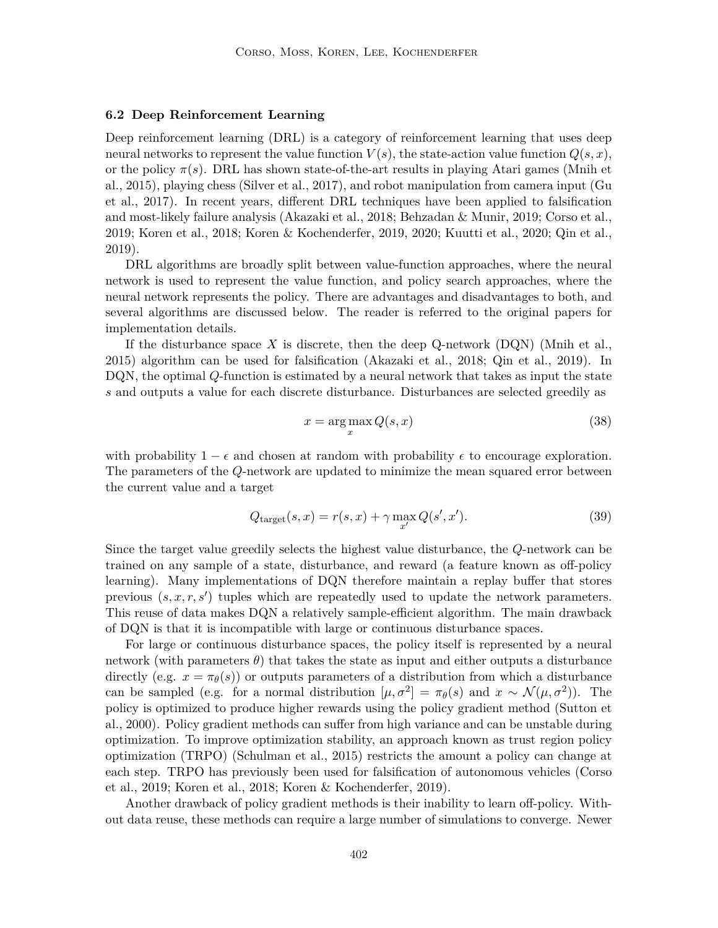#### **6.2 Deep Reinforcement Learning**

Deep reinforcement learning (DRL) is a category of reinforcement learning that uses deep neural networks to represent the value function  $V(s)$ , the state-action value function  $Q(s, x)$ , or the policy  $\pi(s)$ . DRL has shown state-of-the-art results in playing Atari games (Mnih et al., 2015), playing chess (Silver et al., 2017), and robot manipulation from camera input (Gu et al., 2017). In recent years, different DRL techniques have been applied to falsification and most-likely failure analysis (Akazaki et al., 2018; Behzadan & Munir, 2019; Corso et al., 2019; Koren et al., 2018; Koren & Kochenderfer, 2019, 2020; Kuutti et al., 2020; Qin et al., 2019).

DRL algorithms are broadly split between value-function approaches, where the neural network is used to represent the value function, and policy search approaches, where the neural network represents the policy. There are advantages and disadvantages to both, and several algorithms are discussed below. The reader is referred to the original papers for implementation details.

If the disturbance space X is discrete, then the deep Q-network  $(DQN)$  (Mnih et al., 2015) algorithm can be used for falsification (Akazaki et al., 2018; Qin et al., 2019). In DQN, the optimal Q-function is estimated by a neural network that takes as input the state s and outputs a value for each discrete disturbance. Disturbances are selected greedily as

$$
x = \arg\max_{x} Q(s, x) \tag{38}
$$

with probability  $1 - \epsilon$  and chosen at random with probability  $\epsilon$  to encourage exploration. The parameters of the Q-network are updated to minimize the mean squared error between the current value and a target

$$
Q_{\text{target}}(s, x) = r(s, x) + \gamma \max_{x'} Q(s', x'). \tag{39}
$$

Since the target value greedily selects the highest value disturbance, the Q-network can be trained on any sample of a state, disturbance, and reward (a feature known as off-policy learning). Many implementations of DQN therefore maintain a replay buffer that stores previous  $(s, x, r, s')$  tuples which are repeatedly used to update the network parameters. This reuse of data makes DQN a relatively sample-efficient algorithm. The main drawback of DQN is that it is incompatible with large or continuous disturbance spaces.

For large or continuous disturbance spaces, the policy itself is represented by a neural network (with parameters  $\theta$ ) that takes the state as input and either outputs a disturbance directly (e.g.  $x = \pi_{\theta}(s)$ ) or outputs parameters of a distribution from which a disturbance can be sampled (e.g. for a normal distribution  $[\mu, \sigma^2] = \pi_\theta(s)$  and  $x \sim \mathcal{N}(\mu, \sigma^2)$ ). The policy is optimized to produce higher rewards using the policy gradient method (Sutton et al., 2000). Policy gradient methods can suffer from high variance and can be unstable during optimization. To improve optimization stability, an approach known as trust region policy optimization (TRPO) (Schulman et al., 2015) restricts the amount a policy can change at each step. TRPO has previously been used for falsification of autonomous vehicles (Corso et al., 2019; Koren et al., 2018; Koren & Kochenderfer, 2019).

Another drawback of policy gradient methods is their inability to learn off-policy. Without data reuse, these methods can require a large number of simulations to converge. Newer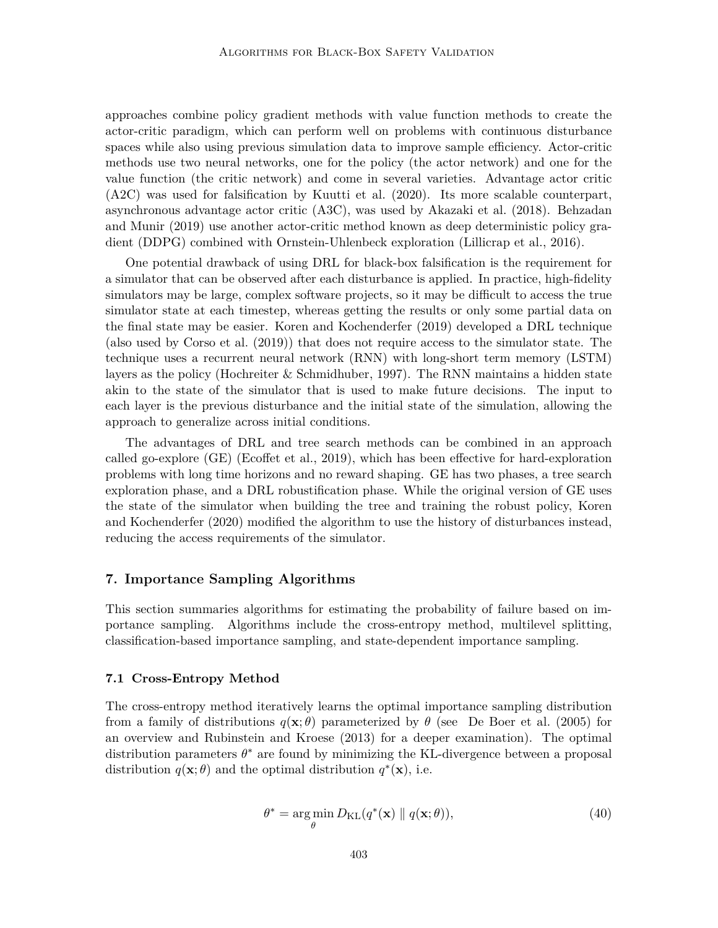approaches combine policy gradient methods with value function methods to create the actor-critic paradigm, which can perform well on problems with continuous disturbance spaces while also using previous simulation data to improve sample efficiency. Actor-critic methods use two neural networks, one for the policy (the actor network) and one for the value function (the critic network) and come in several varieties. Advantage actor critic (A2C) was used for falsification by Kuutti et al. (2020). Its more scalable counterpart, asynchronous advantage actor critic (A3C), was used by Akazaki et al. (2018). Behzadan and Munir (2019) use another actor-critic method known as deep deterministic policy gradient (DDPG) combined with Ornstein-Uhlenbeck exploration (Lillicrap et al., 2016).

One potential drawback of using DRL for black-box falsification is the requirement for a simulator that can be observed after each disturbance is applied. In practice, high-fidelity simulators may be large, complex software projects, so it may be difficult to access the true simulator state at each timestep, whereas getting the results or only some partial data on the final state may be easier. Koren and Kochenderfer (2019) developed a DRL technique (also used by Corso et al. (2019)) that does not require access to the simulator state. The technique uses a recurrent neural network (RNN) with long-short term memory (LSTM) layers as the policy (Hochreiter & Schmidhuber, 1997). The RNN maintains a hidden state akin to the state of the simulator that is used to make future decisions. The input to each layer is the previous disturbance and the initial state of the simulation, allowing the approach to generalize across initial conditions.

The advantages of DRL and tree search methods can be combined in an approach called go-explore (GE) (Ecoffet et al., 2019), which has been effective for hard-exploration problems with long time horizons and no reward shaping. GE has two phases, a tree search exploration phase, and a DRL robustification phase. While the original version of GE uses the state of the simulator when building the tree and training the robust policy, Koren and Kochenderfer (2020) modified the algorithm to use the history of disturbances instead, reducing the access requirements of the simulator.

## **7. Importance Sampling Algorithms**

This section summaries algorithms for estimating the probability of failure based on importance sampling. Algorithms include the cross-entropy method, multilevel splitting, classification-based importance sampling, and state-dependent importance sampling.

#### **7.1 Cross-Entropy Method**

The cross-entropy method iteratively learns the optimal importance sampling distribution from a family of distributions  $q(\mathbf{x}; \theta)$  parameterized by  $\theta$  (see De Boer et al. (2005) for an overview and Rubinstein and Kroese (2013) for a deeper examination). The optimal distribution parameters  $\theta^*$  are found by minimizing the KL-divergence between a proposal distribution  $q(\mathbf{x}; \theta)$  and the optimal distribution  $q^*(\mathbf{x})$ , i.e.

$$
\theta^* = \underset{\theta}{\arg\min} \, D_{\text{KL}}(q^*(\mathbf{x}) \parallel q(\mathbf{x}; \theta)), \tag{40}
$$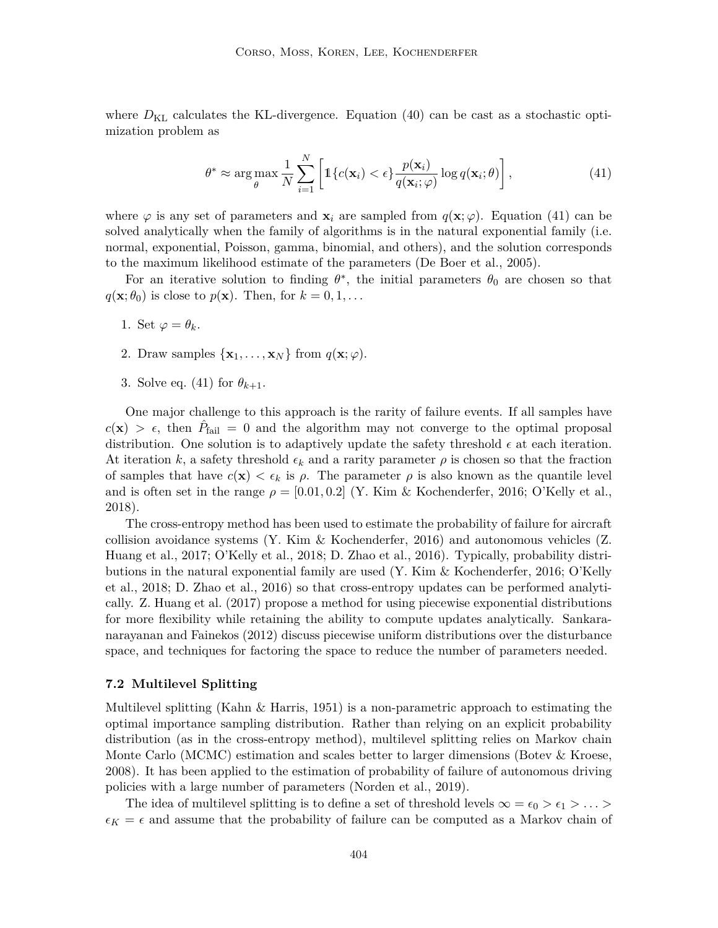where  $D_{\text{KL}}$  calculates the KL-divergence. Equation (40) can be cast as a stochastic optimization problem as

$$
\theta^* \approx \arg \max_{\theta} \frac{1}{N} \sum_{i=1}^N \left[ \mathbb{1} \{ c(\mathbf{x}_i) < \epsilon \} \frac{p(\mathbf{x}_i)}{q(\mathbf{x}_i; \varphi)} \log q(\mathbf{x}_i; \theta) \right],\tag{41}
$$

where  $\varphi$  is any set of parameters and  $\mathbf{x}_i$  are sampled from  $q(\mathbf{x}; \varphi)$ . Equation (41) can be solved analytically when the family of algorithms is in the natural exponential family (i.e. normal, exponential, Poisson, gamma, binomial, and others), and the solution corresponds to the maximum likelihood estimate of the parameters (De Boer et al., 2005).

For an iterative solution to finding  $\theta^*$ , the initial parameters  $\theta_0$  are chosen so that  $q(\mathbf{x}; \theta_0)$  is close to  $p(\mathbf{x})$ . Then, for  $k = 0, 1, \dots$ 

- 1. Set  $\varphi = \theta_k$ .
- 2. Draw samples  $\{x_1, \ldots, x_N\}$  from  $q(\mathbf{x}; \varphi)$ .
- 3. Solve eq. (41) for  $\theta_{k+1}$ .

One major challenge to this approach is the rarity of failure events. If all samples have  $c(\mathbf{x}) > \epsilon$ , then  $\hat{P}_{\text{fail}} = 0$  and the algorithm may not converge to the optimal proposal distribution. One solution is to adaptively update the safety threshold  $\epsilon$  at each iteration. At iteration k, a safety threshold  $\epsilon_k$  and a rarity parameter  $\rho$  is chosen so that the fraction of samples that have  $c(\mathbf{x}) < \epsilon_k$  is  $\rho$ . The parameter  $\rho$  is also known as the quantile level and is often set in the range  $\rho = [0.01, 0.2]$  (Y. Kim & Kochenderfer, 2016; O'Kelly et al., 2018).

The cross-entropy method has been used to estimate the probability of failure for aircraft collision avoidance systems (Y. Kim & Kochenderfer, 2016) and autonomous vehicles (Z. Huang et al., 2017; O'Kelly et al., 2018; D. Zhao et al., 2016). Typically, probability distributions in the natural exponential family are used (Y. Kim & Kochenderfer, 2016; O'Kelly et al., 2018; D. Zhao et al., 2016) so that cross-entropy updates can be performed analytically. Z. Huang et al. (2017) propose a method for using piecewise exponential distributions for more flexibility while retaining the ability to compute updates analytically. Sankaranarayanan and Fainekos (2012) discuss piecewise uniform distributions over the disturbance space, and techniques for factoring the space to reduce the number of parameters needed.

#### **7.2 Multilevel Splitting**

Multilevel splitting (Kahn & Harris, 1951) is a non-parametric approach to estimating the optimal importance sampling distribution. Rather than relying on an explicit probability distribution (as in the cross-entropy method), multilevel splitting relies on Markov chain Monte Carlo (MCMC) estimation and scales better to larger dimensions (Botev & Kroese, 2008). It has been applied to the estimation of probability of failure of autonomous driving policies with a large number of parameters (Norden et al., 2019).

The idea of multilevel splitting is to define a set of threshold levels  $\infty = \epsilon_0 > \epsilon_1 > \ldots >$  $\epsilon_K = \epsilon$  and assume that the probability of failure can be computed as a Markov chain of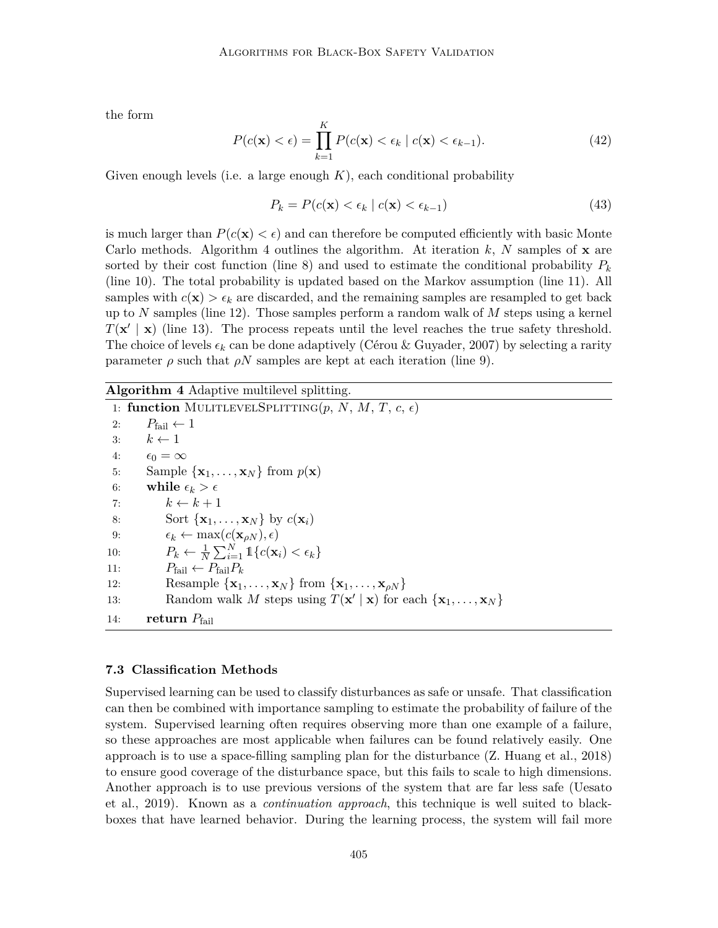the form

$$
P(c(\mathbf{x}) < \epsilon) = \prod_{k=1}^{K} P(c(\mathbf{x}) < \epsilon_k \mid c(\mathbf{x}) < \epsilon_{k-1}).\tag{42}
$$

Given enough levels (i.e. a large enough  $K$ ), each conditional probability

$$
P_k = P(c(\mathbf{x}) < \epsilon_k \mid c(\mathbf{x}) < \epsilon_{k-1})\tag{43}
$$

is much larger than  $P(c(\mathbf{x}) < \epsilon)$  and can therefore be computed efficiently with basic Monte Carlo methods. Algorithm 4 outlines the algorithm. At iteration  $k$ , N samples of  $x$  are sorted by their cost function (line 8) and used to estimate the conditional probability  $P_k$ (line 10). The total probability is updated based on the Markov assumption (line 11). All samples with  $c(\mathbf{x}) > \epsilon_k$  are discarded, and the remaining samples are resampled to get back up to N samples (line 12). Those samples perform a random walk of  $M$  steps using a kernel  $T(\mathbf{x}' | \mathbf{x})$  (line 13). The process repeats until the level reaches the true safety threshold. The choice of levels  $\epsilon_k$  can be done adaptively (Cérou & Guyader, 2007) by selecting a rarity parameter  $\rho$  such that  $\rho N$  samples are kept at each iteration (line 9).

## **Algorithm 4** Adaptive multilevel splitting.

1: **function** MULITLEVELSPLITTING $(p, N, M, T, c, \epsilon)$ 2:  $P_{\text{fail}} \leftarrow 1$ 3:  $k \leftarrow 1$ 4:  $\epsilon_0 = \infty$ 5: Sample  $\{x_1, \ldots, x_N\}$  from  $p(\mathbf{x})$ 6: **while**  $\epsilon_k > \epsilon$ 7:  $k \leftarrow k + 1$ 8: Sort  $\{x_1, \ldots, x_N\}$  by  $c(\mathbf{x}_i)$ 9:  $\epsilon_k \leftarrow \max(c(\mathbf{x}_{\rho N}), \epsilon)$ 10:  $P_k \leftarrow \frac{1}{N} \sum_{i=1}^N \mathbb{1}\{c(\mathbf{x}_i) < \epsilon_k\}$ 11:  $P_{\text{fail}} \leftarrow P_{\text{fail}} P_k$ 12: Resample  $\{x_1, \ldots, x_N\}$  from  $\{x_1, \ldots, x_{\rho N}\}\$ 13: Random walk M steps using  $T(\mathbf{x}' | \mathbf{x})$  for each  $\{\mathbf{x}_1, \dots, \mathbf{x}_N\}$ 14: **return**  $P_{\text{fail}}$ 

#### **7.3 Classification Methods**

Supervised learning can be used to classify disturbances as safe or unsafe. That classification can then be combined with importance sampling to estimate the probability of failure of the system. Supervised learning often requires observing more than one example of a failure, so these approaches are most applicable when failures can be found relatively easily. One approach is to use a space-filling sampling plan for the disturbance (Z. Huang et al., 2018) to ensure good coverage of the disturbance space, but this fails to scale to high dimensions. Another approach is to use previous versions of the system that are far less safe (Uesato et al., 2019). Known as a *continuation approach*, this technique is well suited to blackboxes that have learned behavior. During the learning process, the system will fail more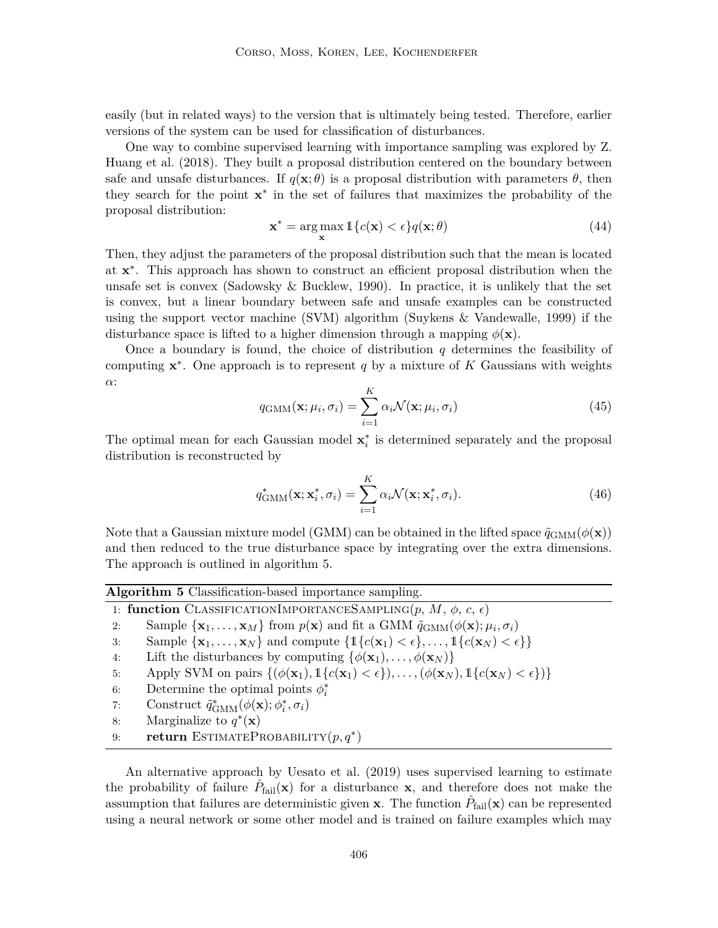easily (but in related ways) to the version that is ultimately being tested. Therefore, earlier versions of the system can be used for classification of disturbances.

One way to combine supervised learning with importance sampling was explored by Z. Huang et al. (2018). They built a proposal distribution centered on the boundary between safe and unsafe disturbances. If  $q(\mathbf{x}; \theta)$  is a proposal distribution with parameters  $\theta$ , then they search for the point x ∗ in the set of failures that maximizes the probability of the proposal distribution:

$$
\mathbf{x}^* = \arg\max_{\mathbf{x}} \mathbb{1}\{c(\mathbf{x}) < \epsilon\} q(\mathbf{x}; \theta) \tag{44}
$$

Then, they adjust the parameters of the proposal distribution such that the mean is located at  $x^*$ . This approach has shown to construct an efficient proposal distribution when the unsafe set is convex (Sadowsky & Bucklew, 1990). In practice, it is unlikely that the set is convex, but a linear boundary between safe and unsafe examples can be constructed using the support vector machine (SVM) algorithm (Suykens & Vandewalle, 1999) if the disturbance space is lifted to a higher dimension through a mapping  $\phi(\mathbf{x})$ .

Once a boundary is found, the choice of distribution  $q$  determines the feasibility of computing  $x^*$ . One approach is to represent q by a mixture of K Gaussians with weights α:

$$
q_{\text{GMM}}(\mathbf{x}; \mu_i, \sigma_i) = \sum_{i=1}^{K} \alpha_i \mathcal{N}(\mathbf{x}; \mu_i, \sigma_i)
$$
(45)

The optimal mean for each Gaussian model  $\mathbf{x}_i^*$  is determined separately and the proposal distribution is reconstructed by

$$
q_{\text{GMM}}^*(\mathbf{x}; \mathbf{x}_i^*, \sigma_i) = \sum_{i=1}^K \alpha_i \mathcal{N}(\mathbf{x}; \mathbf{x}_i^*, \sigma_i).
$$
 (46)

Note that a Gaussian mixture model (GMM) can be obtained in the lifted space  $\tilde{q}_{\text{GMM}}(\phi(\mathbf{x}))$ and then reduced to the true disturbance space by integrating over the extra dimensions. The approach is outlined in algorithm 5.

| Algorithm 5 Classification-based importance sampling. |                                                                                                                                                                  |  |  |  |
|-------------------------------------------------------|------------------------------------------------------------------------------------------------------------------------------------------------------------------|--|--|--|
|                                                       | 1: function CLASSIFICATIONIMPORTANCESAMPLING $(p, M, \phi, c, \epsilon)$                                                                                         |  |  |  |
| 2:                                                    | Sample $\{x_1, \ldots, x_M\}$ from $p(x)$ and fit a GMM $\tilde{q}_{\text{GMM}}(\phi(x); \mu_i, \sigma_i)$                                                       |  |  |  |
| 3:                                                    | Sample $\{\mathbf{x}_1,\ldots,\mathbf{x}_N\}$ and compute $\{\mathbb{1}\{c(\mathbf{x}_1) < \epsilon\},\ldots,\mathbb{1}\{c(\mathbf{x}_N) < \epsilon\}\}\$        |  |  |  |
| 4:                                                    | Lift the disturbances by computing $\{\phi(\mathbf{x}_1), \dots, \phi(\mathbf{x}_N)\}\$                                                                          |  |  |  |
| 5:                                                    | Apply SVM on pairs $\{(\phi(\mathbf{x}_1), \mathbb{1}\{c(\mathbf{x}_1) < \epsilon\}), \ldots, (\phi(\mathbf{x}_N), \mathbb{1}\{c(\mathbf{x}_N) < \epsilon\})\}\$ |  |  |  |
| 6:                                                    | Determine the optimal points $\phi_i^*$                                                                                                                          |  |  |  |
| 7:                                                    | Construct $\tilde{q}_{\text{GMM}}^*(\phi(\mathbf{x}); \phi_i^*, \sigma_i)$                                                                                       |  |  |  |
| 8:                                                    | Marginalize to $q^*(\mathbf{x})$                                                                                                                                 |  |  |  |
| 9:                                                    | <b>return</b> ESTIMATEPROBABILITY $(p, q^*)$                                                                                                                     |  |  |  |
|                                                       |                                                                                                                                                                  |  |  |  |

An alternative approach by Uesato et al. (2019) uses supervised learning to estimate the probability of failure  $\hat{P}_{\text{fail}}(\mathbf{x})$  for a disturbance  $\mathbf{x}$ , and therefore does not make the assumption that failures are deterministic given **x**. The function  $\hat{P}_{\text{fail}}(\mathbf{x})$  can be represented using a neural network or some other model and is trained on failure examples which may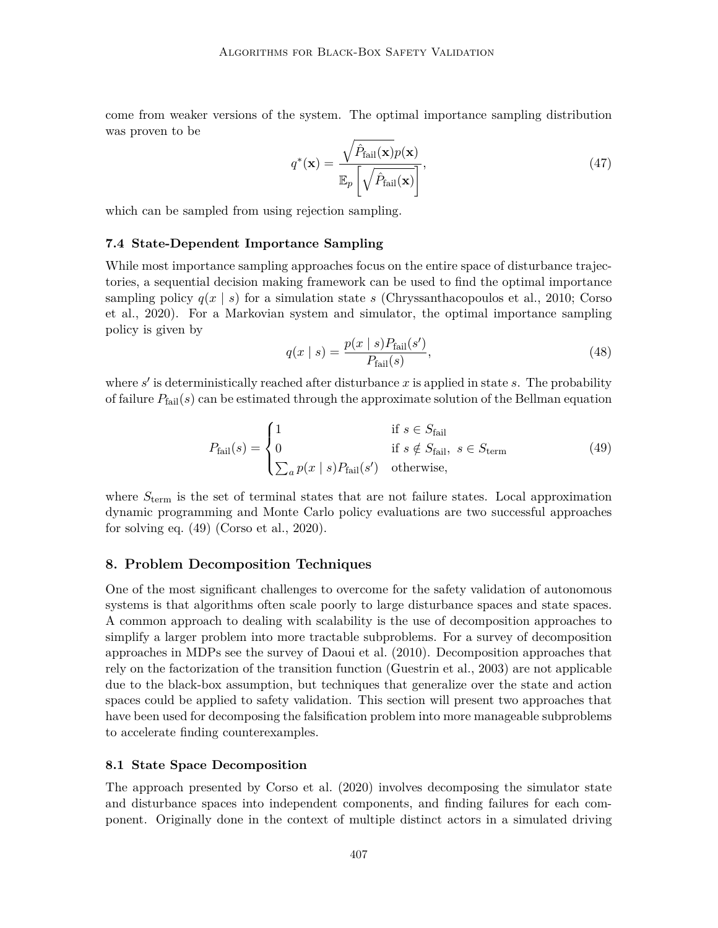come from weaker versions of the system. The optimal importance sampling distribution was proven to be

$$
q^*(\mathbf{x}) = \frac{\sqrt{\hat{P}_{\text{fail}}(\mathbf{x})} p(\mathbf{x})}{\mathbb{E}_p \left[ \sqrt{\hat{P}_{\text{fail}}(\mathbf{x})} \right]},
$$
\n(47)

which can be sampled from using rejection sampling.

#### **7.4 State-Dependent Importance Sampling**

While most importance sampling approaches focus on the entire space of disturbance trajectories, a sequential decision making framework can be used to find the optimal importance sampling policy  $q(x \mid s)$  for a simulation state s (Chryssanthacopoulos et al., 2010; Corso et al., 2020). For a Markovian system and simulator, the optimal importance sampling policy is given by

$$
q(x \mid s) = \frac{p(x \mid s)P_{\text{fail}}(s')}{P_{\text{fail}}(s)},\tag{48}
$$

where  $s'$  is deterministically reached after disturbance x is applied in state s. The probability of failure  $P_{fail}(s)$  can be estimated through the approximate solution of the Bellman equation

$$
P_{\text{fail}}(s) = \begin{cases} 1 & \text{if } s \in S_{\text{fail}} \\ 0 & \text{if } s \notin S_{\text{fail}}, \ s \in S_{\text{term}} \\ \sum_{a} p(x \mid s) P_{\text{fail}}(s') & \text{otherwise}, \end{cases} \tag{49}
$$

where  $S_{\text{term}}$  is the set of terminal states that are not failure states. Local approximation dynamic programming and Monte Carlo policy evaluations are two successful approaches for solving eq. (49) (Corso et al., 2020).

## **8. Problem Decomposition Techniques**

One of the most significant challenges to overcome for the safety validation of autonomous systems is that algorithms often scale poorly to large disturbance spaces and state spaces. A common approach to dealing with scalability is the use of decomposition approaches to simplify a larger problem into more tractable subproblems. For a survey of decomposition approaches in MDPs see the survey of Daoui et al. (2010). Decomposition approaches that rely on the factorization of the transition function (Guestrin et al., 2003) are not applicable due to the black-box assumption, but techniques that generalize over the state and action spaces could be applied to safety validation. This section will present two approaches that have been used for decomposing the falsification problem into more manageable subproblems to accelerate finding counterexamples.

#### **8.1 State Space Decomposition**

The approach presented by Corso et al. (2020) involves decomposing the simulator state and disturbance spaces into independent components, and finding failures for each component. Originally done in the context of multiple distinct actors in a simulated driving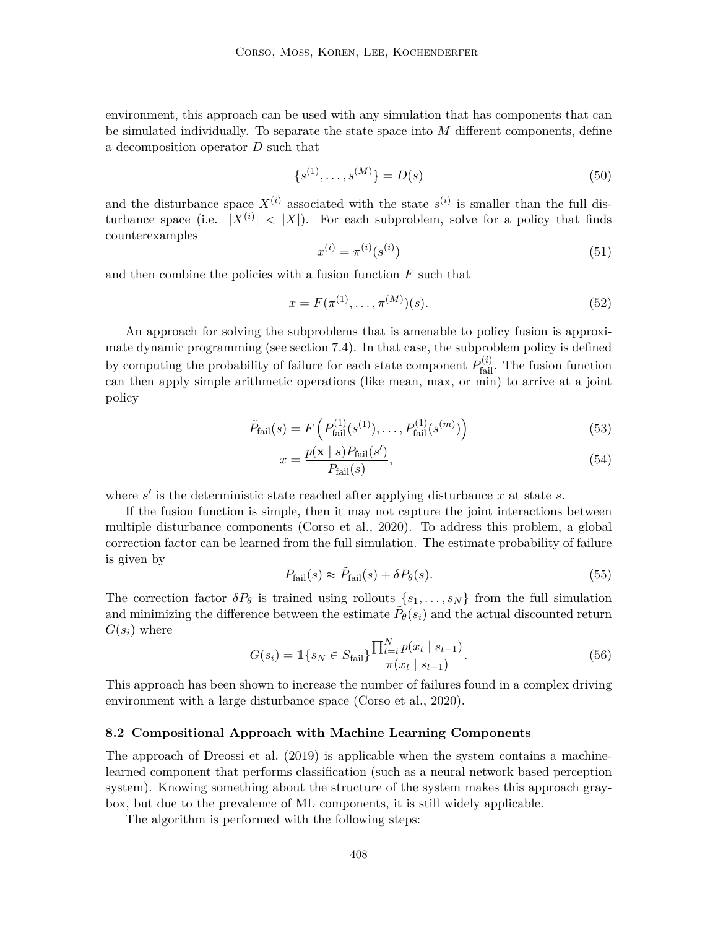environment, this approach can be used with any simulation that has components that can be simulated individually. To separate the state space into  $M$  different components, define a decomposition operator D such that

$$
\{s^{(1)}, \dots, s^{(M)}\} = D(s) \tag{50}
$$

and the disturbance space  $X^{(i)}$  associated with the state  $s^{(i)}$  is smaller than the full disturbance space (i.e.  $|X^{(i)}| < |X|$ ). For each subproblem, solve for a policy that finds counterexamples

$$
x^{(i)} = \pi^{(i)}(s^{(i)})\tag{51}
$$

and then combine the policies with a fusion function  $F$  such that

$$
x = F(\pi^{(1)}, \dots, \pi^{(M)})(s). \tag{52}
$$

An approach for solving the subproblems that is amenable to policy fusion is approximate dynamic programming (see section 7.4). In that case, the subproblem policy is defined by computing the probability of failure for each state component  $P_{\text{fail}}^{(i)}$ . The fusion function can then apply simple arithmetic operations (like mean, max, or min) to arrive at a joint policy

$$
\tilde{P}_{\text{fail}}(s) = F\left(P_{\text{fail}}^{(1)}(s^{(1)}), \dots, P_{\text{fail}}^{(1)}(s^{(m)})\right)
$$
\n(53)

$$
x = \frac{p(\mathbf{x} \mid s)P_{\text{fail}}(s')}{P_{\text{fail}}(s)},\tag{54}
$$

where  $s'$  is the deterministic state reached after applying disturbance  $x$  at state  $s$ .

If the fusion function is simple, then it may not capture the joint interactions between multiple disturbance components (Corso et al., 2020). To address this problem, a global correction factor can be learned from the full simulation. The estimate probability of failure is given by

$$
P_{\text{fail}}(s) \approx \tilde{P}_{\text{fail}}(s) + \delta P_{\theta}(s). \tag{55}
$$

The correction factor  $\delta P_{\theta}$  is trained using rollouts  $\{s_1, \ldots, s_N\}$  from the full simulation and minimizing the difference between the estimate  $\tilde{P}_{\theta}(s_i)$  and the actual discounted return  $G(s_i)$  where

$$
G(s_i) = \mathbb{1}\{s_N \in S_{\text{fail}}\} \frac{\prod_{t=i}^{N} p(x_t \mid s_{t-1})}{\pi(x_t \mid s_{t-1})}.
$$
\n(56)

This approach has been shown to increase the number of failures found in a complex driving environment with a large disturbance space (Corso et al., 2020).

#### **8.2 Compositional Approach with Machine Learning Components**

The approach of Dreossi et al. (2019) is applicable when the system contains a machinelearned component that performs classification (such as a neural network based perception system). Knowing something about the structure of the system makes this approach graybox, but due to the prevalence of ML components, it is still widely applicable.

The algorithm is performed with the following steps: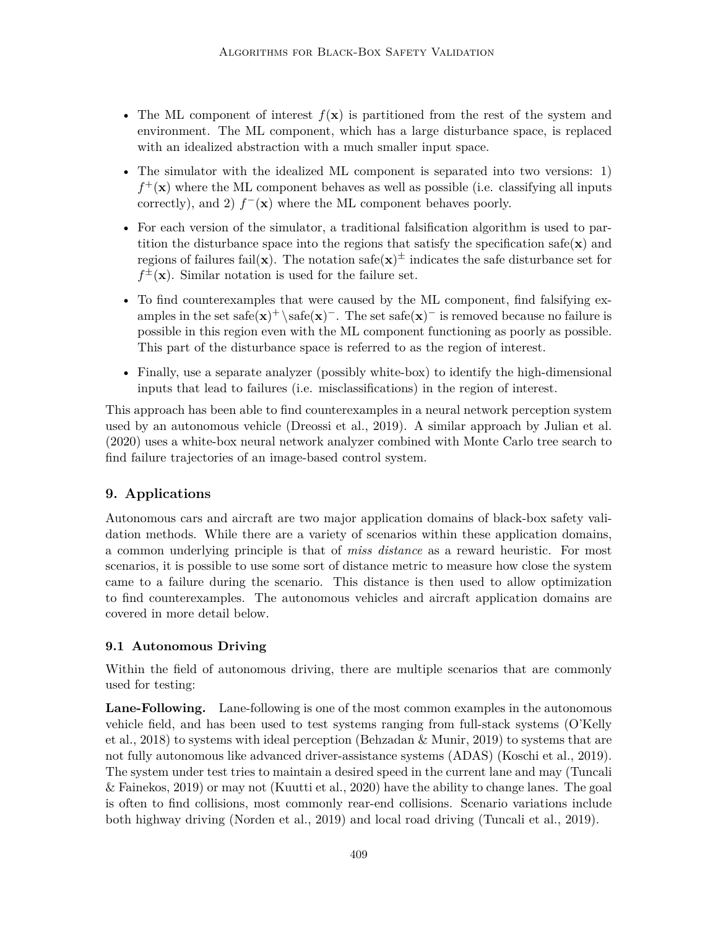- The ML component of interest  $f(\mathbf{x})$  is partitioned from the rest of the system and environment. The ML component, which has a large disturbance space, is replaced with an idealized abstraction with a much smaller input space.
- The simulator with the idealized ML component is separated into two versions: 1)  $f^+(\mathbf{x})$  where the ML component behaves as well as possible (i.e. classifying all inputs correctly), and 2)  $f^-(\mathbf{x})$  where the ML component behaves poorly.
- For each version of the simulator, a traditional falsification algorithm is used to partition the disturbance space into the regions that satisfy the specification safe $(\mathbf{x})$  and regions of failures fail(**x**). The notation safe(**x**)<sup> $\pm$ </sup> indicates the safe disturbance set for  $f^{\pm}(\mathbf{x})$ . Similar notation is used for the failure set.
- To find counterexamples that were caused by the ML component, find falsifying examples in the set safe( $\mathbf{x}$ )<sup>+</sup> \safe( $\mathbf{x}$ )<sup>-</sup>. The set safe( $\mathbf{x}$ )<sup>-</sup> is removed because no failure is possible in this region even with the ML component functioning as poorly as possible. This part of the disturbance space is referred to as the region of interest.
- Finally, use a separate analyzer (possibly white-box) to identify the high-dimensional inputs that lead to failures (i.e. misclassifications) in the region of interest.

This approach has been able to find counterexamples in a neural network perception system used by an autonomous vehicle (Dreossi et al., 2019). A similar approach by Julian et al. (2020) uses a white-box neural network analyzer combined with Monte Carlo tree search to find failure trajectories of an image-based control system.

# **9. Applications**

Autonomous cars and aircraft are two major application domains of black-box safety validation methods. While there are a variety of scenarios within these application domains, a common underlying principle is that of *miss distance* as a reward heuristic. For most scenarios, it is possible to use some sort of distance metric to measure how close the system came to a failure during the scenario. This distance is then used to allow optimization to find counterexamples. The autonomous vehicles and aircraft application domains are covered in more detail below.

# **9.1 Autonomous Driving**

Within the field of autonomous driving, there are multiple scenarios that are commonly used for testing:

**Lane-Following.** Lane-following is one of the most common examples in the autonomous vehicle field, and has been used to test systems ranging from full-stack systems (O'Kelly et al., 2018) to systems with ideal perception (Behzadan & Munir, 2019) to systems that are not fully autonomous like advanced driver-assistance systems (ADAS) (Koschi et al., 2019). The system under test tries to maintain a desired speed in the current lane and may (Tuncali & Fainekos, 2019) or may not (Kuutti et al., 2020) have the ability to change lanes. The goal is often to find collisions, most commonly rear-end collisions. Scenario variations include both highway driving (Norden et al., 2019) and local road driving (Tuncali et al., 2019).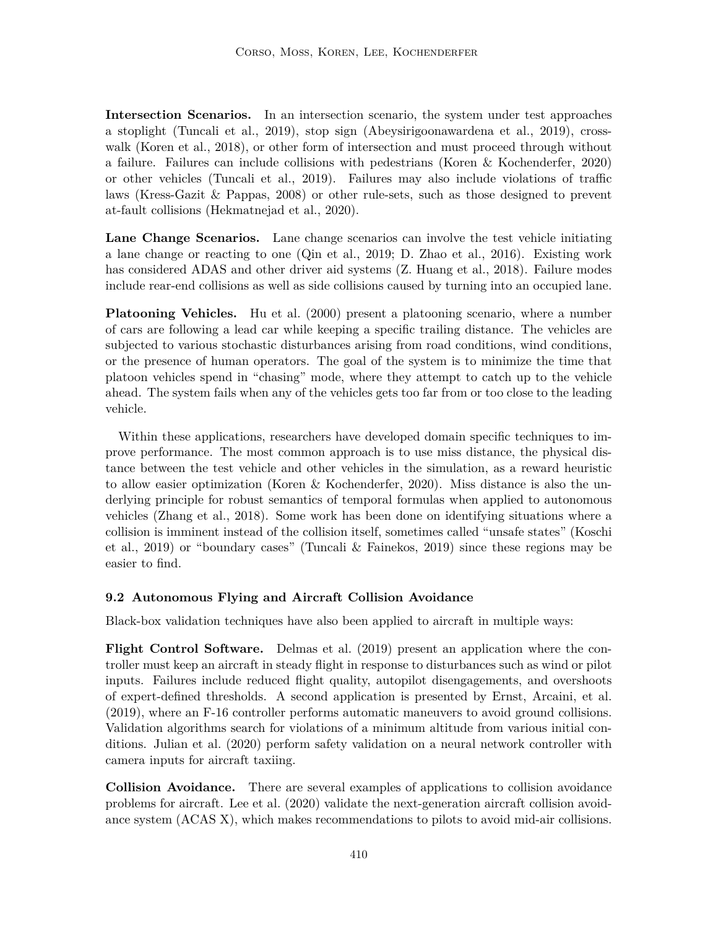**Intersection Scenarios.** In an intersection scenario, the system under test approaches a stoplight (Tuncali et al., 2019), stop sign (Abeysirigoonawardena et al., 2019), crosswalk (Koren et al., 2018), or other form of intersection and must proceed through without a failure. Failures can include collisions with pedestrians (Koren & Kochenderfer, 2020) or other vehicles (Tuncali et al., 2019). Failures may also include violations of traffic laws (Kress-Gazit & Pappas, 2008) or other rule-sets, such as those designed to prevent at-fault collisions (Hekmatnejad et al., 2020).

**Lane Change Scenarios.** Lane change scenarios can involve the test vehicle initiating a lane change or reacting to one (Qin et al., 2019; D. Zhao et al., 2016). Existing work has considered ADAS and other driver aid systems (Z. Huang et al., 2018). Failure modes include rear-end collisions as well as side collisions caused by turning into an occupied lane.

**Platooning Vehicles.** Hu et al. (2000) present a platooning scenario, where a number of cars are following a lead car while keeping a specific trailing distance. The vehicles are subjected to various stochastic disturbances arising from road conditions, wind conditions, or the presence of human operators. The goal of the system is to minimize the time that platoon vehicles spend in "chasing" mode, where they attempt to catch up to the vehicle ahead. The system fails when any of the vehicles gets too far from or too close to the leading vehicle.

Within these applications, researchers have developed domain specific techniques to improve performance. The most common approach is to use miss distance, the physical distance between the test vehicle and other vehicles in the simulation, as a reward heuristic to allow easier optimization (Koren & Kochenderfer, 2020). Miss distance is also the underlying principle for robust semantics of temporal formulas when applied to autonomous vehicles (Zhang et al., 2018). Some work has been done on identifying situations where a collision is imminent instead of the collision itself, sometimes called "unsafe states" (Koschi et al., 2019) or "boundary cases" (Tuncali & Fainekos, 2019) since these regions may be easier to find.

## **9.2 Autonomous Flying and Aircraft Collision Avoidance**

Black-box validation techniques have also been applied to aircraft in multiple ways:

**Flight Control Software.** Delmas et al. (2019) present an application where the controller must keep an aircraft in steady flight in response to disturbances such as wind or pilot inputs. Failures include reduced flight quality, autopilot disengagements, and overshoots of expert-defined thresholds. A second application is presented by Ernst, Arcaini, et al. (2019), where an F-16 controller performs automatic maneuvers to avoid ground collisions. Validation algorithms search for violations of a minimum altitude from various initial conditions. Julian et al. (2020) perform safety validation on a neural network controller with camera inputs for aircraft taxiing.

**Collision Avoidance.** There are several examples of applications to collision avoidance problems for aircraft. Lee et al. (2020) validate the next-generation aircraft collision avoidance system (ACAS X), which makes recommendations to pilots to avoid mid-air collisions.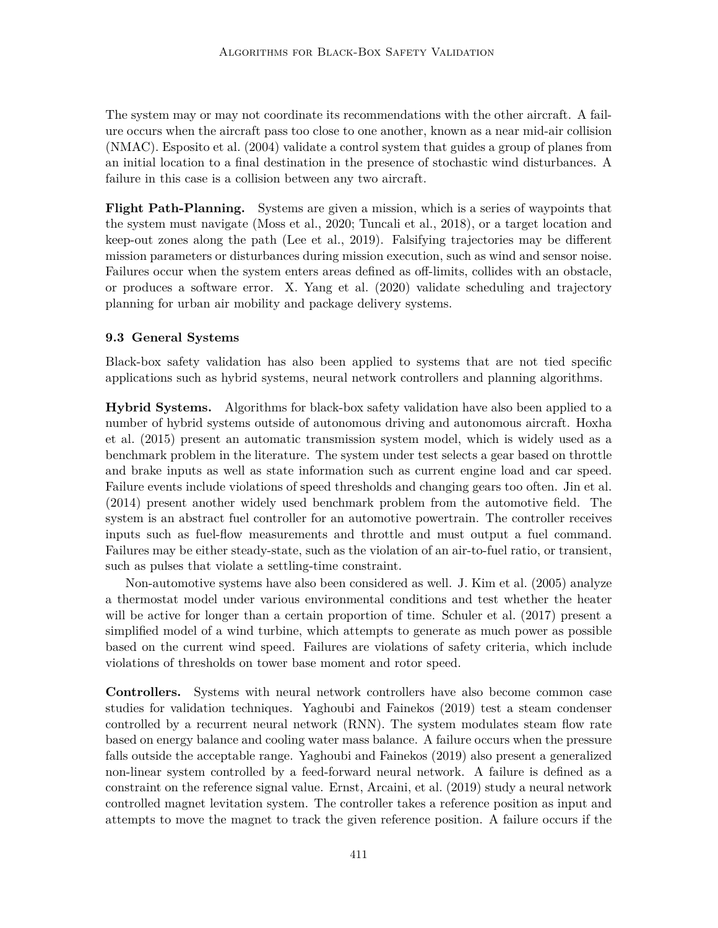The system may or may not coordinate its recommendations with the other aircraft. A failure occurs when the aircraft pass too close to one another, known as a near mid-air collision (NMAC). Esposito et al. (2004) validate a control system that guides a group of planes from an initial location to a final destination in the presence of stochastic wind disturbances. A failure in this case is a collision between any two aircraft.

**Flight Path-Planning.** Systems are given a mission, which is a series of waypoints that the system must navigate (Moss et al., 2020; Tuncali et al., 2018), or a target location and keep-out zones along the path (Lee et al., 2019). Falsifying trajectories may be different mission parameters or disturbances during mission execution, such as wind and sensor noise. Failures occur when the system enters areas defined as off-limits, collides with an obstacle, or produces a software error. X. Yang et al. (2020) validate scheduling and trajectory planning for urban air mobility and package delivery systems.

#### **9.3 General Systems**

Black-box safety validation has also been applied to systems that are not tied specific applications such as hybrid systems, neural network controllers and planning algorithms.

**Hybrid Systems.** Algorithms for black-box safety validation have also been applied to a number of hybrid systems outside of autonomous driving and autonomous aircraft. Hoxha et al. (2015) present an automatic transmission system model, which is widely used as a benchmark problem in the literature. The system under test selects a gear based on throttle and brake inputs as well as state information such as current engine load and car speed. Failure events include violations of speed thresholds and changing gears too often. Jin et al. (2014) present another widely used benchmark problem from the automotive field. The system is an abstract fuel controller for an automotive powertrain. The controller receives inputs such as fuel-flow measurements and throttle and must output a fuel command. Failures may be either steady-state, such as the violation of an air-to-fuel ratio, or transient, such as pulses that violate a settling-time constraint.

Non-automotive systems have also been considered as well. J. Kim et al. (2005) analyze a thermostat model under various environmental conditions and test whether the heater will be active for longer than a certain proportion of time. Schuler et al. (2017) present a simplified model of a wind turbine, which attempts to generate as much power as possible based on the current wind speed. Failures are violations of safety criteria, which include violations of thresholds on tower base moment and rotor speed.

**Controllers.** Systems with neural network controllers have also become common case studies for validation techniques. Yaghoubi and Fainekos (2019) test a steam condenser controlled by a recurrent neural network (RNN). The system modulates steam flow rate based on energy balance and cooling water mass balance. A failure occurs when the pressure falls outside the acceptable range. Yaghoubi and Fainekos (2019) also present a generalized non-linear system controlled by a feed-forward neural network. A failure is defined as a constraint on the reference signal value. Ernst, Arcaini, et al. (2019) study a neural network controlled magnet levitation system. The controller takes a reference position as input and attempts to move the magnet to track the given reference position. A failure occurs if the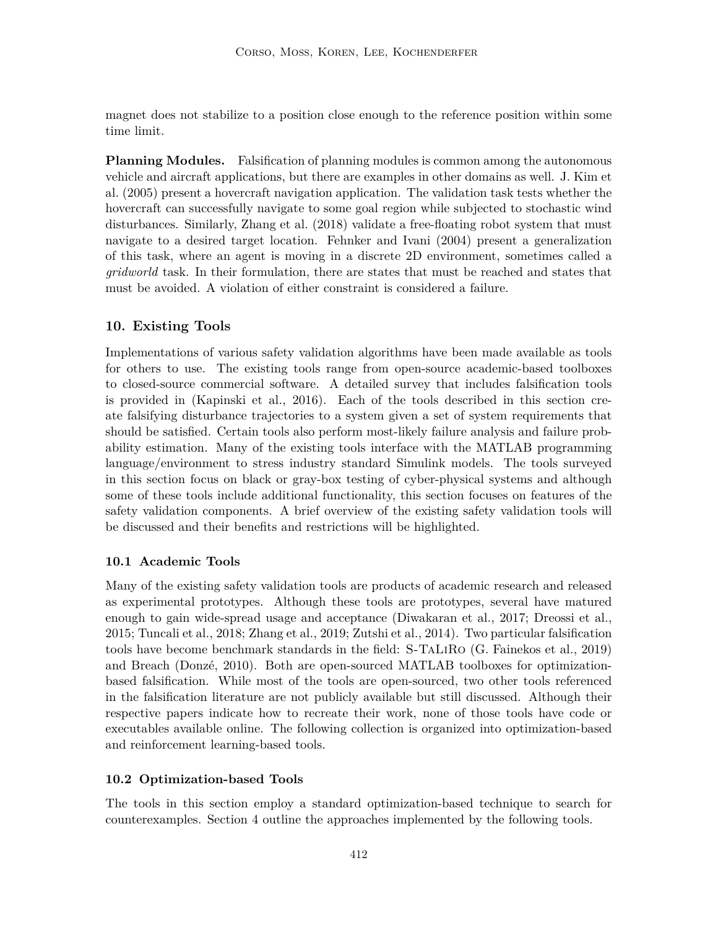magnet does not stabilize to a position close enough to the reference position within some time limit.

**Planning Modules.** Falsification of planning modules is common among the autonomous vehicle and aircraft applications, but there are examples in other domains as well. J. Kim et al. (2005) present a hovercraft navigation application. The validation task tests whether the hovercraft can successfully navigate to some goal region while subjected to stochastic wind disturbances. Similarly, Zhang et al. (2018) validate a free-floating robot system that must navigate to a desired target location. Fehnker and Ivani (2004) present a generalization of this task, where an agent is moving in a discrete 2D environment, sometimes called a *gridworld* task. In their formulation, there are states that must be reached and states that must be avoided. A violation of either constraint is considered a failure.

## **10. Existing Tools**

Implementations of various safety validation algorithms have been made available as tools for others to use. The existing tools range from open-source academic-based toolboxes to closed-source commercial software. A detailed survey that includes falsification tools is provided in (Kapinski et al., 2016). Each of the tools described in this section create falsifying disturbance trajectories to a system given a set of system requirements that should be satisfied. Certain tools also perform most-likely failure analysis and failure probability estimation. Many of the existing tools interface with the MATLAB programming language/environment to stress industry standard Simulink models. The tools surveyed in this section focus on black or gray-box testing of cyber-physical systems and although some of these tools include additional functionality, this section focuses on features of the safety validation components. A brief overview of the existing safety validation tools will be discussed and their benefits and restrictions will be highlighted.

## **10.1 Academic Tools**

Many of the existing safety validation tools are products of academic research and released as experimental prototypes. Although these tools are prototypes, several have matured enough to gain wide-spread usage and acceptance (Diwakaran et al., 2017; Dreossi et al., 2015; Tuncali et al., 2018; Zhang et al., 2019; Zutshi et al., 2014). Two particular falsification tools have become benchmark standards in the field: S-TaLiRo (G. Fainekos et al., 2019) and Breach (Donzé, 2010). Both are open-sourced MATLAB toolboxes for optimizationbased falsification. While most of the tools are open-sourced, two other tools referenced in the falsification literature are not publicly available but still discussed. Although their respective papers indicate how to recreate their work, none of those tools have code or executables available online. The following collection is organized into optimization-based and reinforcement learning-based tools.

#### **10.2 Optimization-based Tools**

The tools in this section employ a standard optimization-based technique to search for counterexamples. Section 4 outline the approaches implemented by the following tools.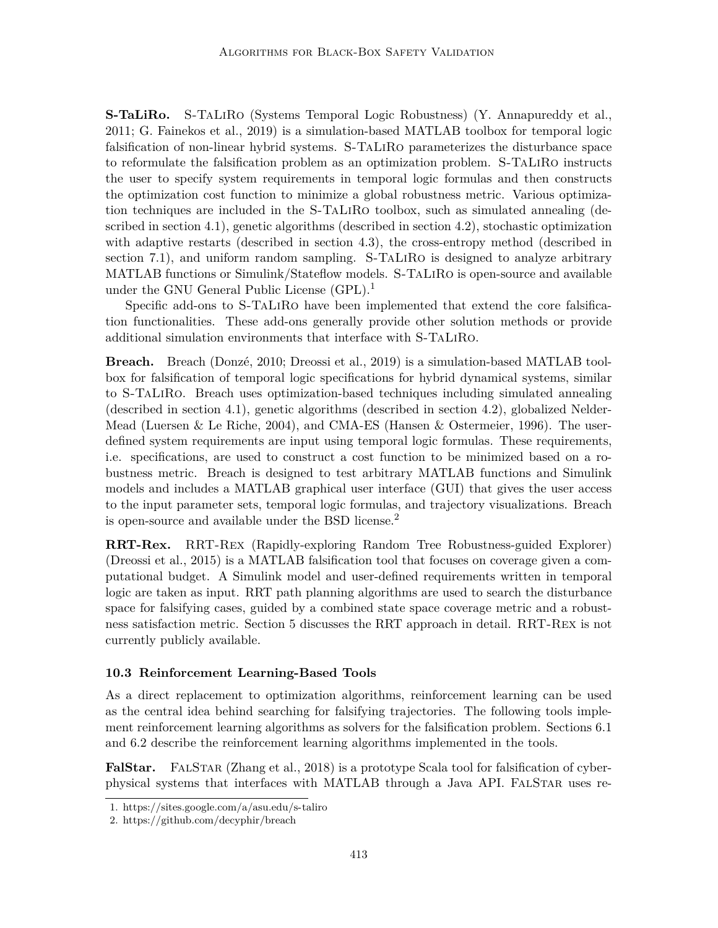**S-TaLiRo.** S-TaLiRo (Systems Temporal Logic Robustness) (Y. Annapureddy et al., 2011; G. Fainekos et al., 2019) is a simulation-based MATLAB toolbox for temporal logic falsification of non-linear hybrid systems. S-TaLiRo parameterizes the disturbance space to reformulate the falsification problem as an optimization problem. S-TaLiRo instructs the user to specify system requirements in temporal logic formulas and then constructs the optimization cost function to minimize a global robustness metric. Various optimization techniques are included in the S-TaLiRo toolbox, such as simulated annealing (described in section 4.1), genetic algorithms (described in section 4.2), stochastic optimization with adaptive restarts (described in section 4.3), the cross-entropy method (described in section 7.1), and uniform random sampling. S-TaLiRo is designed to analyze arbitrary MATLAB functions or Simulink/Stateflow models. S-TaLiRo is open-source and available under the GNU General Public License (GPL).<sup>1</sup>

Specific add-ons to S-TaLiRo have been implemented that extend the core falsification functionalities. These add-ons generally provide other solution methods or provide additional simulation environments that interface with S-TaLiRo.

**Breach.** Breach (Donzé, 2010; Dreossi et al., 2019) is a simulation-based MATLAB toolbox for falsification of temporal logic specifications for hybrid dynamical systems, similar to S-TaLiRo. Breach uses optimization-based techniques including simulated annealing (described in section 4.1), genetic algorithms (described in section 4.2), globalized Nelder-Mead (Luersen & Le Riche, 2004), and CMA-ES (Hansen & Ostermeier, 1996). The userdefined system requirements are input using temporal logic formulas. These requirements, i.e. specifications, are used to construct a cost function to be minimized based on a robustness metric. Breach is designed to test arbitrary MATLAB functions and Simulink models and includes a MATLAB graphical user interface (GUI) that gives the user access to the input parameter sets, temporal logic formulas, and trajectory visualizations. Breach is open-source and available under the BSD license.<sup>2</sup>

**RRT-Rex.** RRT-Rex (Rapidly-exploring Random Tree Robustness-guided Explorer) (Dreossi et al., 2015) is a MATLAB falsification tool that focuses on coverage given a computational budget. A Simulink model and user-defined requirements written in temporal logic are taken as input. RRT path planning algorithms are used to search the disturbance space for falsifying cases, guided by a combined state space coverage metric and a robustness satisfaction metric. Section 5 discusses the RRT approach in detail. RRT-Rex is not currently publicly available.

#### **10.3 Reinforcement Learning-Based Tools**

As a direct replacement to optimization algorithms, reinforcement learning can be used as the central idea behind searching for falsifying trajectories. The following tools implement reinforcement learning algorithms as solvers for the falsification problem. Sections 6.1 and 6.2 describe the reinforcement learning algorithms implemented in the tools.

**FalStar.** FALSTAR (Zhang et al., 2018) is a prototype Scala tool for falsification of cyberphysical systems that interfaces with MATLAB through a Java API. FalStar uses re-

<sup>1.</sup> https://sites.google.com/a/asu.edu/s-taliro

<sup>2.</sup> https://github.com/decyphir/breach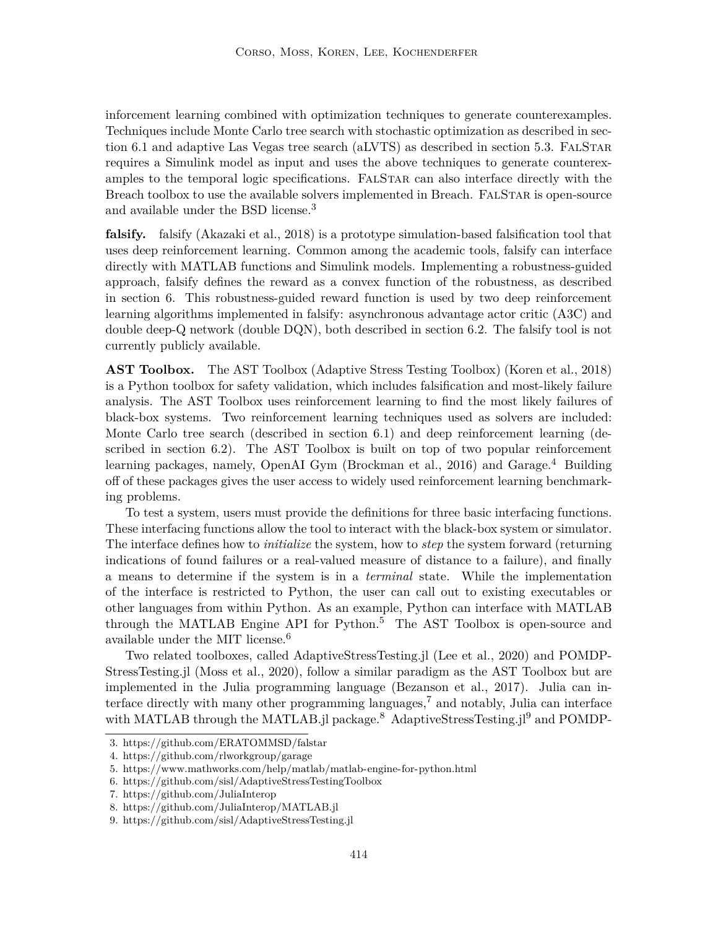inforcement learning combined with optimization techniques to generate counterexamples. Techniques include Monte Carlo tree search with stochastic optimization as described in section 6.1 and adaptive Las Vegas tree search (aLVTS) as described in section 5.3. FALSTAR requires a Simulink model as input and uses the above techniques to generate counterexamples to the temporal logic specifications. FALSTAR can also interface directly with the Breach toolbox to use the available solvers implemented in Breach. FALSTAR is open-source and available under the BSD license.<sup>3</sup>

**falsify.** falsify (Akazaki et al., 2018) is a prototype simulation-based falsification tool that uses deep reinforcement learning. Common among the academic tools, falsify can interface directly with MATLAB functions and Simulink models. Implementing a robustness-guided approach, falsify defines the reward as a convex function of the robustness, as described in section 6. This robustness-guided reward function is used by two deep reinforcement learning algorithms implemented in falsify: asynchronous advantage actor critic (A3C) and double deep-Q network (double DQN), both described in section 6.2. The falsify tool is not currently publicly available.

**AST Toolbox.** The AST Toolbox (Adaptive Stress Testing Toolbox) (Koren et al., 2018) is a Python toolbox for safety validation, which includes falsification and most-likely failure analysis. The AST Toolbox uses reinforcement learning to find the most likely failures of black-box systems. Two reinforcement learning techniques used as solvers are included: Monte Carlo tree search (described in section 6.1) and deep reinforcement learning (described in section 6.2). The AST Toolbox is built on top of two popular reinforcement learning packages, namely, OpenAI Gym (Brockman et al., 2016) and Garage.<sup>4</sup> Building off of these packages gives the user access to widely used reinforcement learning benchmarking problems.

To test a system, users must provide the definitions for three basic interfacing functions. These interfacing functions allow the tool to interact with the black-box system or simulator. The interface defines how to *initialize* the system, how to *step* the system forward (returning indications of found failures or a real-valued measure of distance to a failure), and finally a means to determine if the system is in a *terminal* state. While the implementation of the interface is restricted to Python, the user can call out to existing executables or other languages from within Python. As an example, Python can interface with MATLAB through the MATLAB Engine API for Python.<sup>5</sup> The AST Toolbox is open-source and available under the MIT license. $6$ 

Two related toolboxes, called AdaptiveStressTesting.jl (Lee et al., 2020) and POMDP-StressTesting.jl (Moss et al., 2020), follow a similar paradigm as the AST Toolbox but are implemented in the Julia programming language (Bezanson et al., 2017). Julia can interface directly with many other programming languages,<sup>7</sup> and notably, Julia can interface with MATLAB through the MATLAB.jl package.<sup>8</sup> AdaptiveStressTesting.j<sup>19</sup> and POMDP-

<sup>3.</sup> https://github.com/ERATOMMSD/falstar

<sup>4.</sup> https://github.com/rlworkgroup/garage

<sup>5.</sup> https://www.mathworks.com/help/matlab/matlab-engine-for-python.html

<sup>6.</sup> https://github.com/sisl/AdaptiveStressTestingToolbox

<sup>7.</sup> https://github.com/JuliaInterop

<sup>8.</sup> https://github.com/JuliaInterop/MATLAB.jl

<sup>9.</sup> https://github.com/sisl/AdaptiveStressTesting.jl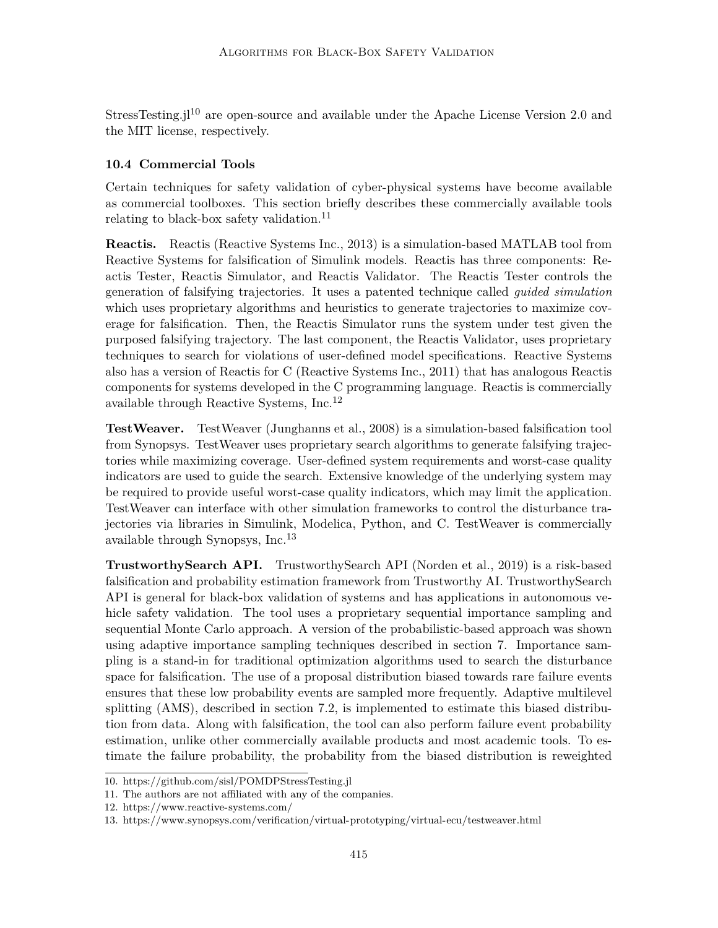StressTesting.j<sup>10</sup> are open-source and available under the Apache License Version 2.0 and the MIT license, respectively.

## **10.4 Commercial Tools**

Certain techniques for safety validation of cyber-physical systems have become available as commercial toolboxes. This section briefly describes these commercially available tools relating to black-box safety validation.<sup>11</sup>

**Reactis.** Reactis (Reactive Systems Inc., 2013) is a simulation-based MATLAB tool from Reactive Systems for falsification of Simulink models. Reactis has three components: Reactis Tester, Reactis Simulator, and Reactis Validator. The Reactis Tester controls the generation of falsifying trajectories. It uses a patented technique called *guided simulation* which uses proprietary algorithms and heuristics to generate trajectories to maximize coverage for falsification. Then, the Reactis Simulator runs the system under test given the purposed falsifying trajectory. The last component, the Reactis Validator, uses proprietary techniques to search for violations of user-defined model specifications. Reactive Systems also has a version of Reactis for C (Reactive Systems Inc., 2011) that has analogous Reactis components for systems developed in the C programming language. Reactis is commercially available through Reactive Systems, Inc.<sup>12</sup>

**TestWeaver.** TestWeaver (Junghanns et al., 2008) is a simulation-based falsification tool from Synopsys. TestWeaver uses proprietary search algorithms to generate falsifying trajectories while maximizing coverage. User-defined system requirements and worst-case quality indicators are used to guide the search. Extensive knowledge of the underlying system may be required to provide useful worst-case quality indicators, which may limit the application. TestWeaver can interface with other simulation frameworks to control the disturbance trajectories via libraries in Simulink, Modelica, Python, and C. TestWeaver is commercially available through Synopsys, Inc.<sup>13</sup>

**TrustworthySearch API.** TrustworthySearch API (Norden et al., 2019) is a risk-based falsification and probability estimation framework from Trustworthy AI. TrustworthySearch API is general for black-box validation of systems and has applications in autonomous vehicle safety validation. The tool uses a proprietary sequential importance sampling and sequential Monte Carlo approach. A version of the probabilistic-based approach was shown using adaptive importance sampling techniques described in section 7. Importance sampling is a stand-in for traditional optimization algorithms used to search the disturbance space for falsification. The use of a proposal distribution biased towards rare failure events ensures that these low probability events are sampled more frequently. Adaptive multilevel splitting (AMS), described in section 7.2, is implemented to estimate this biased distribution from data. Along with falsification, the tool can also perform failure event probability estimation, unlike other commercially available products and most academic tools. To estimate the failure probability, the probability from the biased distribution is reweighted

<sup>10.</sup> https://github.com/sisl/POMDPStressTesting.jl

<sup>11.</sup> The authors are not affiliated with any of the companies.

<sup>12.</sup> https://www.reactive-systems.com/

<sup>13.</sup> https://www.synopsys.com/verification/virtual-prototyping/virtual-ecu/testweaver.html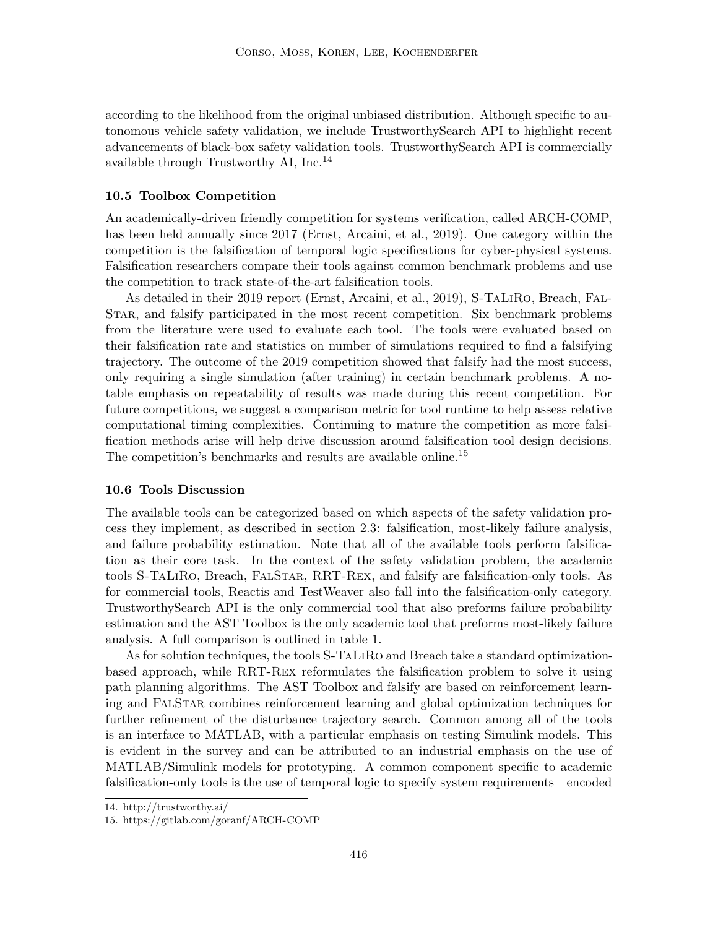according to the likelihood from the original unbiased distribution. Although specific to autonomous vehicle safety validation, we include TrustworthySearch API to highlight recent advancements of black-box safety validation tools. TrustworthySearch API is commercially available through Trustworthy AI, Inc.<sup>14</sup>

#### **10.5 Toolbox Competition**

An academically-driven friendly competition for systems verification, called ARCH-COMP, has been held annually since 2017 (Ernst, Arcaini, et al., 2019). One category within the competition is the falsification of temporal logic specifications for cyber-physical systems. Falsification researchers compare their tools against common benchmark problems and use the competition to track state-of-the-art falsification tools.

As detailed in their 2019 report (Ernst, Arcaini, et al., 2019), S-TaLiRo, Breach, Fal-Star, and falsify participated in the most recent competition. Six benchmark problems from the literature were used to evaluate each tool. The tools were evaluated based on their falsification rate and statistics on number of simulations required to find a falsifying trajectory. The outcome of the 2019 competition showed that falsify had the most success, only requiring a single simulation (after training) in certain benchmark problems. A notable emphasis on repeatability of results was made during this recent competition. For future competitions, we suggest a comparison metric for tool runtime to help assess relative computational timing complexities. Continuing to mature the competition as more falsification methods arise will help drive discussion around falsification tool design decisions. The competition's benchmarks and results are available online.<sup>15</sup>

### **10.6 Tools Discussion**

The available tools can be categorized based on which aspects of the safety validation process they implement, as described in section 2.3: falsification, most-likely failure analysis, and failure probability estimation. Note that all of the available tools perform falsification as their core task. In the context of the safety validation problem, the academic tools S-TaLiRo, Breach, FalStar, RRT-Rex, and falsify are falsification-only tools. As for commercial tools, Reactis and TestWeaver also fall into the falsification-only category. TrustworthySearch API is the only commercial tool that also preforms failure probability estimation and the AST Toolbox is the only academic tool that preforms most-likely failure analysis. A full comparison is outlined in table 1.

As for solution techniques, the tools S-TaLiRo and Breach take a standard optimizationbased approach, while RRT-Rex reformulates the falsification problem to solve it using path planning algorithms. The AST Toolbox and falsify are based on reinforcement learning and FalStar combines reinforcement learning and global optimization techniques for further refinement of the disturbance trajectory search. Common among all of the tools is an interface to MATLAB, with a particular emphasis on testing Simulink models. This is evident in the survey and can be attributed to an industrial emphasis on the use of MATLAB/Simulink models for prototyping. A common component specific to academic falsification-only tools is the use of temporal logic to specify system requirements—encoded

<sup>14.</sup> http://trustworthy.ai/

<sup>15.</sup> https://gitlab.com/goranf/ARCH-COMP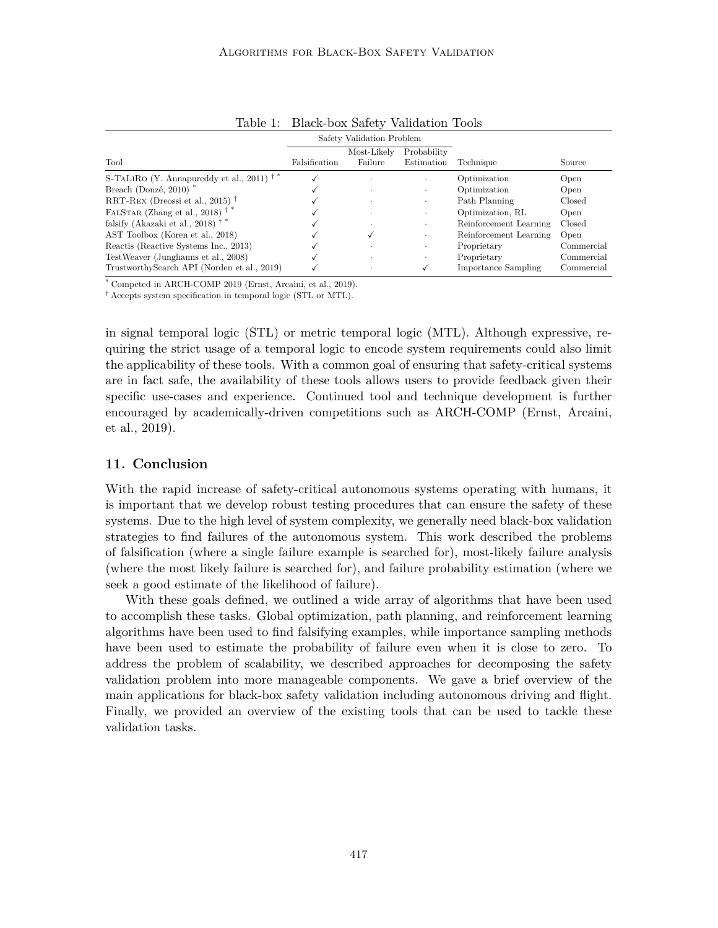|                                                     | Safety Validation Problem |                        |                           |                            |            |
|-----------------------------------------------------|---------------------------|------------------------|---------------------------|----------------------------|------------|
| Tool                                                | Falsification             | Most-Likely<br>Failure | Probability<br>Estimation | Technique                  | Source     |
| S-TALIRO (Y. Annapureddy et al., 2011) <sup>†</sup> |                           |                        |                           | Optimization               | Open       |
| Breach (Donzé, 2010) <sup>*</sup>                   |                           | $\cdot$                | $\cdot$                   | Optimization               | Open       |
| RRT-REX (Dreossi et al., 2015) <sup>†</sup>         |                           | $\cdot$                | $\bullet$                 | Path Planning              | Closed     |
| FALSTAR (Zhang et al., 2018) <sup>†</sup>           |                           | $\cdot$                | $\bullet$                 | Optimization, RL           | Open       |
| falsify (Akazaki et al., 2018) <sup>†</sup>         |                           | $\cdot$                | $\cdot$                   | Reinforcement Learning     | Closed     |
| AST Toolbox (Koren et al., 2018)                    |                           |                        | $\bullet$                 | Reinforcement Learning     | Open       |
| Reactis (Reactive Systems Inc., 2013)               |                           |                        | ٠                         | Proprietary                | Commercial |
| TestWeaver (Junghanns et al., 2008)                 |                           | $\cdot$                | ٠                         | Proprietary                | Commercial |
| TrustworthySearch API (Norden et al., 2019)         |                           |                        |                           | <b>Importance Sampling</b> | Commercial |

Table 1: Black-box Safety Validation Tools

\* Competed in ARCH-COMP 2019 (Ernst, Arcaini, et al., 2019).

† Accepts system specification in temporal logic (STL or MTL).

in signal temporal logic (STL) or metric temporal logic (MTL). Although expressive, requiring the strict usage of a temporal logic to encode system requirements could also limit the applicability of these tools. With a common goal of ensuring that safety-critical systems are in fact safe, the availability of these tools allows users to provide feedback given their specific use-cases and experience. Continued tool and technique development is further encouraged by academically-driven competitions such as ARCH-COMP (Ernst, Arcaini, et al., 2019).

## **11. Conclusion**

With the rapid increase of safety-critical autonomous systems operating with humans, it is important that we develop robust testing procedures that can ensure the safety of these systems. Due to the high level of system complexity, we generally need black-box validation strategies to find failures of the autonomous system. This work described the problems of falsification (where a single failure example is searched for), most-likely failure analysis (where the most likely failure is searched for), and failure probability estimation (where we seek a good estimate of the likelihood of failure).

With these goals defined, we outlined a wide array of algorithms that have been used to accomplish these tasks. Global optimization, path planning, and reinforcement learning algorithms have been used to find falsifying examples, while importance sampling methods have been used to estimate the probability of failure even when it is close to zero. To address the problem of scalability, we described approaches for decomposing the safety validation problem into more manageable components. We gave a brief overview of the main applications for black-box safety validation including autonomous driving and flight. Finally, we provided an overview of the existing tools that can be used to tackle these validation tasks.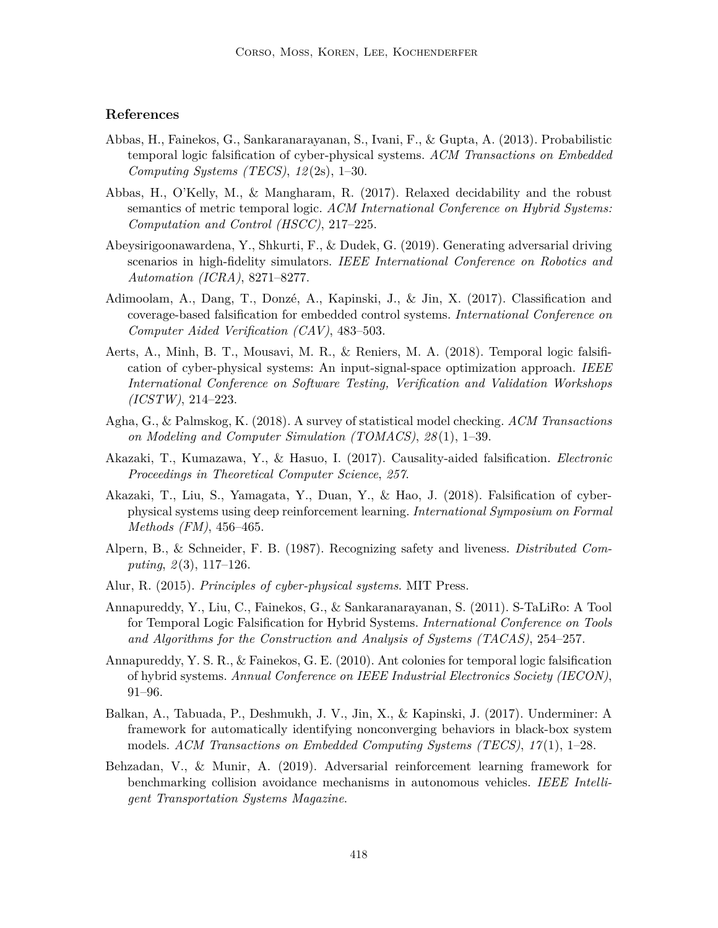## **References**

- Abbas, H., Fainekos, G., Sankaranarayanan, S., Ivani, F., & Gupta, A. (2013). Probabilistic temporal logic falsification of cyber-physical systems. *ACM Transactions on Embedded Computing Systems (TECS)*, *12* (2s), 1–30.
- Abbas, H., O'Kelly, M., & Mangharam, R. (2017). Relaxed decidability and the robust semantics of metric temporal logic. *ACM International Conference on Hybrid Systems: Computation and Control (HSCC)*, 217–225.
- Abeysirigoonawardena, Y., Shkurti, F., & Dudek, G. (2019). Generating adversarial driving scenarios in high-fidelity simulators. *IEEE International Conference on Robotics and Automation (ICRA)*, 8271–8277.
- Adimoolam, A., Dang, T., Donzé, A., Kapinski, J., & Jin, X. (2017). Classification and coverage-based falsification for embedded control systems. *International Conference on Computer Aided Verification (CAV)*, 483–503.
- Aerts, A., Minh, B. T., Mousavi, M. R., & Reniers, M. A. (2018). Temporal logic falsification of cyber-physical systems: An input-signal-space optimization approach. *IEEE International Conference on Software Testing, Verification and Validation Workshops (ICSTW)*, 214–223.
- Agha, G., & Palmskog, K. (2018). A survey of statistical model checking. *ACM Transactions on Modeling and Computer Simulation (TOMACS)*, *28* (1), 1–39.
- Akazaki, T., Kumazawa, Y., & Hasuo, I. (2017). Causality-aided falsification. *Electronic Proceedings in Theoretical Computer Science*, *257*.
- Akazaki, T., Liu, S., Yamagata, Y., Duan, Y., & Hao, J. (2018). Falsification of cyberphysical systems using deep reinforcement learning. *International Symposium on Formal Methods (FM)*, 456–465.
- Alpern, B., & Schneider, F. B. (1987). Recognizing safety and liveness. *Distributed Computing*, *2* (3), 117–126.
- Alur, R. (2015). *Principles of cyber-physical systems*. MIT Press.
- Annapureddy, Y., Liu, C., Fainekos, G., & Sankaranarayanan, S. (2011). S-TaLiRo: A Tool for Temporal Logic Falsification for Hybrid Systems. *International Conference on Tools and Algorithms for the Construction and Analysis of Systems (TACAS)*, 254–257.
- Annapureddy, Y. S. R., & Fainekos, G. E. (2010). Ant colonies for temporal logic falsification of hybrid systems. *Annual Conference on IEEE Industrial Electronics Society (IECON)*, 91–96.
- Balkan, A., Tabuada, P., Deshmukh, J. V., Jin, X., & Kapinski, J. (2017). Underminer: A framework for automatically identifying nonconverging behaviors in black-box system models. *ACM Transactions on Embedded Computing Systems (TECS)*, *17* (1), 1–28.
- Behzadan, V., & Munir, A. (2019). Adversarial reinforcement learning framework for benchmarking collision avoidance mechanisms in autonomous vehicles. *IEEE Intelligent Transportation Systems Magazine*.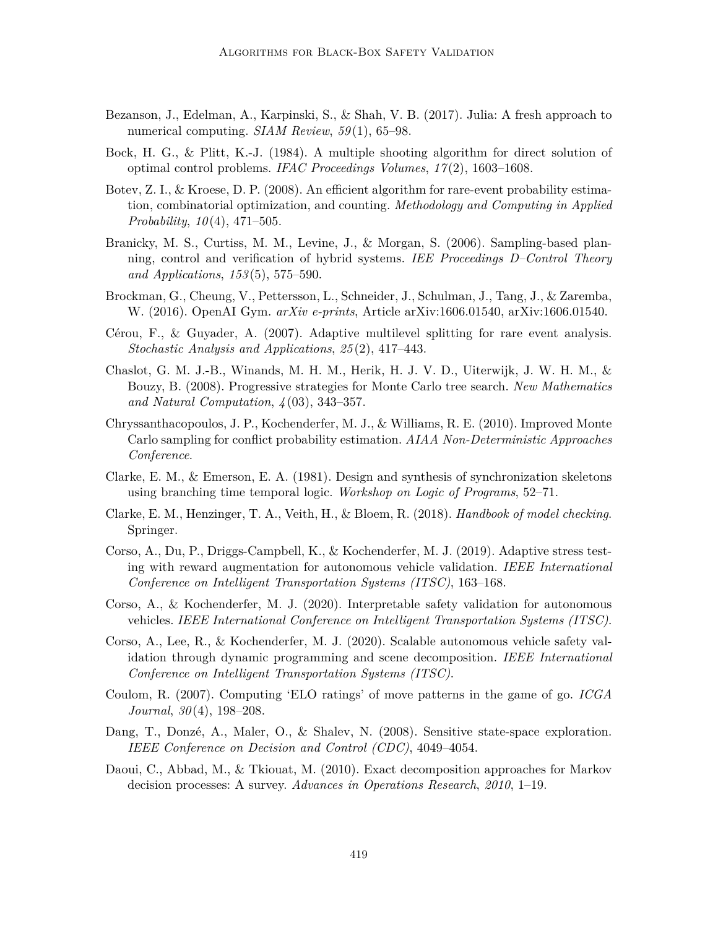- Bezanson, J., Edelman, A., Karpinski, S., & Shah, V. B. (2017). Julia: A fresh approach to numerical computing. *SIAM Review*, 59(1), 65–98.
- Bock, H. G., & Plitt, K.-J. (1984). A multiple shooting algorithm for direct solution of optimal control problems. *IFAC Proceedings Volumes*, *17* (2), 1603–1608.
- Botev, Z. I., & Kroese, D. P. (2008). An efficient algorithm for rare-event probability estimation, combinatorial optimization, and counting. *Methodology and Computing in Applied Probability*, *10* (4), 471–505.
- Branicky, M. S., Curtiss, M. M., Levine, J., & Morgan, S. (2006). Sampling-based planning, control and verification of hybrid systems. *IEE Proceedings D–Control Theory and Applications*, *153* (5), 575–590.
- Brockman, G., Cheung, V., Pettersson, L., Schneider, J., Schulman, J., Tang, J., & Zaremba, W. (2016). OpenAI Gym. *arXiv e-prints*, Article arXiv:1606.01540, arXiv:1606.01540.
- Cérou, F., & Guyader, A. (2007). Adaptive multilevel splitting for rare event analysis. *Stochastic Analysis and Applications*, *25* (2), 417–443.
- Chaslot, G. M. J.-B., Winands, M. H. M., Herik, H. J. V. D., Uiterwijk, J. W. H. M., & Bouzy, B. (2008). Progressive strategies for Monte Carlo tree search. *New Mathematics and Natural Computation*, *4* (03), 343–357.
- Chryssanthacopoulos, J. P., Kochenderfer, M. J., & Williams, R. E. (2010). Improved Monte Carlo sampling for conflict probability estimation. *AIAA Non-Deterministic Approaches Conference*.
- Clarke, E. M., & Emerson, E. A. (1981). Design and synthesis of synchronization skeletons using branching time temporal logic. *Workshop on Logic of Programs*, 52–71.
- Clarke, E. M., Henzinger, T. A., Veith, H., & Bloem, R. (2018). *Handbook of model checking*. Springer.
- Corso, A., Du, P., Driggs-Campbell, K., & Kochenderfer, M. J. (2019). Adaptive stress testing with reward augmentation for autonomous vehicle validation. *IEEE International Conference on Intelligent Transportation Systems (ITSC)*, 163–168.
- Corso, A., & Kochenderfer, M. J. (2020). Interpretable safety validation for autonomous vehicles. *IEEE International Conference on Intelligent Transportation Systems (ITSC)*.
- Corso, A., Lee, R., & Kochenderfer, M. J. (2020). Scalable autonomous vehicle safety validation through dynamic programming and scene decomposition. *IEEE International Conference on Intelligent Transportation Systems (ITSC)*.
- Coulom, R. (2007). Computing 'ELO ratings' of move patterns in the game of go. *ICGA Journal*, *30* (4), 198–208.
- Dang, T., Donzé, A., Maler, O., & Shalev, N. (2008). Sensitive state-space exploration. *IEEE Conference on Decision and Control (CDC)*, 4049–4054.
- Daoui, C., Abbad, M., & Tkiouat, M. (2010). Exact decomposition approaches for Markov decision processes: A survey. *Advances in Operations Research*, *2010*, 1–19.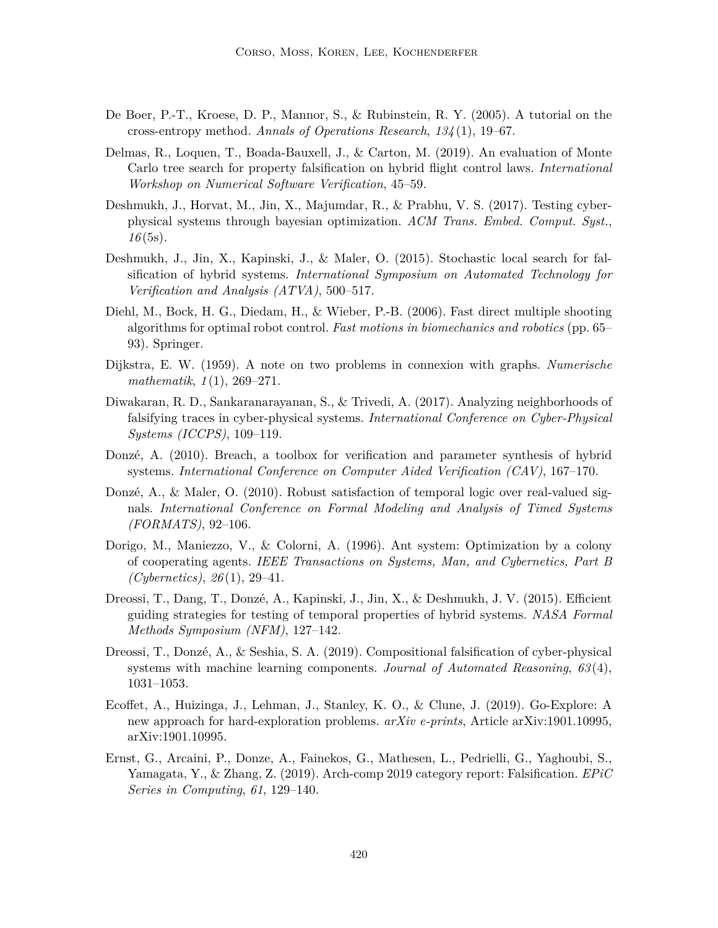- De Boer, P.-T., Kroese, D. P., Mannor, S., & Rubinstein, R. Y. (2005). A tutorial on the cross-entropy method. *Annals of Operations Research*, *134* (1), 19–67.
- Delmas, R., Loquen, T., Boada-Bauxell, J., & Carton, M. (2019). An evaluation of Monte Carlo tree search for property falsification on hybrid flight control laws. *International Workshop on Numerical Software Verification*, 45–59.
- Deshmukh, J., Horvat, M., Jin, X., Majumdar, R., & Prabhu, V. S. (2017). Testing cyberphysical systems through bayesian optimization. *ACM Trans. Embed. Comput. Syst.*, *16* (5s).
- Deshmukh, J., Jin, X., Kapinski, J., & Maler, O. (2015). Stochastic local search for falsification of hybrid systems. *International Symposium on Automated Technology for Verification and Analysis (ATVA)*, 500–517.
- Diehl, M., Bock, H. G., Diedam, H., & Wieber, P.-B. (2006). Fast direct multiple shooting algorithms for optimal robot control. *Fast motions in biomechanics and robotics* (pp. 65– 93). Springer.
- Dijkstra, E. W. (1959). A note on two problems in connexion with graphs. *Numerische mathematik*, *1* (1), 269–271.
- Diwakaran, R. D., Sankaranarayanan, S., & Trivedi, A. (2017). Analyzing neighborhoods of falsifying traces in cyber-physical systems. *International Conference on Cyber-Physical Systems (ICCPS)*, 109–119.
- Donzé, A. (2010). Breach, a toolbox for verification and parameter synthesis of hybrid systems. *International Conference on Computer Aided Verification (CAV)*, 167–170.
- Donzé, A., & Maler, O. (2010). Robust satisfaction of temporal logic over real-valued signals. *International Conference on Formal Modeling and Analysis of Timed Systems (FORMATS)*, 92–106.
- Dorigo, M., Maniezzo, V., & Colorni, A. (1996). Ant system: Optimization by a colony of cooperating agents. *IEEE Transactions on Systems, Man, and Cybernetics, Part B (Cybernetics)*, *26* (1), 29–41.
- Dreossi, T., Dang, T., Donzé, A., Kapinski, J., Jin, X., & Deshmukh, J. V. (2015). Efficient guiding strategies for testing of temporal properties of hybrid systems. *NASA Formal Methods Symposium (NFM)*, 127–142.
- Dreossi, T., Donzé, A., & Seshia, S. A. (2019). Compositional falsification of cyber-physical systems with machine learning components. *Journal of Automated Reasoning*, *63* (4), 1031–1053.
- Ecoffet, A., Huizinga, J., Lehman, J., Stanley, K. O., & Clune, J. (2019). Go-Explore: A new approach for hard-exploration problems. *arXiv e-prints*, Article arXiv:1901.10995, arXiv:1901.10995.
- Ernst, G., Arcaini, P., Donze, A., Fainekos, G., Mathesen, L., Pedrielli, G., Yaghoubi, S., Yamagata, Y., & Zhang, Z. (2019). Arch-comp 2019 category report: Falsification. *EPiC Series in Computing*, *61*, 129–140.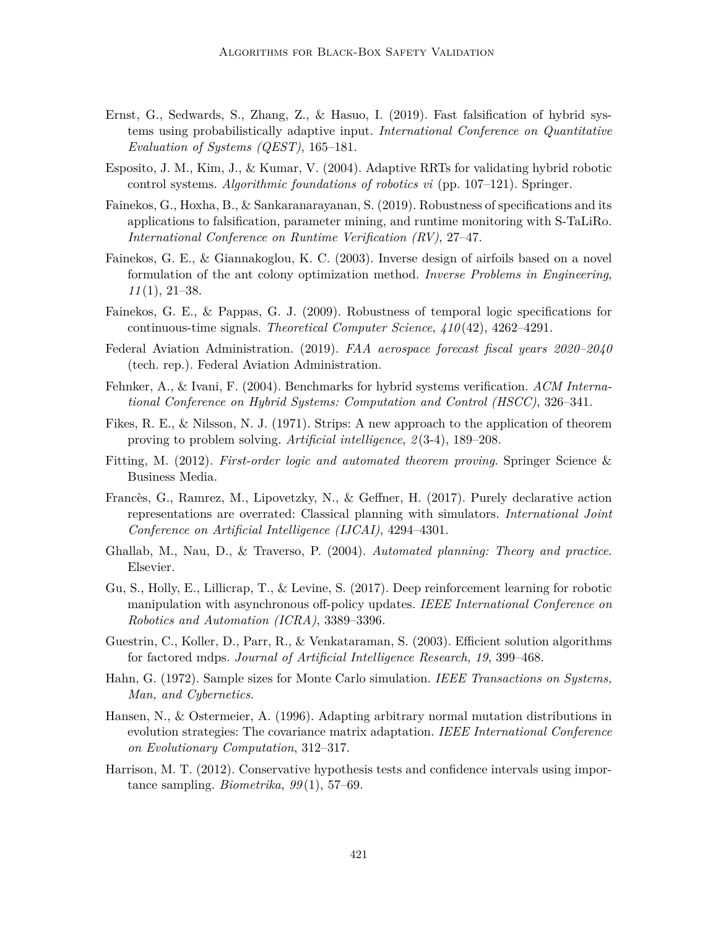- Ernst, G., Sedwards, S., Zhang, Z., & Hasuo, I. (2019). Fast falsification of hybrid systems using probabilistically adaptive input. *International Conference on Quantitative Evaluation of Systems (QEST)*, 165–181.
- Esposito, J. M., Kim, J., & Kumar, V. (2004). Adaptive RRTs for validating hybrid robotic control systems. *Algorithmic foundations of robotics vi* (pp. 107–121). Springer.
- Fainekos, G., Hoxha, B., & Sankaranarayanan, S. (2019). Robustness of specifications and its applications to falsification, parameter mining, and runtime monitoring with S-TaLiRo. *International Conference on Runtime Verification (RV)*, 27–47.
- Fainekos, G. E., & Giannakoglou, K. C. (2003). Inverse design of airfoils based on a novel formulation of the ant colony optimization method. *Inverse Problems in Engineering*, *11* (1), 21–38.
- Fainekos, G. E., & Pappas, G. J. (2009). Robustness of temporal logic specifications for continuous-time signals. *Theoretical Computer Science*, *410* (42), 4262–4291.
- Federal Aviation Administration. (2019). *FAA aerospace forecast fiscal years 2020–2040* (tech. rep.). Federal Aviation Administration.
- Fehnker, A., & Ivani, F. (2004). Benchmarks for hybrid systems verification. *ACM International Conference on Hybrid Systems: Computation and Control (HSCC)*, 326–341.
- Fikes, R. E., & Nilsson, N. J. (1971). Strips: A new approach to the application of theorem proving to problem solving. *Artificial intelligence*, *2* (3-4), 189–208.
- Fitting, M. (2012). *First-order logic and automated theorem proving*. Springer Science & Business Media.
- Francès, G., Ramrez, M., Lipovetzky, N., & Geffner, H. (2017). Purely declarative action representations are overrated: Classical planning with simulators. *International Joint Conference on Artificial Intelligence (IJCAI)*, 4294–4301.
- Ghallab, M., Nau, D., & Traverso, P. (2004). *Automated planning: Theory and practice*. Elsevier.
- Gu, S., Holly, E., Lillicrap, T., & Levine, S. (2017). Deep reinforcement learning for robotic manipulation with asynchronous off-policy updates. *IEEE International Conference on Robotics and Automation (ICRA)*, 3389–3396.
- Guestrin, C., Koller, D., Parr, R., & Venkataraman, S. (2003). Efficient solution algorithms for factored mdps. *Journal of Artificial Intelligence Research*, *19*, 399–468.
- Hahn, G. (1972). Sample sizes for Monte Carlo simulation. *IEEE Transactions on Systems, Man, and Cybernetics*.
- Hansen, N., & Ostermeier, A. (1996). Adapting arbitrary normal mutation distributions in evolution strategies: The covariance matrix adaptation. *IEEE International Conference on Evolutionary Computation*, 312–317.
- Harrison, M. T. (2012). Conservative hypothesis tests and confidence intervals using importance sampling. *Biometrika*, *99* (1), 57–69.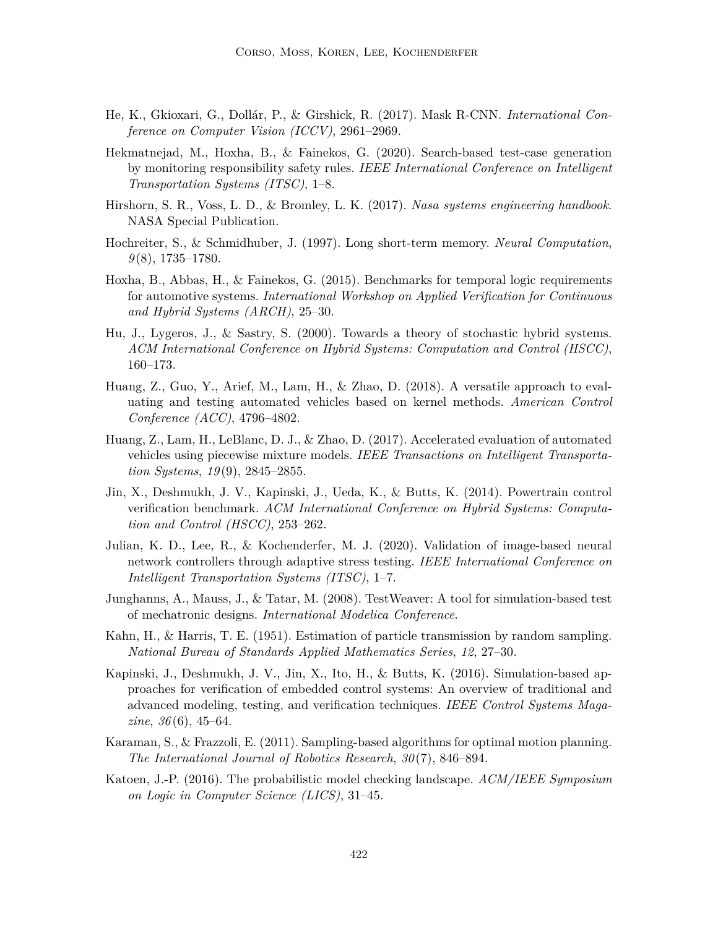- He, K., Gkioxari, G., Dollár, P., & Girshick, R. (2017). Mask R-CNN. *International Conference on Computer Vision (ICCV)*, 2961–2969.
- Hekmatnejad, M., Hoxha, B., & Fainekos, G. (2020). Search-based test-case generation by monitoring responsibility safety rules. *IEEE International Conference on Intelligent Transportation Systems (ITSC)*, 1–8.
- Hirshorn, S. R., Voss, L. D., & Bromley, L. K. (2017). *Nasa systems engineering handbook*. NASA Special Publication.
- Hochreiter, S., & Schmidhuber, J. (1997). Long short-term memory. *Neural Computation*, *9* (8), 1735–1780.
- Hoxha, B., Abbas, H., & Fainekos, G. (2015). Benchmarks for temporal logic requirements for automotive systems. *International Workshop on Applied Verification for Continuous and Hybrid Systems (ARCH)*, 25–30.
- Hu, J., Lygeros, J., & Sastry, S. (2000). Towards a theory of stochastic hybrid systems. *ACM International Conference on Hybrid Systems: Computation and Control (HSCC)*, 160–173.
- Huang, Z., Guo, Y., Arief, M., Lam, H., & Zhao, D. (2018). A versatile approach to evaluating and testing automated vehicles based on kernel methods. *American Control Conference (ACC)*, 4796–4802.
- Huang, Z., Lam, H., LeBlanc, D. J., & Zhao, D. (2017). Accelerated evaluation of automated vehicles using piecewise mixture models. *IEEE Transactions on Intelligent Transportation Systems*, *19* (9), 2845–2855.
- Jin, X., Deshmukh, J. V., Kapinski, J., Ueda, K., & Butts, K. (2014). Powertrain control verification benchmark. *ACM International Conference on Hybrid Systems: Computation and Control (HSCC)*, 253–262.
- Julian, K. D., Lee, R., & Kochenderfer, M. J. (2020). Validation of image-based neural network controllers through adaptive stress testing. *IEEE International Conference on Intelligent Transportation Systems (ITSC)*, 1–7.
- Junghanns, A., Mauss, J., & Tatar, M. (2008). TestWeaver: A tool for simulation-based test of mechatronic designs. *International Modelica Conference*.
- Kahn, H., & Harris, T. E. (1951). Estimation of particle transmission by random sampling. *National Bureau of Standards Applied Mathematics Series*, *12*, 27–30.
- Kapinski, J., Deshmukh, J. V., Jin, X., Ito, H., & Butts, K. (2016). Simulation-based approaches for verification of embedded control systems: An overview of traditional and advanced modeling, testing, and verification techniques. *IEEE Control Systems Magazine*, *36* (6), 45–64.
- Karaman, S., & Frazzoli, E. (2011). Sampling-based algorithms for optimal motion planning. *The International Journal of Robotics Research*, *30* (7), 846–894.
- Katoen, J.-P. (2016). The probabilistic model checking landscape. *ACM/IEEE Symposium on Logic in Computer Science (LICS)*, 31–45.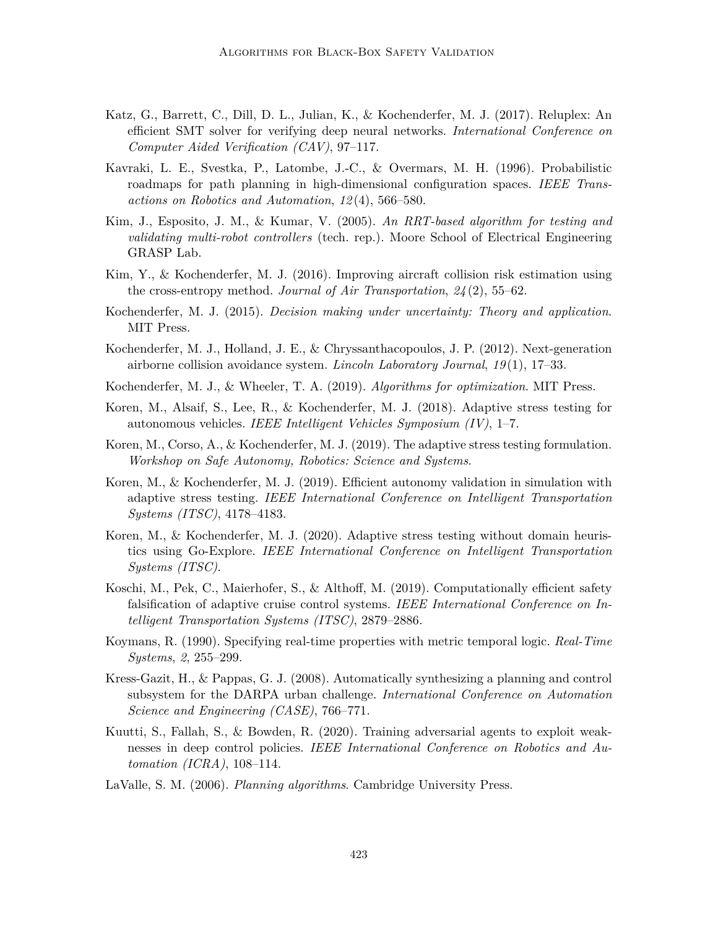- Katz, G., Barrett, C., Dill, D. L., Julian, K., & Kochenderfer, M. J. (2017). Reluplex: An efficient SMT solver for verifying deep neural networks. *International Conference on Computer Aided Verification (CAV)*, 97–117.
- Kavraki, L. E., Svestka, P., Latombe, J.-C., & Overmars, M. H. (1996). Probabilistic roadmaps for path planning in high-dimensional configuration spaces. *IEEE Transactions on Robotics and Automation*, *12* (4), 566–580.
- Kim, J., Esposito, J. M., & Kumar, V. (2005). *An RRT-based algorithm for testing and validating multi-robot controllers* (tech. rep.). Moore School of Electrical Engineering GRASP Lab.
- Kim, Y., & Kochenderfer, M. J. (2016). Improving aircraft collision risk estimation using the cross-entropy method. *Journal of Air Transportation*, *24* (2), 55–62.
- Kochenderfer, M. J. (2015). *Decision making under uncertainty: Theory and application*. MIT Press.
- Kochenderfer, M. J., Holland, J. E., & Chryssanthacopoulos, J. P. (2012). Next-generation airborne collision avoidance system. *Lincoln Laboratory Journal*, *19* (1), 17–33.
- Kochenderfer, M. J., & Wheeler, T. A. (2019). *Algorithms for optimization*. MIT Press.
- Koren, M., Alsaif, S., Lee, R., & Kochenderfer, M. J. (2018). Adaptive stress testing for autonomous vehicles. *IEEE Intelligent Vehicles Symposium (IV)*, 1–7.
- Koren, M., Corso, A., & Kochenderfer, M. J. (2019). The adaptive stress testing formulation. *Workshop on Safe Autonomy, Robotics: Science and Systems*.
- Koren, M., & Kochenderfer, M. J. (2019). Efficient autonomy validation in simulation with adaptive stress testing. *IEEE International Conference on Intelligent Transportation Systems (ITSC)*, 4178–4183.
- Koren, M., & Kochenderfer, M. J. (2020). Adaptive stress testing without domain heuristics using Go-Explore. *IEEE International Conference on Intelligent Transportation Systems (ITSC)*.
- Koschi, M., Pek, C., Maierhofer, S., & Althoff, M. (2019). Computationally efficient safety falsification of adaptive cruise control systems. *IEEE International Conference on Intelligent Transportation Systems (ITSC)*, 2879–2886.
- Koymans, R. (1990). Specifying real-time properties with metric temporal logic. *Real-Time Systems*, *2*, 255–299.
- Kress-Gazit, H., & Pappas, G. J. (2008). Automatically synthesizing a planning and control subsystem for the DARPA urban challenge. *International Conference on Automation Science and Engineering (CASE)*, 766–771.
- Kuutti, S., Fallah, S., & Bowden, R. (2020). Training adversarial agents to exploit weaknesses in deep control policies. *IEEE International Conference on Robotics and Automation (ICRA)*, 108–114.
- LaValle, S. M. (2006). *Planning algorithms*. Cambridge University Press.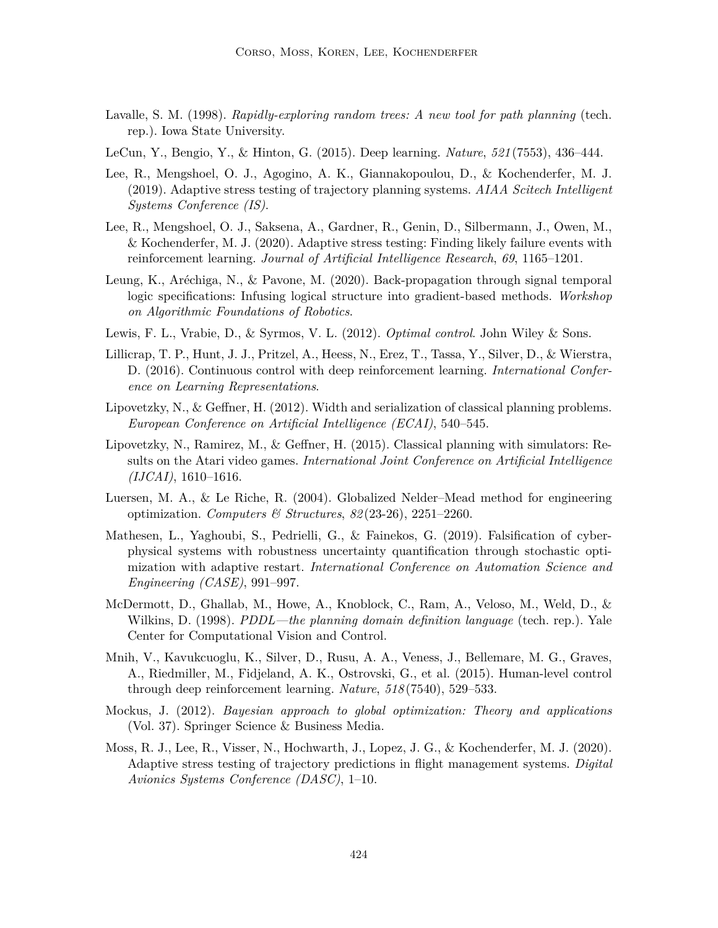- Lavalle, S. M. (1998). *Rapidly-exploring random trees: A new tool for path planning* (tech. rep.). Iowa State University.
- LeCun, Y., Bengio, Y., & Hinton, G. (2015). Deep learning. *Nature*, *521* (7553), 436–444.
- Lee, R., Mengshoel, O. J., Agogino, A. K., Giannakopoulou, D., & Kochenderfer, M. J. (2019). Adaptive stress testing of trajectory planning systems. *AIAA Scitech Intelligent Systems Conference (IS)*.
- Lee, R., Mengshoel, O. J., Saksena, A., Gardner, R., Genin, D., Silbermann, J., Owen, M., & Kochenderfer, M. J. (2020). Adaptive stress testing: Finding likely failure events with reinforcement learning. *Journal of Artificial Intelligence Research*, *69*, 1165–1201.
- Leung, K., Aréchiga, N., & Pavone, M. (2020). Back-propagation through signal temporal logic specifications: Infusing logical structure into gradient-based methods. *Workshop on Algorithmic Foundations of Robotics*.
- Lewis, F. L., Vrabie, D., & Syrmos, V. L. (2012). *Optimal control*. John Wiley & Sons.
- Lillicrap, T. P., Hunt, J. J., Pritzel, A., Heess, N., Erez, T., Tassa, Y., Silver, D., & Wierstra, D. (2016). Continuous control with deep reinforcement learning. *International Conference on Learning Representations*.
- Lipovetzky, N., & Geffner, H. (2012). Width and serialization of classical planning problems. *European Conference on Artificial Intelligence (ECAI)*, 540–545.
- Lipovetzky, N., Ramirez, M., & Geffner, H. (2015). Classical planning with simulators: Results on the Atari video games. *International Joint Conference on Artificial Intelligence (IJCAI)*, 1610–1616.
- Luersen, M. A., & Le Riche, R. (2004). Globalized Nelder–Mead method for engineering optimization. *Computers & Structures*, *82* (23-26), 2251–2260.
- Mathesen, L., Yaghoubi, S., Pedrielli, G., & Fainekos, G. (2019). Falsification of cyberphysical systems with robustness uncertainty quantification through stochastic optimization with adaptive restart. *International Conference on Automation Science and Engineering (CASE)*, 991–997.
- McDermott, D., Ghallab, M., Howe, A., Knoblock, C., Ram, A., Veloso, M., Weld, D., & Wilkins, D. (1998). *PDDL—the planning domain definition language* (tech. rep.). Yale Center for Computational Vision and Control.
- Mnih, V., Kavukcuoglu, K., Silver, D., Rusu, A. A., Veness, J., Bellemare, M. G., Graves, A., Riedmiller, M., Fidjeland, A. K., Ostrovski, G., et al. (2015). Human-level control through deep reinforcement learning. *Nature*, *518* (7540), 529–533.
- Mockus, J. (2012). *Bayesian approach to global optimization: Theory and applications* (Vol. 37). Springer Science & Business Media.
- Moss, R. J., Lee, R., Visser, N., Hochwarth, J., Lopez, J. G., & Kochenderfer, M. J. (2020). Adaptive stress testing of trajectory predictions in flight management systems. *Digital Avionics Systems Conference (DASC)*, 1–10.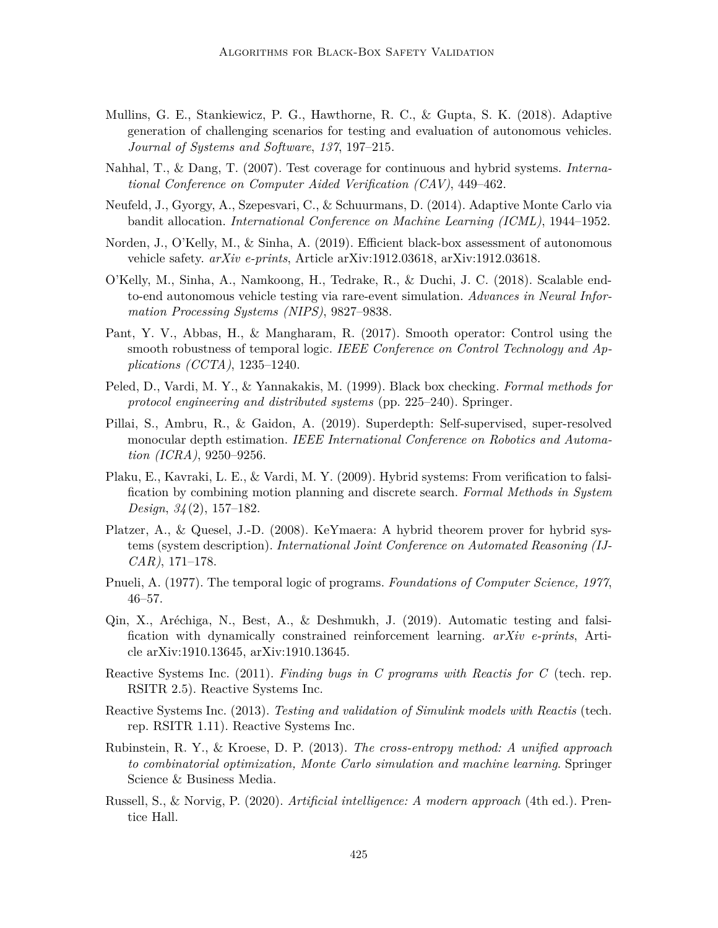- Mullins, G. E., Stankiewicz, P. G., Hawthorne, R. C., & Gupta, S. K. (2018). Adaptive generation of challenging scenarios for testing and evaluation of autonomous vehicles. *Journal of Systems and Software*, *137*, 197–215.
- Nahhal, T., & Dang, T. (2007). Test coverage for continuous and hybrid systems. *International Conference on Computer Aided Verification (CAV)*, 449–462.
- Neufeld, J., Gyorgy, A., Szepesvari, C., & Schuurmans, D. (2014). Adaptive Monte Carlo via bandit allocation. *International Conference on Machine Learning (ICML)*, 1944–1952.
- Norden, J., O'Kelly, M., & Sinha, A. (2019). Efficient black-box assessment of autonomous vehicle safety. *arXiv e-prints*, Article arXiv:1912.03618, arXiv:1912.03618.
- O'Kelly, M., Sinha, A., Namkoong, H., Tedrake, R., & Duchi, J. C. (2018). Scalable endto-end autonomous vehicle testing via rare-event simulation. *Advances in Neural Information Processing Systems (NIPS)*, 9827–9838.
- Pant, Y. V., Abbas, H., & Mangharam, R. (2017). Smooth operator: Control using the smooth robustness of temporal logic. *IEEE Conference on Control Technology and Applications (CCTA)*, 1235–1240.
- Peled, D., Vardi, M. Y., & Yannakakis, M. (1999). Black box checking. *Formal methods for protocol engineering and distributed systems* (pp. 225–240). Springer.
- Pillai, S., Ambru, R., & Gaidon, A. (2019). Superdepth: Self-supervised, super-resolved monocular depth estimation. *IEEE International Conference on Robotics and Automation (ICRA)*, 9250–9256.
- Plaku, E., Kavraki, L. E., & Vardi, M. Y. (2009). Hybrid systems: From verification to falsification by combining motion planning and discrete search. *Formal Methods in System Design*, *34* (2), 157–182.
- Platzer, A., & Quesel, J.-D. (2008). KeYmaera: A hybrid theorem prover for hybrid systems (system description). *International Joint Conference on Automated Reasoning (IJ-CAR)*, 171–178.
- Pnueli, A. (1977). The temporal logic of programs. *Foundations of Computer Science, 1977*, 46–57.
- Qin, X., Aréchiga, N., Best, A., & Deshmukh, J. (2019). Automatic testing and falsification with dynamically constrained reinforcement learning. *arXiv e-prints*, Article arXiv:1910.13645, arXiv:1910.13645.
- Reactive Systems Inc. (2011). *Finding bugs in C programs with Reactis for C* (tech. rep. RSITR 2.5). Reactive Systems Inc.
- Reactive Systems Inc. (2013). *Testing and validation of Simulink models with Reactis* (tech. rep. RSITR 1.11). Reactive Systems Inc.
- Rubinstein, R. Y., & Kroese, D. P. (2013). *The cross-entropy method: A unified approach to combinatorial optimization, Monte Carlo simulation and machine learning*. Springer Science & Business Media.
- Russell, S., & Norvig, P. (2020). *Artificial intelligence: A modern approach* (4th ed.). Prentice Hall.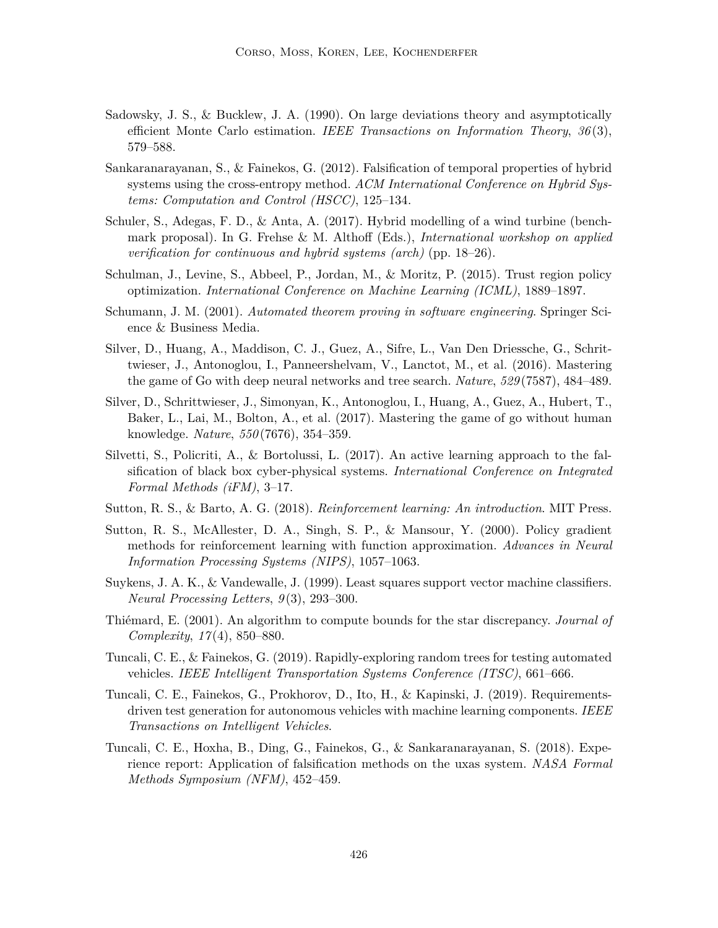- Sadowsky, J. S., & Bucklew, J. A. (1990). On large deviations theory and asymptotically efficient Monte Carlo estimation. *IEEE Transactions on Information Theory*, *36* (3), 579–588.
- Sankaranarayanan, S., & Fainekos, G. (2012). Falsification of temporal properties of hybrid systems using the cross-entropy method. *ACM International Conference on Hybrid Systems: Computation and Control (HSCC)*, 125–134.
- Schuler, S., Adegas, F. D., & Anta, A. (2017). Hybrid modelling of a wind turbine (benchmark proposal). In G. Frehse & M. Althoff (Eds.), *International workshop on applied verification for continuous and hybrid systems (arch)* (pp. 18–26).
- Schulman, J., Levine, S., Abbeel, P., Jordan, M., & Moritz, P. (2015). Trust region policy optimization. *International Conference on Machine Learning (ICML)*, 1889–1897.
- Schumann, J. M. (2001). *Automated theorem proving in software engineering*. Springer Science & Business Media.
- Silver, D., Huang, A., Maddison, C. J., Guez, A., Sifre, L., Van Den Driessche, G., Schrittwieser, J., Antonoglou, I., Panneershelvam, V., Lanctot, M., et al. (2016). Mastering the game of Go with deep neural networks and tree search. *Nature*, *529* (7587), 484–489.
- Silver, D., Schrittwieser, J., Simonyan, K., Antonoglou, I., Huang, A., Guez, A., Hubert, T., Baker, L., Lai, M., Bolton, A., et al. (2017). Mastering the game of go without human knowledge. *Nature*, *550* (7676), 354–359.
- Silvetti, S., Policriti, A., & Bortolussi, L. (2017). An active learning approach to the falsification of black box cyber-physical systems. *International Conference on Integrated Formal Methods (iFM)*, 3–17.
- Sutton, R. S., & Barto, A. G. (2018). *Reinforcement learning: An introduction*. MIT Press.
- Sutton, R. S., McAllester, D. A., Singh, S. P., & Mansour, Y. (2000). Policy gradient methods for reinforcement learning with function approximation. *Advances in Neural Information Processing Systems (NIPS)*, 1057–1063.
- Suykens, J. A. K., & Vandewalle, J. (1999). Least squares support vector machine classifiers. *Neural Processing Letters*, *9* (3), 293–300.
- Thiémard, E. (2001). An algorithm to compute bounds for the star discrepancy. *Journal of Complexity*, *17* (4), 850–880.
- Tuncali, C. E., & Fainekos, G. (2019). Rapidly-exploring random trees for testing automated vehicles. *IEEE Intelligent Transportation Systems Conference (ITSC)*, 661–666.
- Tuncali, C. E., Fainekos, G., Prokhorov, D., Ito, H., & Kapinski, J. (2019). Requirementsdriven test generation for autonomous vehicles with machine learning components. *IEEE Transactions on Intelligent Vehicles*.
- Tuncali, C. E., Hoxha, B., Ding, G., Fainekos, G., & Sankaranarayanan, S. (2018). Experience report: Application of falsification methods on the uxas system. *NASA Formal Methods Symposium (NFM)*, 452–459.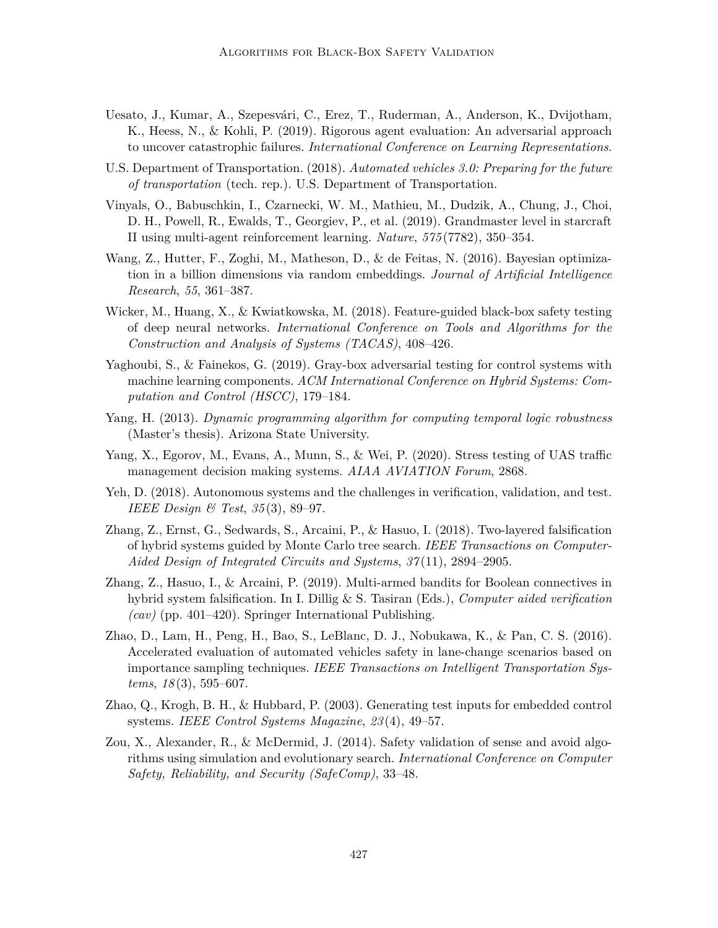- Uesato, J., Kumar, A., Szepesvári, C., Erez, T., Ruderman, A., Anderson, K., Dvijotham, K., Heess, N., & Kohli, P. (2019). Rigorous agent evaluation: An adversarial approach to uncover catastrophic failures. *International Conference on Learning Representations*.
- U.S. Department of Transportation. (2018). *Automated vehicles 3.0: Preparing for the future of transportation* (tech. rep.). U.S. Department of Transportation.
- Vinyals, O., Babuschkin, I., Czarnecki, W. M., Mathieu, M., Dudzik, A., Chung, J., Choi, D. H., Powell, R., Ewalds, T., Georgiev, P., et al. (2019). Grandmaster level in starcraft II using multi-agent reinforcement learning. *Nature*, *575* (7782), 350–354.
- Wang, Z., Hutter, F., Zoghi, M., Matheson, D., & de Feitas, N. (2016). Bayesian optimization in a billion dimensions via random embeddings. *Journal of Artificial Intelligence Research*, *55*, 361–387.
- Wicker, M., Huang, X., & Kwiatkowska, M. (2018). Feature-guided black-box safety testing of deep neural networks. *International Conference on Tools and Algorithms for the Construction and Analysis of Systems (TACAS)*, 408–426.
- Yaghoubi, S., & Fainekos, G. (2019). Gray-box adversarial testing for control systems with machine learning components. *ACM International Conference on Hybrid Systems: Computation and Control (HSCC)*, 179–184.
- Yang, H. (2013). *Dynamic programming algorithm for computing temporal logic robustness* (Master's thesis). Arizona State University.
- Yang, X., Egorov, M., Evans, A., Munn, S., & Wei, P. (2020). Stress testing of UAS traffic management decision making systems. *AIAA AVIATION Forum*, 2868.
- Yeh, D. (2018). Autonomous systems and the challenges in verification, validation, and test. *IEEE Design & Test*, *35* (3), 89–97.
- Zhang, Z., Ernst, G., Sedwards, S., Arcaini, P., & Hasuo, I. (2018). Two-layered falsification of hybrid systems guided by Monte Carlo tree search. *IEEE Transactions on Computer-Aided Design of Integrated Circuits and Systems*, *37* (11), 2894–2905.
- Zhang, Z., Hasuo, I., & Arcaini, P. (2019). Multi-armed bandits for Boolean connectives in hybrid system falsification. In I. Dillig & S. Tasiran (Eds.), *Computer aided verification (cav)* (pp. 401–420). Springer International Publishing.
- Zhao, D., Lam, H., Peng, H., Bao, S., LeBlanc, D. J., Nobukawa, K., & Pan, C. S. (2016). Accelerated evaluation of automated vehicles safety in lane-change scenarios based on importance sampling techniques. *IEEE Transactions on Intelligent Transportation Systems*, *18* (3), 595–607.
- Zhao, Q., Krogh, B. H., & Hubbard, P. (2003). Generating test inputs for embedded control systems. *IEEE Control Systems Magazine*, *23* (4), 49–57.
- Zou, X., Alexander, R., & McDermid, J. (2014). Safety validation of sense and avoid algorithms using simulation and evolutionary search. *International Conference on Computer Safety, Reliability, and Security (SafeComp)*, 33–48.